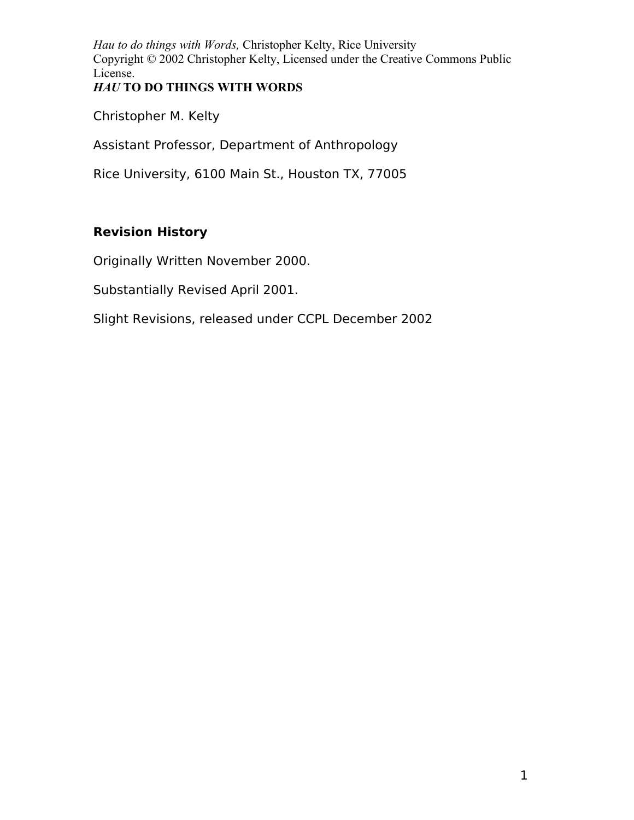*Hau to do things with Words,* Christopher Kelty, Rice University Copyright © 2002 Christopher Kelty, Licensed under the Creative Commons Public License. *HAU* **TO DO THINGS WITH WORDS**

Christopher M. Kelty

Assistant Professor, Department of Anthropology

Rice University, 6100 Main St., Houston TX, 77005

# **Revision History**

Originally Written November 2000.

Substantially Revised April 2001.

Slight Revisions, released under CCPL December 2002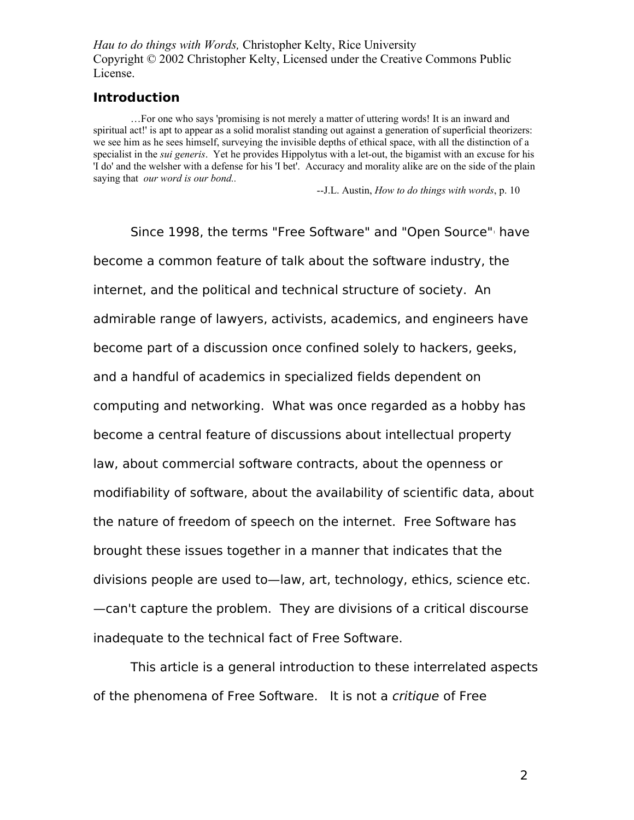*Hau to do things with Words,* Christopher Kelty, Rice University Copyright © 2002 Christopher Kelty, Licensed under the Creative Commons Public License.

#### **Introduction**

…For one who says 'promising is not merely a matter of uttering words! It is an inward and spiritual act!' is apt to appear as a solid moralist standing out against a generation of superficial theorizers: we see him as he sees himself, surveying the invisible depths of ethical space, with all the distinction of a specialist in the *sui generis*. Yet he provides Hippolytus with a let-out, the bigamist with an excuse for his 'I do' and the welsher with a defense for his 'I bet'. Accuracy and morality alike are on the side of the plain saying that *our word is our bond..*

--J.L. Austin, *How to do things with words*, p. 10

Since [1](#page-80-0)998, the terms "Free Software" and "Open Source" have become a common feature of talk about the software industry, the internet, and the political and technical structure of society. An admirable range of lawyers, activists, academics, and engineers have become part of a discussion once confined solely to hackers, geeks, and a handful of academics in specialized fields dependent on computing and networking. What was once regarded as a hobby has become a central feature of discussions about intellectual property law, about commercial software contracts, about the openness or modifiability of software, about the availability of scientific data, about the nature of freedom of speech on the internet. Free Software has brought these issues together in a manner that indicates that the divisions people are used to—law, art, technology, ethics, science etc. —can't capture the problem. They are divisions of a critical discourse inadequate to the technical fact of Free Software.

This article is a general introduction to these interrelated aspects of the phenomena of Free Software. It is not a critique of Free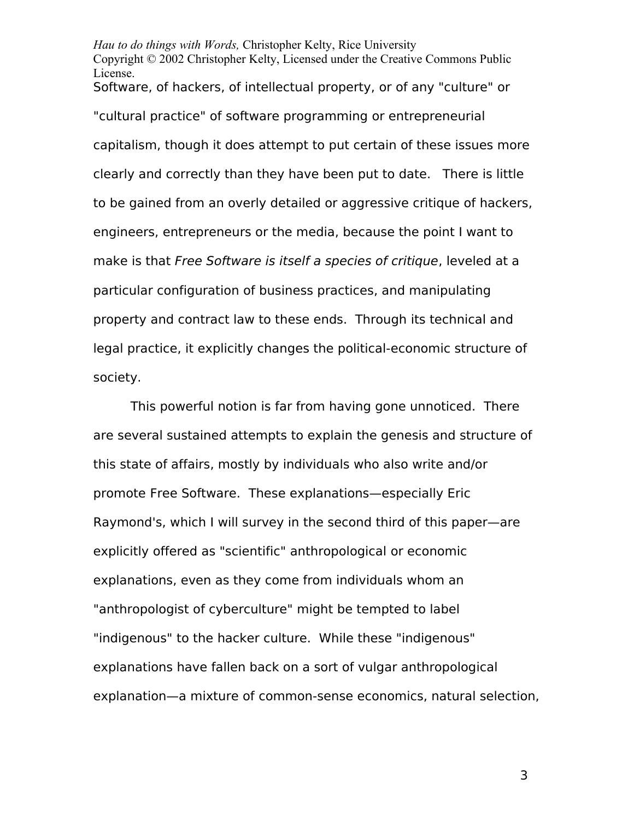*Hau to do things with Words,* Christopher Kelty, Rice University Copyright © 2002 Christopher Kelty, Licensed under the Creative Commons Public License. Software, of hackers, of intellectual property, or of any "culture" or "cultural practice" of software programming or entrepreneurial capitalism, though it does attempt to put certain of these issues more clearly and correctly than they have been put to date. There is little to be gained from an overly detailed or aggressive critique of hackers, engineers, entrepreneurs or the media, because the point I want to make is that Free Software is itself a species of critique, leveled at a particular configuration of business practices, and manipulating property and contract law to these ends. Through its technical and legal practice, it explicitly changes the political-economic structure of society.

This powerful notion is far from having gone unnoticed. There are several sustained attempts to explain the genesis and structure of this state of affairs, mostly by individuals who also write and/or promote Free Software. These explanations—especially Eric Raymond's, which I will survey in the second third of this paper—are explicitly offered as "scientific" anthropological or economic explanations, even as they come from individuals whom an "anthropologist of cyberculture" might be tempted to label "indigenous" to the hacker culture. While these "indigenous" explanations have fallen back on a sort of vulgar anthropological explanation—a mixture of common-sense economics, natural selection,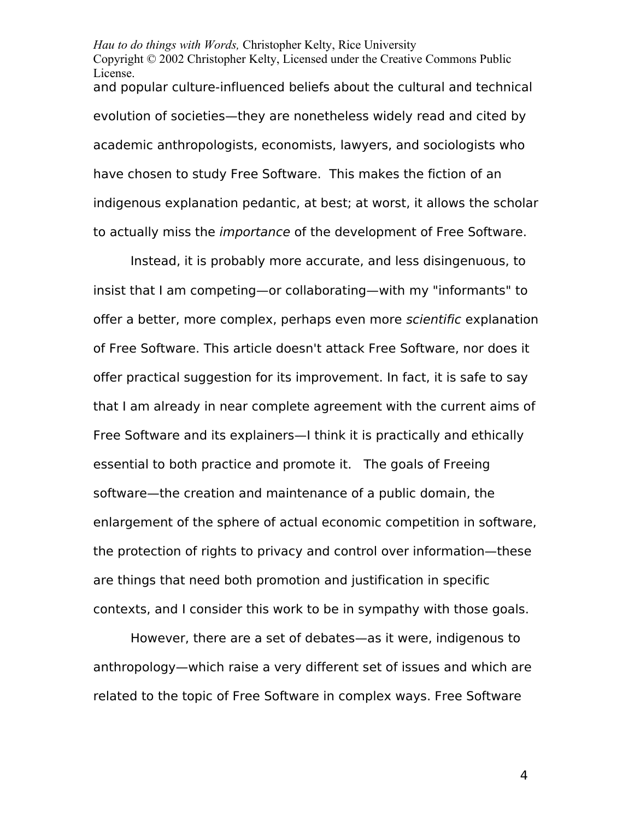*Hau to do things with Words,* Christopher Kelty, Rice University Copyright © 2002 Christopher Kelty, Licensed under the Creative Commons Public License. and popular culture-influenced beliefs about the cultural and technical evolution of societies—they are nonetheless widely read and cited by academic anthropologists, economists, lawyers, and sociologists who have chosen to study Free Software. This makes the fiction of an indigenous explanation pedantic, at best; at worst, it allows the scholar to actually miss the *importance* of the development of Free Software.

Instead, it is probably more accurate, and less disingenuous, to insist that I am competing—or collaborating—with my "informants" to offer a better, more complex, perhaps even more scientific explanation of Free Software. This article doesn't attack Free Software, nor does it offer practical suggestion for its improvement. In fact, it is safe to say that I am already in near complete agreement with the current aims of Free Software and its explainers—I think it is practically and ethically essential to both practice and promote it. The goals of Freeing software—the creation and maintenance of a public domain, the enlargement of the sphere of actual economic competition in software, the protection of rights to privacy and control over information—these are things that need both promotion and justification in specific contexts, and I consider this work to be in sympathy with those goals.

However, there are a set of debates—as it were, indigenous to anthropology—which raise a very different set of issues and which are related to the topic of Free Software in complex ways. Free Software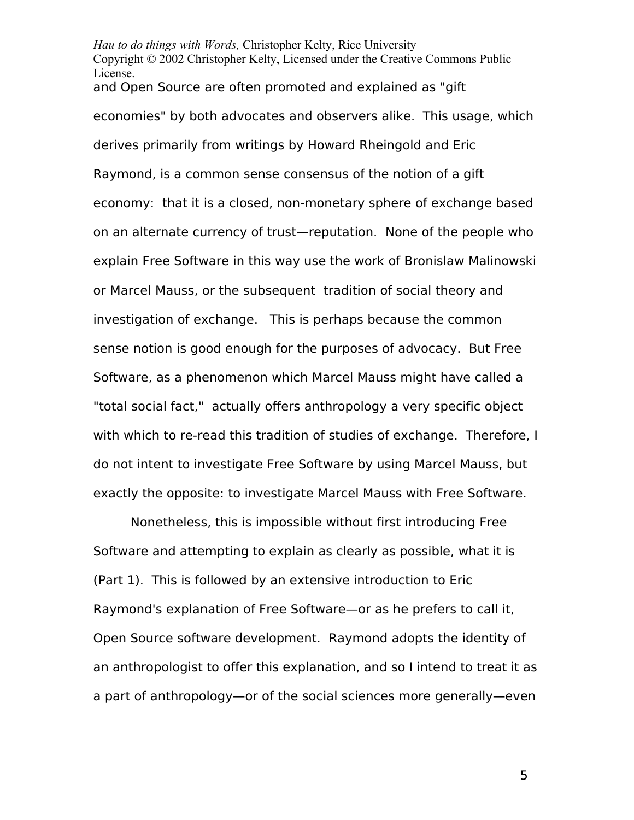*Hau to do things with Words,* Christopher Kelty, Rice University Copyright © 2002 Christopher Kelty, Licensed under the Creative Commons Public License. and Open Source are often promoted and explained as "gift economies" by both advocates and observers alike. This usage, which derives primarily from writings by Howard Rheingold and Eric Raymond, is a common sense consensus of the notion of a gift economy: that it is a closed, non-monetary sphere of exchange based on an alternate currency of trust—reputation. None of the people who explain Free Software in this way use the work of Bronislaw Malinowski or Marcel Mauss, or the subsequent tradition of social theory and investigation of exchange. This is perhaps because the common sense notion is good enough for the purposes of advocacy. But Free Software, as a phenomenon which Marcel Mauss might have called a "total social fact," actually offers anthropology a very specific object with which to re-read this tradition of studies of exchange. Therefore, I do not intent to investigate Free Software by using Marcel Mauss, but exactly the opposite: to investigate Marcel Mauss with Free Software.

Nonetheless, this is impossible without first introducing Free Software and attempting to explain as clearly as possible, what it is (Part 1). This is followed by an extensive introduction to Eric Raymond's explanation of Free Software—or as he prefers to call it, Open Source software development. Raymond adopts the identity of an anthropologist to offer this explanation, and so I intend to treat it as a part of anthropology—or of the social sciences more generally—even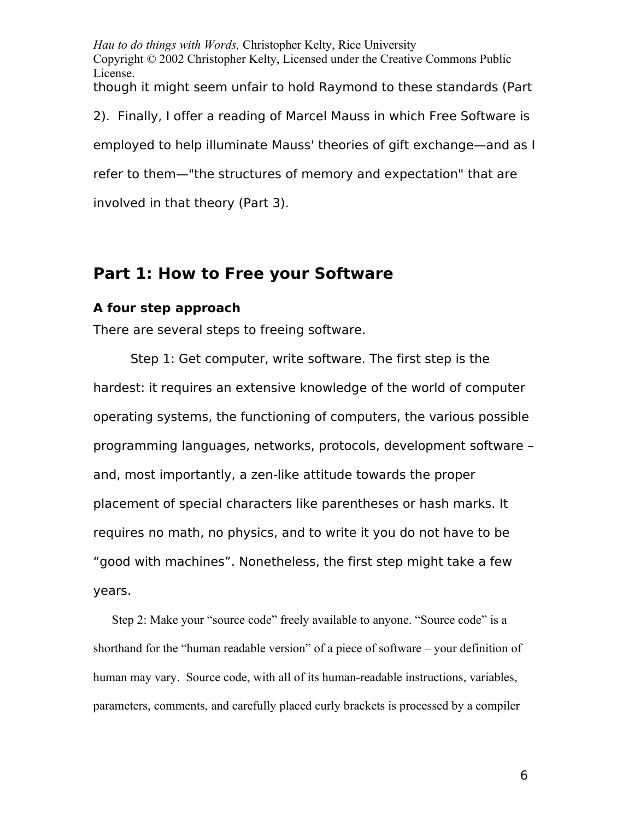*Hau to do things with Words,* Christopher Kelty, Rice University Copyright © 2002 Christopher Kelty, Licensed under the Creative Commons Public License. though it might seem unfair to hold Raymond to these standards (Part

2). Finally, I offer a reading of Marcel Mauss in which Free Software is

employed to help illuminate Mauss' theories of gift exchange—and as I

refer to them—"the structures of memory and expectation" that are

involved in that theory (Part 3).

# **Part 1: How to Free your Software**

## **A four step approach**

There are several steps to freeing software.

Step 1: Get computer, write software. The first step is the hardest: it requires an extensive knowledge of the world of computer operating systems, the functioning of computers, the various possible programming languages, networks, protocols, development software – and, most importantly, a zen-like attitude towards the proper placement of special characters like parentheses or hash marks. It requires no math, no physics, and to write it you do not have to be "good with machines". Nonetheless, the first step might take a few years.

Step 2: Make your "source code" freely available to anyone. "Source code" is a shorthand for the "human readable version" of a piece of software – your definition of human may vary. Source code, with all of its human-readable instructions, variables, parameters, comments, and carefully placed curly brackets is processed by a compiler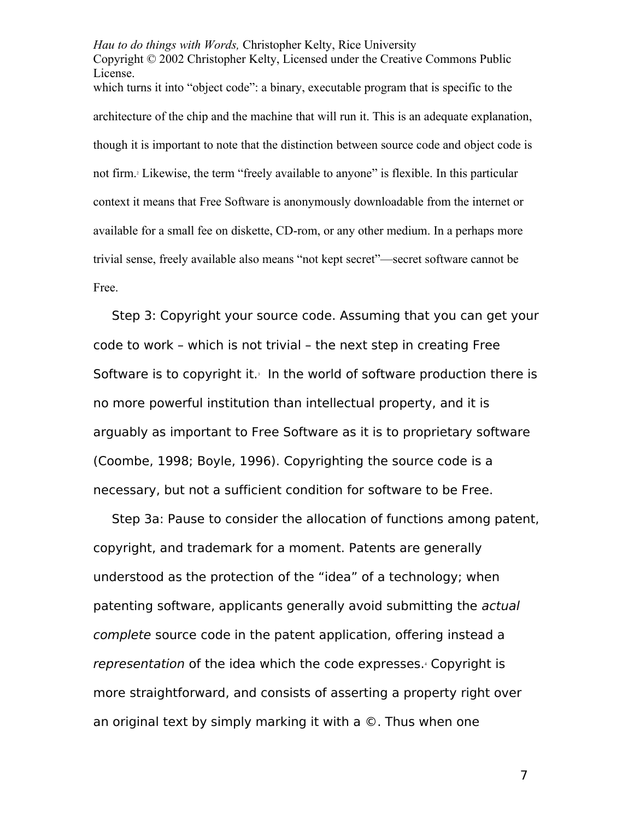*Hau to do things with Words,* Christopher Kelty, Rice University Copyright © 2002 Christopher Kelty, Licensed under the Creative Commons Public License. which turns it into "object code": a binary, executable program that is specific to the architecture of the chip and the machine that will run it. This is an adequate explanation, though it is important to note that the distinction between source code and object code is not firm[.](#page-80-1)<sup>2</sup> Likewise, the term "freely available to anyone" is flexible. In this particular context it means that Free Software is anonymously downloadable from the internet or available for a small fee on diskette, CD-rom, or any other medium. In a perhaps more trivial sense, freely available also means "not kept secret"—secret software cannot be Free.

Step 3: Copyright your source code. Assuming that you can get your code to work – which is not trivial – the next step in creating Free Software is to copyright it[.](#page-80-2) $3$  In the world of software production there is no more powerful institution than intellectual property, and it is arguably as important to Free Software as it is to proprietary software (Coombe, 1998; Boyle, 1996). Copyrighting the source code is a necessary, but not a sufficient condition for software to be Free.

Step 3a: Pause to consider the allocation of functions among patent, copyright, and trademark for a moment. Patents are generally understood as the protection of the "idea" of a technology; when patenting software, applicants generally avoid submitting the actual complete source code in the patent application, offering instead a representation of the idea which the code expresses.<sup>[4](#page-80-3)</sup> Copyright is more straightforward, and consists of asserting a property right over an original text by simply marking it with a ©. Thus when one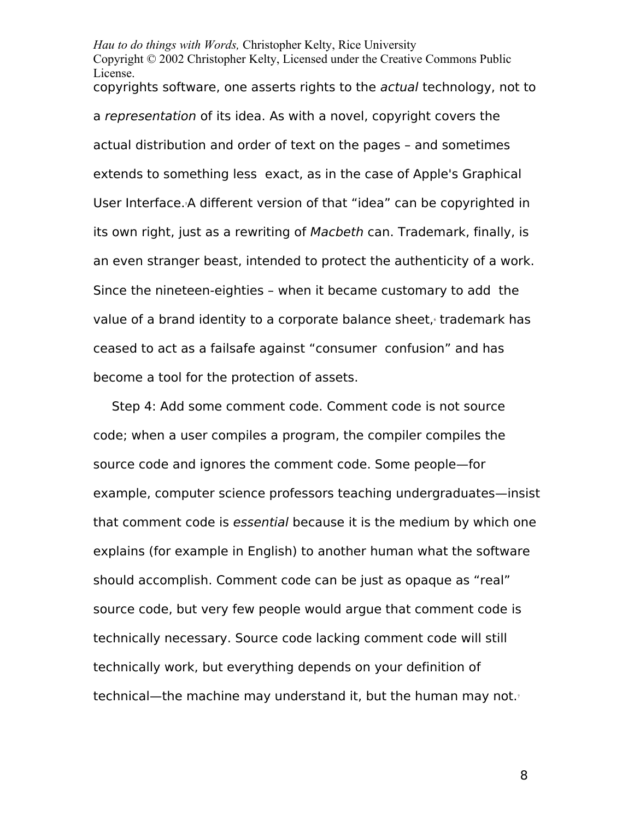*Hau to do things with Words,* Christopher Kelty, Rice University Copyright © 2002 Christopher Kelty, Licensed under the Creative Commons Public License. copyrights software, one asserts rights to the actual technology, not to a representation of its idea. As with a novel, copyright covers the actual distribution and order of text on the pages – and sometimes extends to something less exact, as in the case of Apple's Graphical User Interface.<sup>5</sup>[A](#page-80-4) different version of that "idea" can be copyrighted in its own right, just as a rewriting of Macbeth can. Trademark, finally, is an even stranger beast, intended to protect the authenticity of a work. Since the nineteen-eighties – when it became customary to add the value of a brand identity to a corporate balance sheet[,](#page-80-5) trademark has ceased to act as a failsafe against "consumer confusion" and has become a tool for the protection of assets.

Step 4: Add some comment code. Comment code is not source code; when a user compiles a program, the compiler compiles the source code and ignores the comment code. Some people—for example, computer science professors teaching undergraduates—insist that comment code is essential because it is the medium by which one explains (for example in English) to another human what the software should accomplish. Comment code can be just as opaque as "real" source code, but very few people would argue that comment code is technically necessary. Source code lacking comment code will still technically work, but everything depends on your definition of technical—the machine may understand it, but the human may not[.](#page-80-6)<sup>7</sup>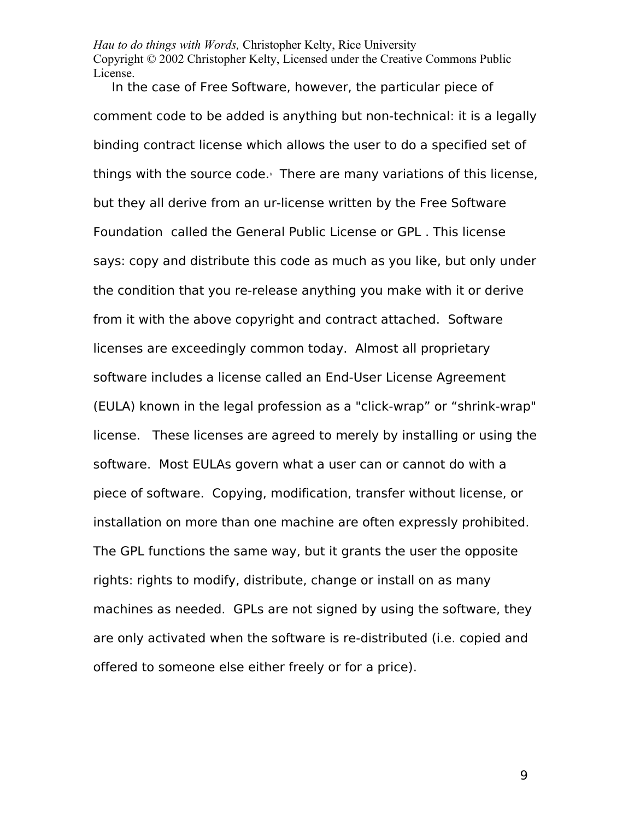*Hau to do things with Words,* Christopher Kelty, Rice University Copyright © 2002 Christopher Kelty, Licensed under the Creative Commons Public License.

In the case of Free Software, however, the particular piece of comment code to be added is anything but non-technical: it is a legally binding contract license which allows the user to do a specified set of things with the source code.<sup>[8](#page-80-7)</sup> There are many variations of this license, but they all derive from an ur-license written by the Free Software Foundation called the General Public License or GPL . This license says: copy and distribute this code as much as you like, but only under the condition that you re-release anything you make with it or derive from it with the above copyright and contract attached. Software licenses are exceedingly common today. Almost all proprietary software includes a license called an End-User License Agreement (EULA) known in the legal profession as a "click-wrap" or "shrink-wrap" license. These licenses are agreed to merely by installing or using the software. Most EULAs govern what a user can or cannot do with a piece of software. Copying, modification, transfer without license, or installation on more than one machine are often expressly prohibited. The GPL functions the same way, but it grants the user the opposite rights: rights to modify, distribute, change or install on as many machines as needed. GPLs are not signed by using the software, they are only activated when the software is re-distributed (i.e. copied and offered to someone else either freely or for a price).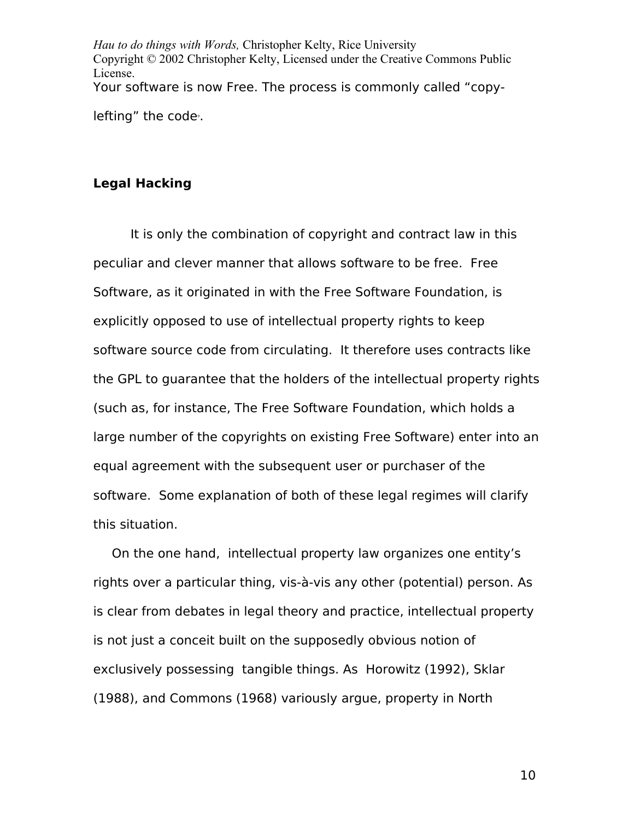*Hau to do things with Words,* Christopher Kelty, Rice University Copyright © 2002 Christopher Kelty, Licensed under the Creative Commons Public License. Your software is now Free. The process is commonly called "copy-lefting" the code<sup>9</sup>[.](#page-80-8)

### **Legal Hacking**

It is only the combination of copyright and contract law in this peculiar and clever manner that allows software to be free. Free Software, as it originated in with the Free Software Foundation, is explicitly opposed to use of intellectual property rights to keep software source code from circulating. It therefore uses contracts like the GPL to guarantee that the holders of the intellectual property rights (such as, for instance, The Free Software Foundation, which holds a large number of the copyrights on existing Free Software) enter into an equal agreement with the subsequent user or purchaser of the software. Some explanation of both of these legal regimes will clarify this situation.

On the one hand, intellectual property law organizes one entity's rights over a particular thing, vis-à-vis any other (potential) person. As is clear from debates in legal theory and practice, intellectual property is not just a conceit built on the supposedly obvious notion of exclusively possessing tangible things. As Horowitz (1992), Sklar (1988), and Commons (1968) variously argue, property in North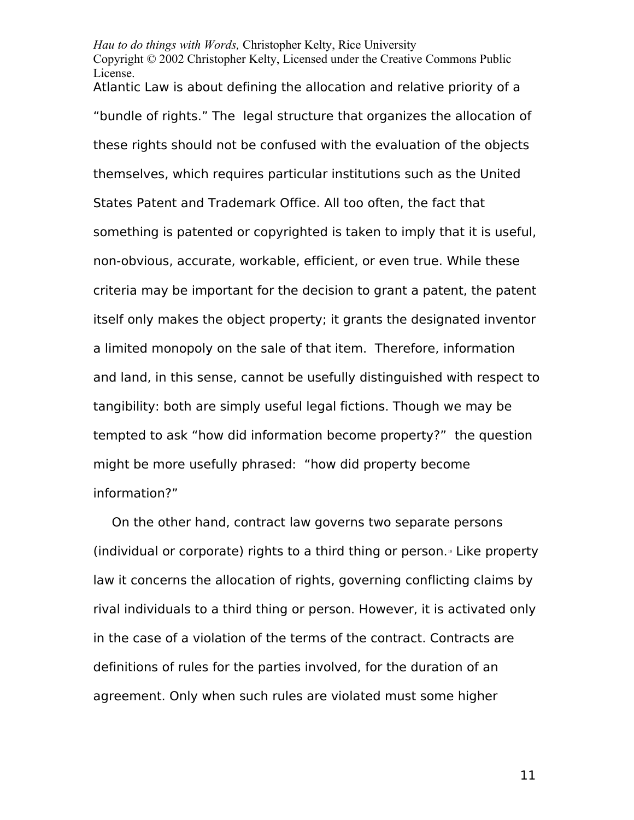*Hau to do things with Words,* Christopher Kelty, Rice University Copyright © 2002 Christopher Kelty, Licensed under the Creative Commons Public License. Atlantic Law is about defining the allocation and relative priority of a

"bundle of rights." The legal structure that organizes the allocation of these rights should not be confused with the evaluation of the objects themselves, which requires particular institutions such as the United States Patent and Trademark Office. All too often, the fact that something is patented or copyrighted is taken to imply that it is useful, non-obvious, accurate, workable, efficient, or even true. While these criteria may be important for the decision to grant a patent, the patent itself only makes the object property; it grants the designated inventor a limited monopoly on the sale of that item. Therefore, information and land, in this sense, cannot be usefully distinguished with respect to tangibility: both are simply useful legal fictions. Though we may be tempted to ask "how did information become property?" the question might be more usefully phrased: "how did property become information?"

On the other hand, contract law governs two separate persons (individual or corporate) rights to a third thing or person.<sup>®</sup> Like property law it concerns the allocation of rights, governing conflicting claims by rival individuals to a third thing or person. However, it is activated only in the case of a violation of the terms of the contract. Contracts are definitions of rules for the parties involved, for the duration of an agreement. Only when such rules are violated must some higher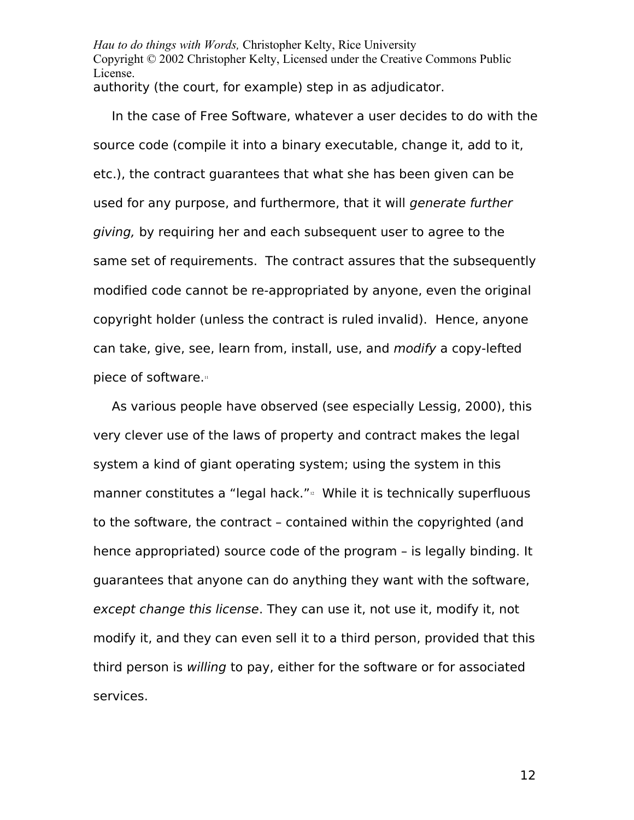*Hau to do things with Words,* Christopher Kelty, Rice University Copyright © 2002 Christopher Kelty, Licensed under the Creative Commons Public License. authority (the court, for example) step in as adjudicator.

In the case of Free Software, whatever a user decides to do with the source code (compile it into a binary executable, change it, add to it, etc.), the contract guarantees that what she has been given can be used for any purpose, and furthermore, that it will generate further giving, by requiring her and each subsequent user to agree to the same set of requirements. The contract assures that the subsequently modified code cannot be re-appropriated by anyone, even the original copyright holder (unless the contract is ruled invalid). Hence, anyone can take, give, see, learn from, install, use, and modify a copy-lefted piece of software.[11](#page-81-1)

As various people have observed (see especially Lessig, 2000), this very clever use of the laws of property and contract makes the legal system a kind of giant operating system; using the system in this manner constitutes a "legal hack."<sup>[12](#page-81-2)</sup> While it is technically superfluous to the software, the contract – contained within the copyrighted (and hence appropriated) source code of the program – is legally binding. It guarantees that anyone can do anything they want with the software, except change this license. They can use it, not use it, modify it, not modify it, and they can even sell it to a third person, provided that this third person is willing to pay, either for the software or for associated services.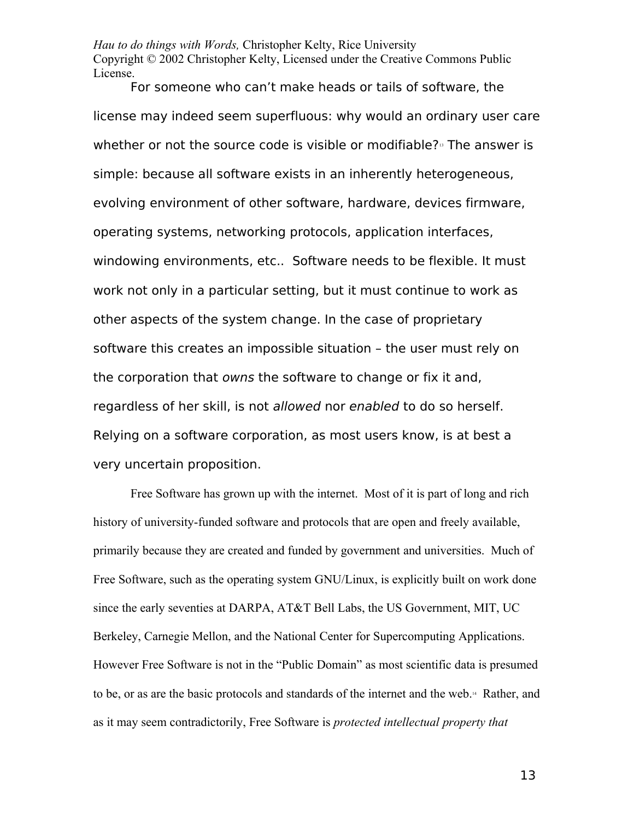*Hau to do things with Words,* Christopher Kelty, Rice University Copyright © 2002 Christopher Kelty, Licensed under the Creative Commons Public License.

For someone who can't make heads or tails of software, the license may indeed seem superfluous: why would an ordinary user care whether or not the source code is visible or modifiable? $\frac{1}{3}$  The answer is simple: because all software exists in an inherently heterogeneous, evolving environment of other software, hardware, devices firmware, operating systems, networking protocols, application interfaces, windowing environments, etc.. Software needs to be flexible. It must work not only in a particular setting, but it must continue to work as other aspects of the system change. In the case of proprietary software this creates an impossible situation – the user must rely on the corporation that owns the software to change or fix it and, regardless of her skill, is not allowed nor enabled to do so herself. Relying on a software corporation, as most users know, is at best a very uncertain proposition.

Free Software has grown up with the internet. Most of it is part of long and rich history of university-funded software and protocols that are open and freely available, primarily because they are created and funded by government and universities. Much of Free Software, such as the operating system GNU/Linux, is explicitly built on work done since the early seventies at DARPA, AT&T Bell Labs, the US Government, MIT, UC Berkeley, Carnegie Mellon, and the National Center for Supercomputing Applications. However Free Software is not in the "Public Domain" as most scientific data is presumed to be, or as are the basic protocols and standards of the internet and the web.[14](#page-81-4) Rather, and as it may seem contradictorily, Free Software is *protected intellectual property that*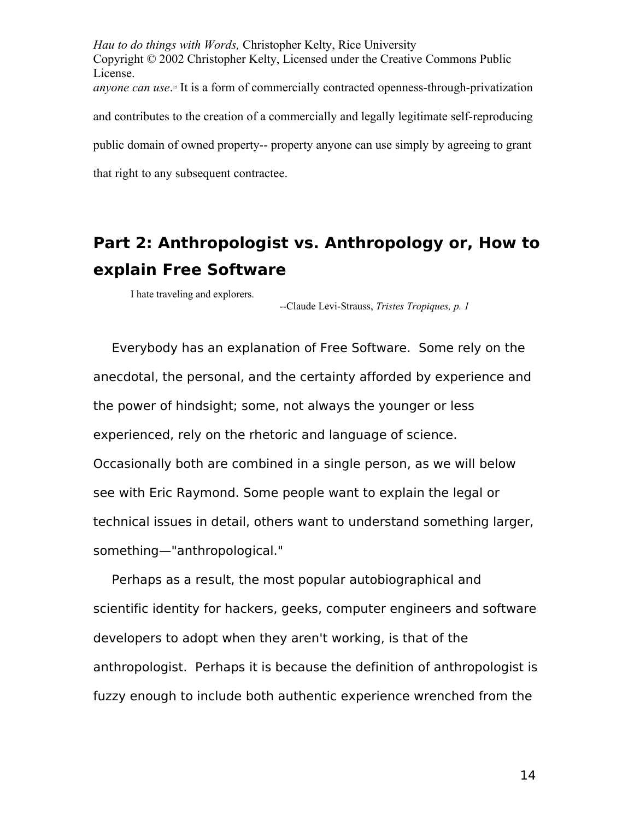*Hau to do things with Words,* Christopher Kelty, Rice University Copyright © 2002 Christopher Kelty, Licensed under the Creative Commons Public License. *anyone can use*.<sup>8</sup> It is a form of commercially contracted openness-through-privatization and contributes to the creation of a commercially and legally legitimate self-reproducing public domain of owned property-- property anyone can use simply by agreeing to grant that right to any subsequent contractee.

# **Part 2: Anthropologist vs. Anthropology or, How to explain Free Software**

I hate traveling and explorers.

--Claude Levi-Strauss, *Tristes Tropiques, p. 1*

Everybody has an explanation of Free Software. Some rely on the anecdotal, the personal, and the certainty afforded by experience and the power of hindsight; some, not always the younger or less experienced, rely on the rhetoric and language of science. Occasionally both are combined in a single person, as we will below see with Eric Raymond. Some people want to explain the legal or technical issues in detail, others want to understand something larger, something—"anthropological."

Perhaps as a result, the most popular autobiographical and scientific identity for hackers, geeks, computer engineers and software developers to adopt when they aren't working, is that of the anthropologist. Perhaps it is because the definition of anthropologist is fuzzy enough to include both authentic experience wrenched from the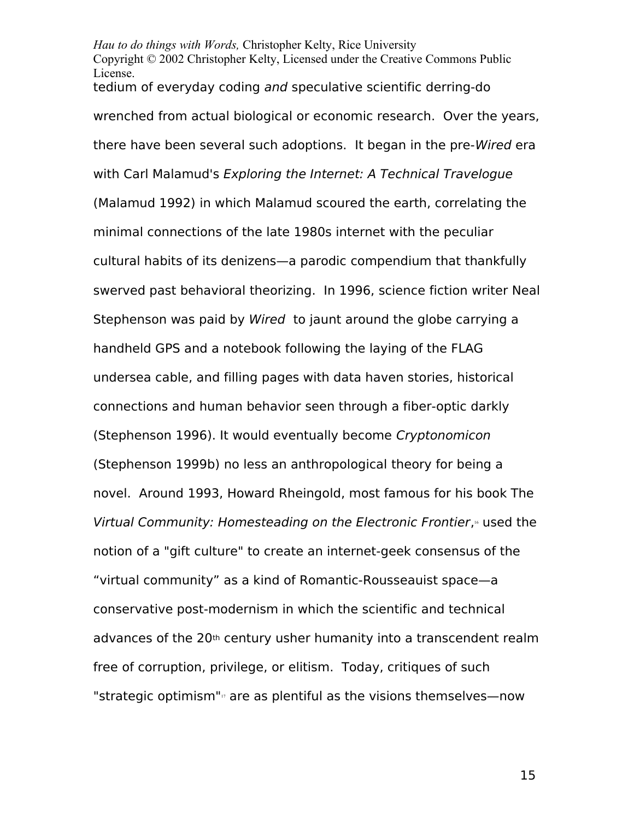*Hau to do things with Words,* Christopher Kelty, Rice University Copyright © 2002 Christopher Kelty, Licensed under the Creative Commons Public License. tedium of everyday coding and speculative scientific derring-do wrenched from actual biological or economic research. Over the years, there have been several such adoptions. It began in the pre-Wired era with Carl Malamud's Exploring the Internet: A Technical Travelogue (Malamud 1992) in which Malamud scoured the earth, correlating the minimal connections of the late 1980s internet with the peculiar cultural habits of its denizens—a parodic compendium that thankfully swerved past behavioral theorizing. In 1996, science fiction writer Neal Stephenson was paid by Wired to jaunt around the globe carrying a handheld GPS and a notebook following the laying of the FLAG undersea cable, and filling pages with data haven stories, historical connections and human behavior seen through a fiber-optic darkly (Stephenson 1996). It would eventually become Cryptonomicon (Stephenson 1999b) no less an anthropological theory for being a novel. Around 1993, Howard Rheingold, most famous for his book The Virtual Community: Homesteading on the Electronic Frontier, [16](#page-81-6) used the notion of a "gift culture" to create an internet-geek consensus of the "virtual community" as a kind of Romantic-Rousseauist space—a conservative post-modernism in which the scientific and technical advances of the 20<sup>th</sup> century usher humanity into a transcendent realm free of corruption, privilege, or elitism. Today, critiques of such "strategic optimism" $\sigma$  are as plentiful as the visions themselves—now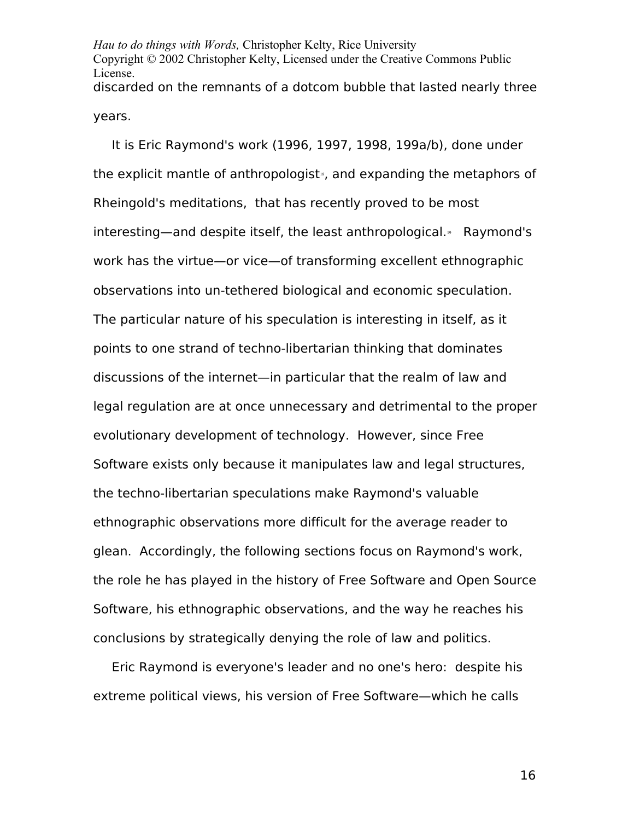*Hau to do things with Words,* Christopher Kelty, Rice University Copyright © 2002 Christopher Kelty, Licensed under the Creative Commons Public License. discarded on the remnants of a dotcom bubble that lasted nearly three years.

It is Eric Raymond's work (1996, 1997, 1998, 199a/b), done under the explicit mantle of anthropologist<sup>®</sup>, and expanding the metaphors of Rheingold's meditations, that has recently proved to be most interesting—and despite itself, the least anthropological.<sup>®</sup> Raymond's work has the virtue—or vice—of transforming excellent ethnographic observations into un-tethered biological and economic speculation. The particular nature of his speculation is interesting in itself, as it points to one strand of techno-libertarian thinking that dominates discussions of the internet—in particular that the realm of law and legal regulation are at once unnecessary and detrimental to the proper evolutionary development of technology. However, since Free Software exists only because it manipulates law and legal structures, the techno-libertarian speculations make Raymond's valuable ethnographic observations more difficult for the average reader to glean. Accordingly, the following sections focus on Raymond's work, the role he has played in the history of Free Software and Open Source Software, his ethnographic observations, and the way he reaches his conclusions by strategically denying the role of law and politics.

Eric Raymond is everyone's leader and no one's hero: despite his extreme political views, his version of Free Software—which he calls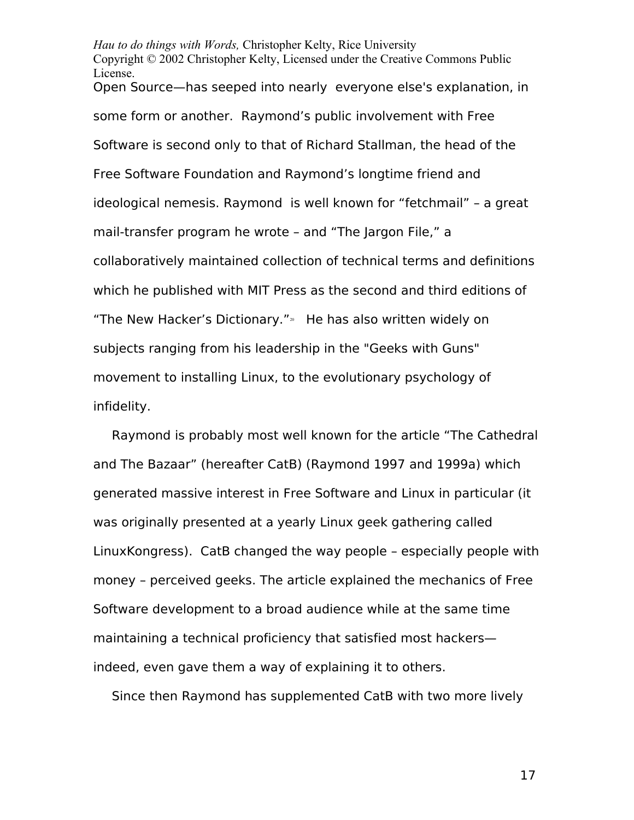*Hau to do things with Words,* Christopher Kelty, Rice University Copyright © 2002 Christopher Kelty, Licensed under the Creative Commons Public License. Open Source—has seeped into nearly everyone else's explanation, in some form or another. Raymond's public involvement with Free Software is second only to that of Richard Stallman, the head of the Free Software Foundation and Raymond's longtime friend and ideological nemesis. Raymond is well known for "fetchmail" – a great mail-transfer program he wrote – and "The Jargon File," a collaboratively maintained collection of technical terms and definitions which he published with MIT Press as the second and third editions of "The New Hacker's Dictionary."<sup>[20](#page-82-2)</sup> He has also written widely on subjects ranging from his leadership in the "Geeks with Guns" movement to installing Linux, to the evolutionary psychology of infidelity.

Raymond is probably most well known for the article "The Cathedral and The Bazaar" (hereafter CatB) (Raymond 1997 and 1999a) which generated massive interest in Free Software and Linux in particular (it was originally presented at a yearly Linux geek gathering called LinuxKongress). CatB changed the way people – especially people with money – perceived geeks. The article explained the mechanics of Free Software development to a broad audience while at the same time maintaining a technical proficiency that satisfied most hackers indeed, even gave them a way of explaining it to others.

Since then Raymond has supplemented CatB with two more lively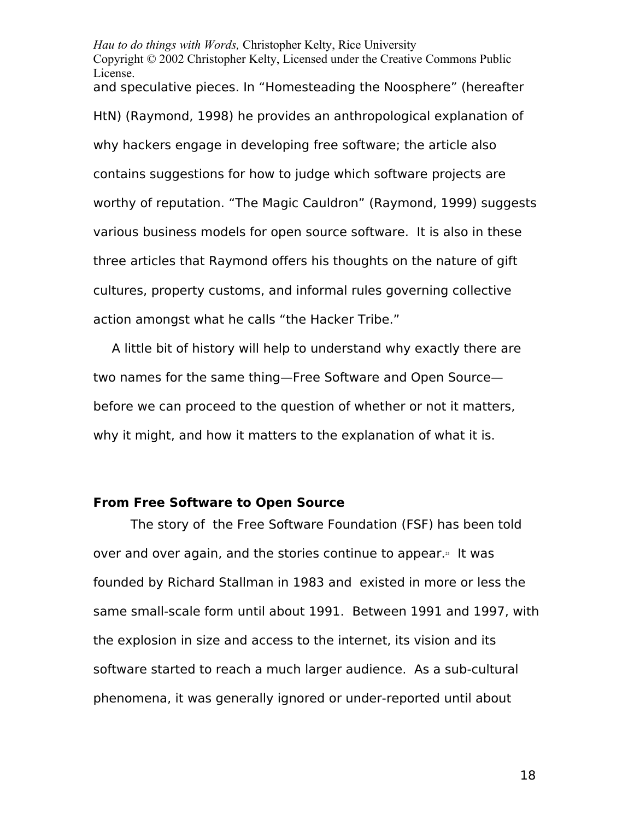*Hau to do things with Words,* Christopher Kelty, Rice University Copyright © 2002 Christopher Kelty, Licensed under the Creative Commons Public License. and speculative pieces. In "Homesteading the Noosphere" (hereafter HtN) (Raymond, 1998) he provides an anthropological explanation of why hackers engage in developing free software; the article also contains suggestions for how to judge which software projects are worthy of reputation. "The Magic Cauldron" (Raymond, 1999) suggests various business models for open source software. It is also in these three articles that Raymond offers his thoughts on the nature of gift cultures, property customs, and informal rules governing collective action amongst what he calls "the Hacker Tribe."

A little bit of history will help to understand why exactly there are two names for the same thing—Free Software and Open Source before we can proceed to the question of whether or not it matters, why it might, and how it matters to the explanation of what it is.

#### **From Free Software to Open Source**

The story of the Free Software Foundation (FSF) has been told over and over again, and the stories continue to appear.<sup>[21](#page-82-3)</sup> It was founded by Richard Stallman in 1983 and existed in more or less the same small-scale form until about 1991. Between 1991 and 1997, with the explosion in size and access to the internet, its vision and its software started to reach a much larger audience. As a sub-cultural phenomena, it was generally ignored or under-reported until about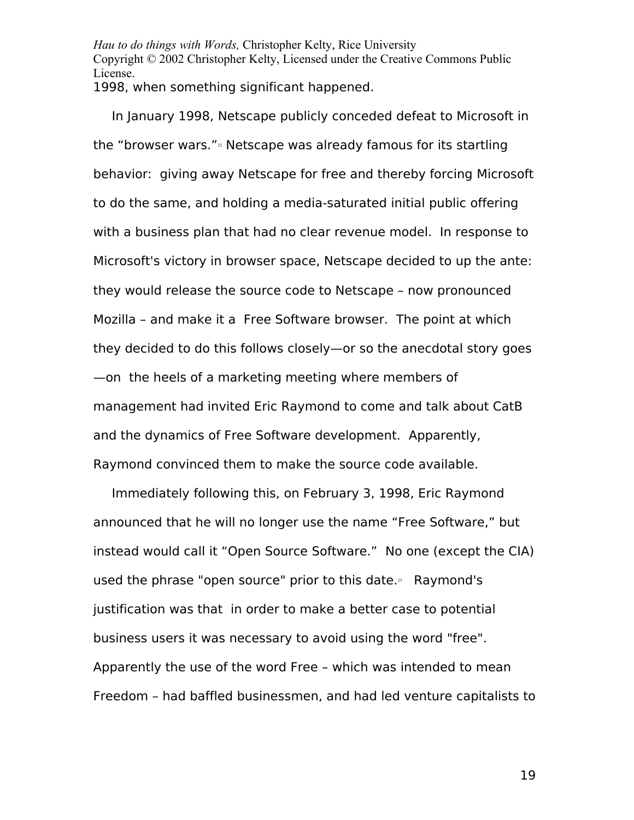*Hau to do things with Words,* Christopher Kelty, Rice University Copyright © 2002 Christopher Kelty, Licensed under the Creative Commons Public License. 1998, when something significant happened.

In January 1998, Netscape publicly conceded defeat to Microsoft in the "browser wars." $\frac{1}{2}$  Netscape was already famous for its startling behavior: giving away Netscape for free and thereby forcing Microsoft to do the same, and holding a media-saturated initial public offering with a business plan that had no clear revenue model. In response to Microsoft's victory in browser space, Netscape decided to up the ante: they would release the source code to Netscape – now pronounced Mozilla – and make it a Free Software browser. The point at which they decided to do this follows closely—or so the anecdotal story goes —on the heels of a marketing meeting where members of management had invited Eric Raymond to come and talk about CatB and the dynamics of Free Software development. Apparently, Raymond convinced them to make the source code available.

Immediately following this, on February 3, 1998, Eric Raymond announced that he will no longer use the name "Free Software," but instead would call it "Open Source Software." No one (except the CIA) used the phrase "open source" prior to this date. $35$  Raymond's justification was that in order to make a better case to potential business users it was necessary to avoid using the word "free". Apparently the use of the word Free – which was intended to mean Freedom – had baffled businessmen, and had led venture capitalists to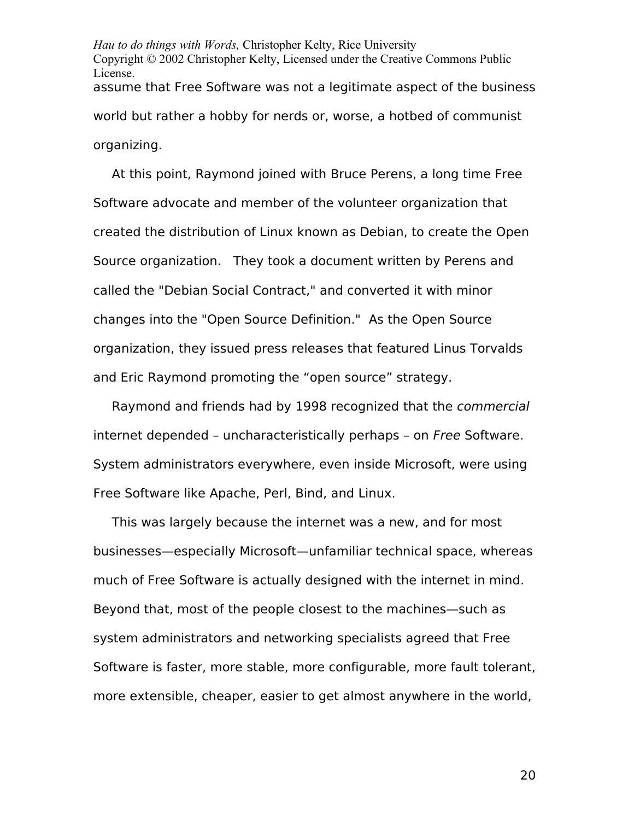*Hau to do things with Words,* Christopher Kelty, Rice University Copyright © 2002 Christopher Kelty, Licensed under the Creative Commons Public License. assume that Free Software was not a legitimate aspect of the business world but rather a hobby for nerds or, worse, a hotbed of communist organizing.

At this point, Raymond joined with Bruce Perens, a long time Free Software advocate and member of the volunteer organization that created the distribution of Linux known as Debian, to create the Open Source organization. They took a document written by Perens and called the "Debian Social Contract," and converted it with minor changes into the "Open Source Definition." As the Open Source organization, they issued press releases that featured Linus Torvalds and Eric Raymond promoting the "open source" strategy.

Raymond and friends had by 1998 recognized that the commercial internet depended – uncharacteristically perhaps – on Free Software. System administrators everywhere, even inside Microsoft, were using Free Software like Apache, Perl, Bind, and Linux.

This was largely because the internet was a new, and for most businesses—especially Microsoft—unfamiliar technical space, whereas much of Free Software is actually designed with the internet in mind. Beyond that, most of the people closest to the machines—such as system administrators and networking specialists agreed that Free Software is faster, more stable, more configurable, more fault tolerant, more extensible, cheaper, easier to get almost anywhere in the world,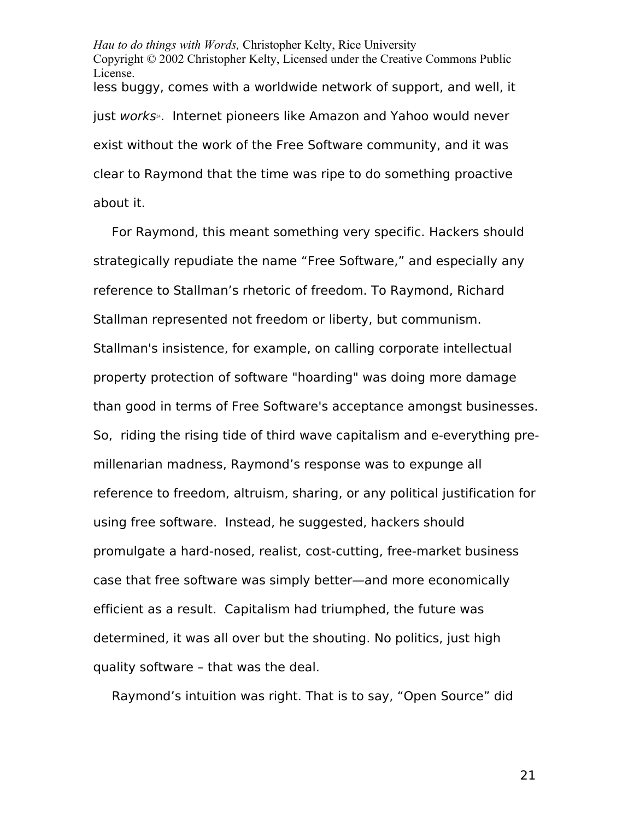*Hau to do things with Words,* Christopher Kelty, Rice University Copyright © 2002 Christopher Kelty, Licensed under the Creative Commons Public License. less buggy, comes with a worldwide network of support, and well, it just works<sup>[24](#page-82-6)</sup>. Internet pioneers like Amazon and Yahoo would never exist without the work of the Free Software community, and it was clear to Raymond that the time was ripe to do something proactive about it.

For Raymond, this meant something very specific. Hackers should strategically repudiate the name "Free Software," and especially any reference to Stallman's rhetoric of freedom. To Raymond, Richard Stallman represented not freedom or liberty, but communism. Stallman's insistence, for example, on calling corporate intellectual property protection of software "hoarding" was doing more damage than good in terms of Free Software's acceptance amongst businesses. So, riding the rising tide of third wave capitalism and e-everything premillenarian madness, Raymond's response was to expunge all reference to freedom, altruism, sharing, or any political justification for using free software. Instead, he suggested, hackers should promulgate a hard-nosed, realist, cost-cutting, free-market business case that free software was simply better—and more economically efficient as a result. Capitalism had triumphed, the future was determined, it was all over but the shouting. No politics, just high quality software – that was the deal.

Raymond's intuition was right. That is to say, "Open Source" did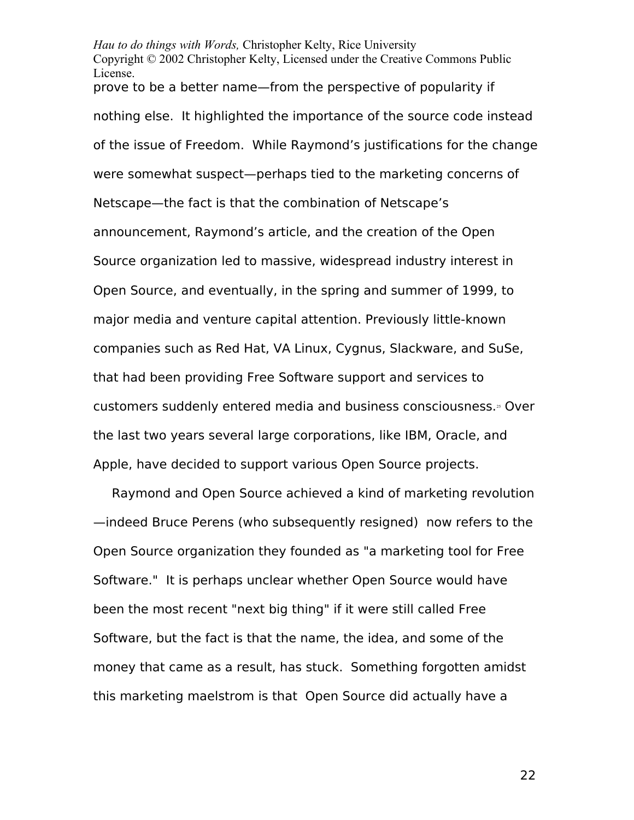*Hau to do things with Words,* Christopher Kelty, Rice University Copyright © 2002 Christopher Kelty, Licensed under the Creative Commons Public License. prove to be a better name—from the perspective of popularity if nothing else. It highlighted the importance of the source code instead of the issue of Freedom. While Raymond's justifications for the change were somewhat suspect—perhaps tied to the marketing concerns of Netscape—the fact is that the combination of Netscape's announcement, Raymond's article, and the creation of the Open Source organization led to massive, widespread industry interest in Open Source, and eventually, in the spring and summer of 1999, to major media and venture capital attention. Previously little-known companies such as Red Hat, VA Linux, Cygnus, Slackware, and SuSe, that had been providing Free Software support and services to customers suddenly entered media and business consciousness. $35$  Over the last two years several large corporations, like IBM, Oracle, and Apple, have decided to support various Open Source projects.

Raymond and Open Source achieved a kind of marketing revolution —indeed Bruce Perens (who subsequently resigned) now refers to the Open Source organization they founded as "a marketing tool for Free Software." It is perhaps unclear whether Open Source would have been the most recent "next big thing" if it were still called Free Software, but the fact is that the name, the idea, and some of the money that came as a result, has stuck. Something forgotten amidst this marketing maelstrom is that Open Source did actually have a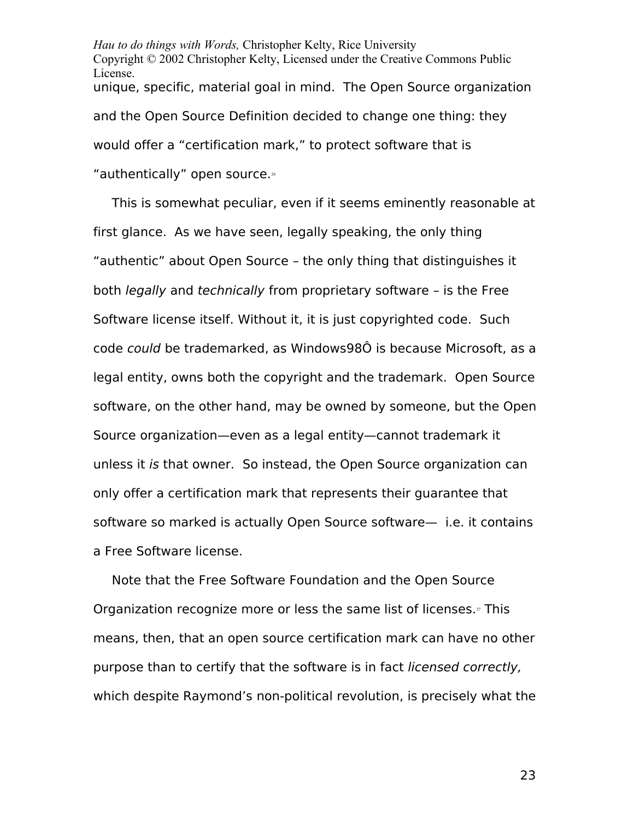*Hau to do things with Words,* Christopher Kelty, Rice University Copyright © 2002 Christopher Kelty, Licensed under the Creative Commons Public License. unique, specific, material goal in mind. The Open Source organization and the Open Source Definition decided to change one thing: they would offer a "certification mark," to protect software that is "authentically" open source.[26](#page-82-8)

This is somewhat peculiar, even if it seems eminently reasonable at first glance. As we have seen, legally speaking, the only thing "authentic" about Open Source – the only thing that distinguishes it both legally and technically from proprietary software – is the Free Software license itself. Without it, it is just copyrighted code. Such code could be trademarked, as Windows98Ô is because Microsoft, as a legal entity, owns both the copyright and the trademark. Open Source software, on the other hand, may be owned by someone, but the Open Source organization—even as a legal entity—cannot trademark it unless it is that owner. So instead, the Open Source organization can only offer a certification mark that represents their guarantee that software so marked is actually Open Source software— i.e. it contains a Free Software license.

Note that the Free Software Foundation and the Open Source Organization recognize more or less the same list of licenses.<sup>[27](#page-83-0)</sup> This means, then, that an open source certification mark can have no other purpose than to certify that the software is in fact licensed correctly, which despite Raymond's non-political revolution, is precisely what the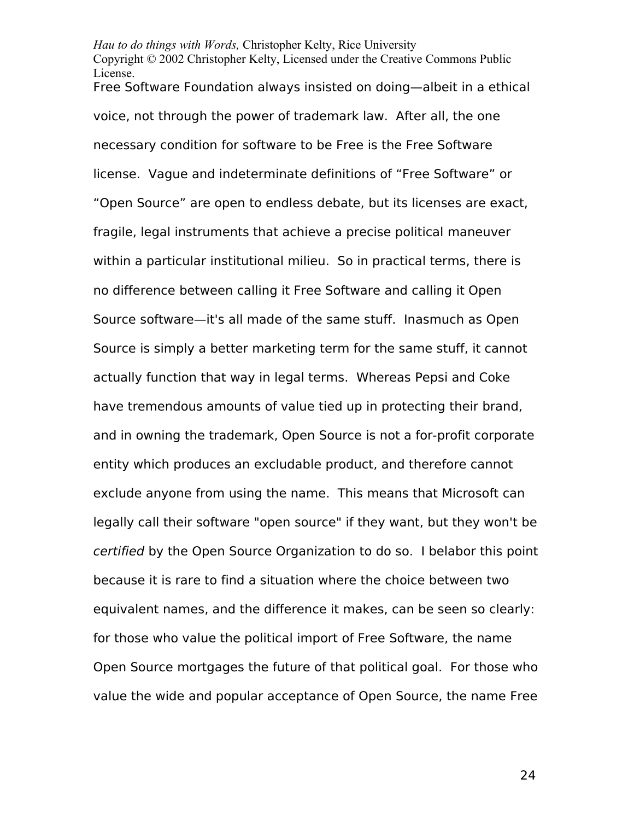*Hau to do things with Words,* Christopher Kelty, Rice University Copyright © 2002 Christopher Kelty, Licensed under the Creative Commons Public License. Free Software Foundation always insisted on doing—albeit in a ethical voice, not through the power of trademark law. After all, the one necessary condition for software to be Free is the Free Software license. Vague and indeterminate definitions of "Free Software" or "Open Source" are open to endless debate, but its licenses are exact, fragile, legal instruments that achieve a precise political maneuver within a particular institutional milieu. So in practical terms, there is no difference between calling it Free Software and calling it Open Source software—it's all made of the same stuff. Inasmuch as Open Source is simply a better marketing term for the same stuff, it cannot actually function that way in legal terms. Whereas Pepsi and Coke have tremendous amounts of value tied up in protecting their brand, and in owning the trademark, Open Source is not a for-profit corporate entity which produces an excludable product, and therefore cannot exclude anyone from using the name. This means that Microsoft can legally call their software "open source" if they want, but they won't be certified by the Open Source Organization to do so. I belabor this point because it is rare to find a situation where the choice between two equivalent names, and the difference it makes, can be seen so clearly: for those who value the political import of Free Software, the name Open Source mortgages the future of that political goal. For those who value the wide and popular acceptance of Open Source, the name Free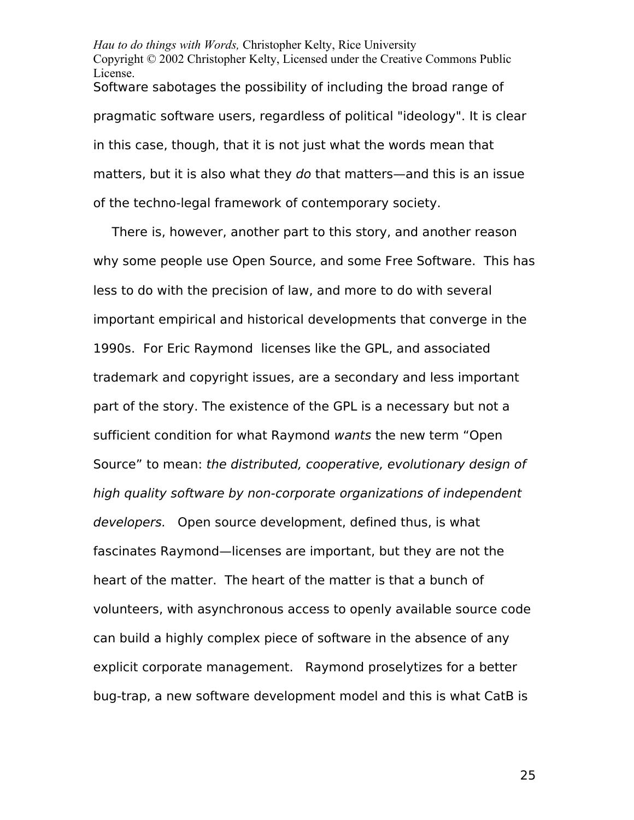*Hau to do things with Words,* Christopher Kelty, Rice University Copyright © 2002 Christopher Kelty, Licensed under the Creative Commons Public License. Software sabotages the possibility of including the broad range of pragmatic software users, regardless of political "ideology". It is clear in this case, though, that it is not just what the words mean that matters, but it is also what they do that matters—and this is an issue of the techno-legal framework of contemporary society.

There is, however, another part to this story, and another reason why some people use Open Source, and some Free Software. This has less to do with the precision of law, and more to do with several important empirical and historical developments that converge in the 1990s. For Eric Raymond licenses like the GPL, and associated trademark and copyright issues, are a secondary and less important part of the story. The existence of the GPL is a necessary but not a sufficient condition for what Raymond wants the new term "Open Source" to mean: the distributed, cooperative, evolutionary design of high quality software by non-corporate organizations of independent developers. Open source development, defined thus, is what fascinates Raymond—licenses are important, but they are not the heart of the matter. The heart of the matter is that a bunch of volunteers, with asynchronous access to openly available source code can build a highly complex piece of software in the absence of any explicit corporate management. Raymond proselytizes for a better bug-trap, a new software development model and this is what CatB is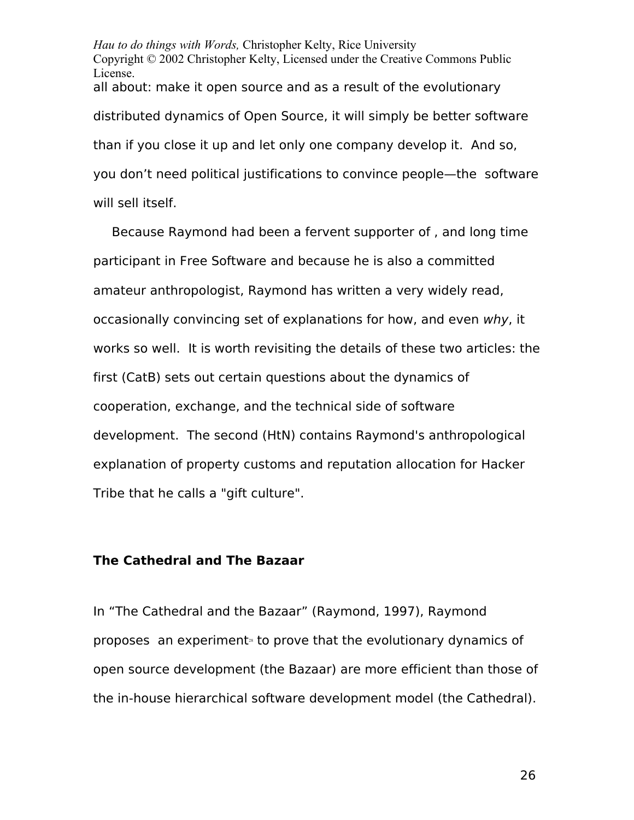*Hau to do things with Words,* Christopher Kelty, Rice University Copyright © 2002 Christopher Kelty, Licensed under the Creative Commons Public License. all about: make it open source and as a result of the evolutionary distributed dynamics of Open Source, it will simply be better software than if you close it up and let only one company develop it. And so, you don't need political justifications to convince people—the software will sell itself.

Because Raymond had been a fervent supporter of , and long time participant in Free Software and because he is also a committed amateur anthropologist, Raymond has written a very widely read, occasionally convincing set of explanations for how, and even why, it works so well. It is worth revisiting the details of these two articles: the first (CatB) sets out certain questions about the dynamics of cooperation, exchange, and the technical side of software development. The second (HtN) contains Raymond's anthropological explanation of property customs and reputation allocation for Hacker Tribe that he calls a "gift culture".

## **The Cathedral and The Bazaar**

In "The Cathedral and the Bazaar" (Raymond, 1997), Raymond proposes an experiment<sup> $a$ </sup> to prove that the evolutionary dynamics of open source development (the Bazaar) are more efficient than those of the in-house hierarchical software development model (the Cathedral).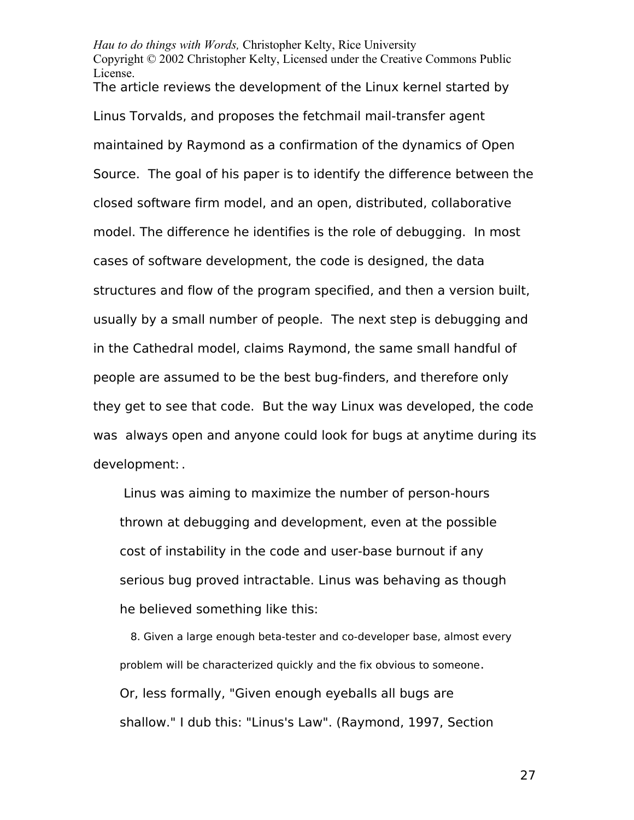*Hau to do things with Words,* Christopher Kelty, Rice University Copyright © 2002 Christopher Kelty, Licensed under the Creative Commons Public License.

The article reviews the development of the Linux kernel started by Linus Torvalds, and proposes the fetchmail mail-transfer agent maintained by Raymond as a confirmation of the dynamics of Open Source. The goal of his paper is to identify the difference between the closed software firm model, and an open, distributed, collaborative model. The difference he identifies is the role of debugging. In most cases of software development, the code is designed, the data structures and flow of the program specified, and then a version built, usually by a small number of people. The next step is debugging and in the Cathedral model, claims Raymond, the same small handful of people are assumed to be the best bug-finders, and therefore only they get to see that code. But the way Linux was developed, the code was always open and anyone could look for bugs at anytime during its development: .

 Linus was aiming to maximize the number of person-hours thrown at debugging and development, even at the possible cost of instability in the code and user-base burnout if any serious bug proved intractable. Linus was behaving as though he believed something like this:

8. Given a large enough beta-tester and co-developer base, almost every problem will be characterized quickly and the fix obvious to someone. Or, less formally, "Given enough eyeballs all bugs are shallow." I dub this: "Linus's Law". (Raymond, 1997, Section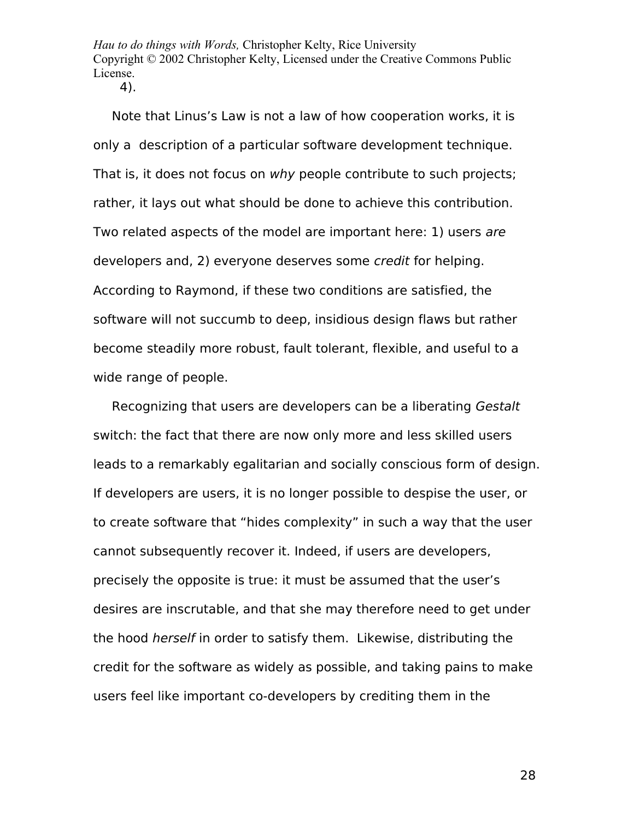*Hau to do things with Words,* Christopher Kelty, Rice University Copyright © 2002 Christopher Kelty, Licensed under the Creative Commons Public License.

4).

Note that Linus's Law is not a law of how cooperation works, it is only a description of a particular software development technique. That is, it does not focus on why people contribute to such projects; rather, it lays out what should be done to achieve this contribution. Two related aspects of the model are important here: 1) users are developers and, 2) everyone deserves some credit for helping. According to Raymond, if these two conditions are satisfied, the software will not succumb to deep, insidious design flaws but rather become steadily more robust, fault tolerant, flexible, and useful to a wide range of people.

Recognizing that users are developers can be a liberating Gestalt switch: the fact that there are now only more and less skilled users leads to a remarkably egalitarian and socially conscious form of design. If developers are users, it is no longer possible to despise the user, or to create software that "hides complexity" in such a way that the user cannot subsequently recover it. Indeed, if users are developers, precisely the opposite is true: it must be assumed that the user's desires are inscrutable, and that she may therefore need to get under the hood herself in order to satisfy them. Likewise, distributing the credit for the software as widely as possible, and taking pains to make users feel like important co-developers by crediting them in the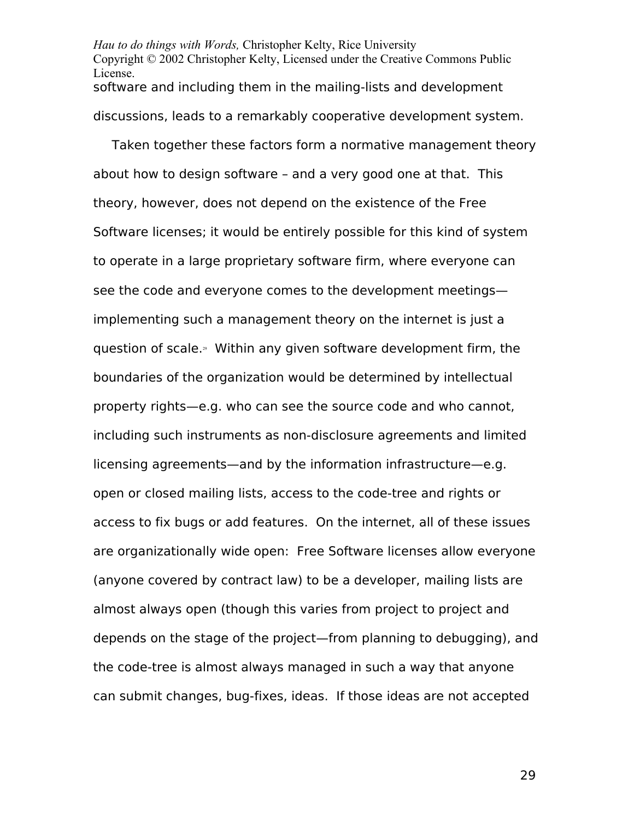*Hau to do things with Words,* Christopher Kelty, Rice University Copyright © 2002 Christopher Kelty, Licensed under the Creative Commons Public License. software and including them in the mailing-lists and development discussions, leads to a remarkably cooperative development system.

Taken together these factors form a normative management theory about how to design software – and a very good one at that. This theory, however, does not depend on the existence of the Free Software licenses; it would be entirely possible for this kind of system to operate in a large proprietary software firm, where everyone can see the code and everyone comes to the development meetings implementing such a management theory on the internet is just a guestion of scale.<sup>30</sup> Within any given software development firm, the boundaries of the organization would be determined by intellectual property rights—e.g. who can see the source code and who cannot, including such instruments as non-disclosure agreements and limited licensing agreements—and by the information infrastructure—e.g. open or closed mailing lists, access to the code-tree and rights or access to fix bugs or add features. On the internet, all of these issues are organizationally wide open: Free Software licenses allow everyone (anyone covered by contract law) to be a developer, mailing lists are almost always open (though this varies from project to project and depends on the stage of the project—from planning to debugging), and the code-tree is almost always managed in such a way that anyone can submit changes, bug-fixes, ideas. If those ideas are not accepted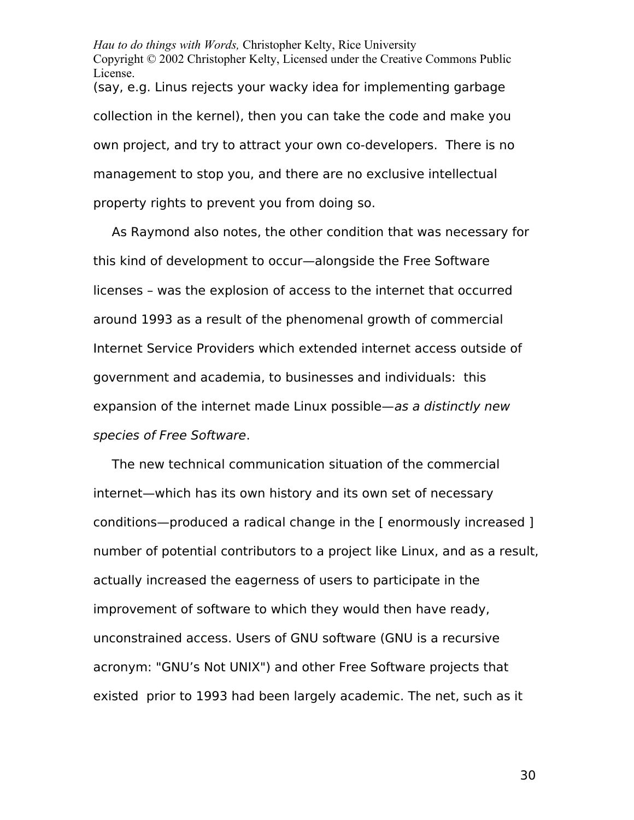*Hau to do things with Words,* Christopher Kelty, Rice University Copyright © 2002 Christopher Kelty, Licensed under the Creative Commons Public License. (say, e.g. Linus rejects your wacky idea for implementing garbage collection in the kernel), then you can take the code and make you own project, and try to attract your own co-developers. There is no management to stop you, and there are no exclusive intellectual property rights to prevent you from doing so.

As Raymond also notes, the other condition that was necessary for this kind of development to occur—alongside the Free Software licenses – was the explosion of access to the internet that occurred around 1993 as a result of the phenomenal growth of commercial Internet Service Providers which extended internet access outside of government and academia, to businesses and individuals: this expansion of the internet made Linux possible—as a distinctly new species of Free Software.

The new technical communication situation of the commercial internet—which has its own history and its own set of necessary conditions—produced a radical change in the [ enormously increased ] number of potential contributors to a project like Linux, and as a result, actually increased the eagerness of users to participate in the improvement of software to which they would then have ready, unconstrained access. Users of GNU software (GNU is a recursive acronym: "GNU's Not UNIX") and other Free Software projects that existed prior to 1993 had been largely academic. The net, such as it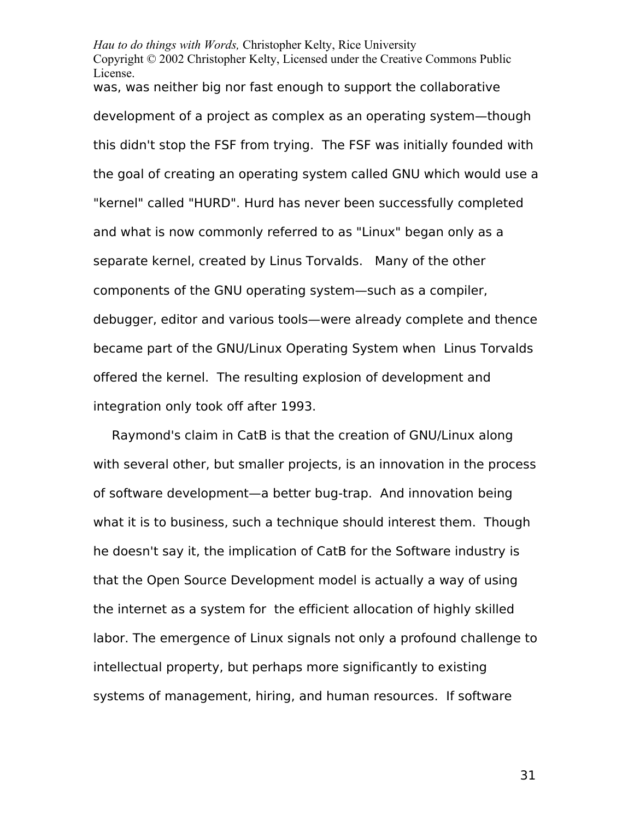*Hau to do things with Words,* Christopher Kelty, Rice University Copyright © 2002 Christopher Kelty, Licensed under the Creative Commons Public License. was, was neither big nor fast enough to support the collaborative development of a project as complex as an operating system—though this didn't stop the FSF from trying. The FSF was initially founded with the goal of creating an operating system called GNU which would use a "kernel" called "HURD". Hurd has never been successfully completed and what is now commonly referred to as "Linux" began only as a separate kernel, created by Linus Torvalds. Many of the other components of the GNU operating system—such as a compiler, debugger, editor and various tools—were already complete and thence became part of the GNU/Linux Operating System when Linus Torvalds offered the kernel. The resulting explosion of development and integration only took off after 1993.

Raymond's claim in CatB is that the creation of GNU/Linux along with several other, but smaller projects, is an innovation in the process of software development—a better bug-trap. And innovation being what it is to business, such a technique should interest them. Though he doesn't say it, the implication of CatB for the Software industry is that the Open Source Development model is actually a way of using the internet as a system for the efficient allocation of highly skilled labor. The emergence of Linux signals not only a profound challenge to intellectual property, but perhaps more significantly to existing systems of management, hiring, and human resources. If software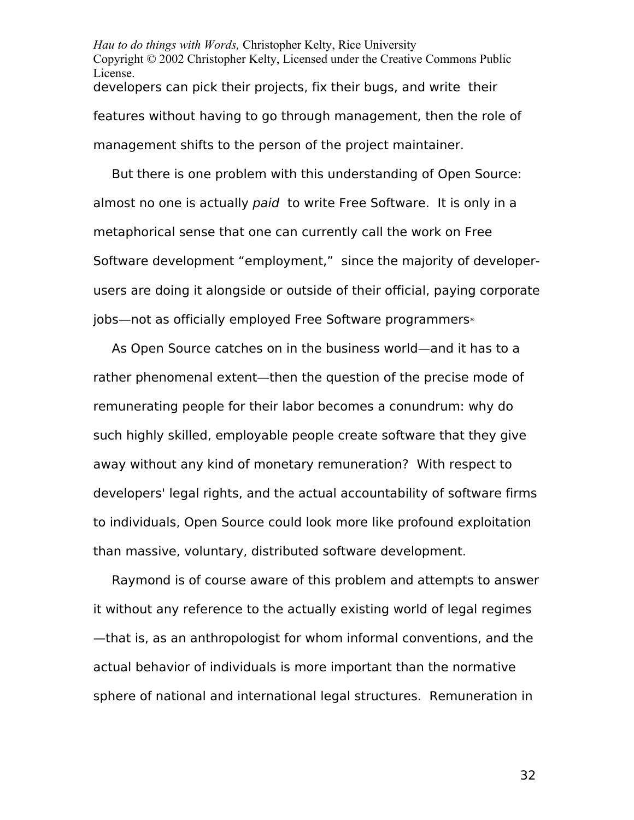*Hau to do things with Words,* Christopher Kelty, Rice University Copyright © 2002 Christopher Kelty, Licensed under the Creative Commons Public License. developers can pick their projects, fix their bugs, and write their features without having to go through management, then the role of management shifts to the person of the project maintainer.

But there is one problem with this understanding of Open Source: almost no one is actually paid to write Free Software. It is only in a metaphorical sense that one can currently call the work on Free Software development "employment," since the majority of developerusers are doing it alongside or outside of their official, paying corporate jobs—not as officially employed Free Software programmers<sup>®</sup>

As Open Source catches on in the business world—and it has to a rather phenomenal extent—then the question of the precise mode of remunerating people for their labor becomes a conundrum: why do such highly skilled, employable people create software that they give away without any kind of monetary remuneration? With respect to developers' legal rights, and the actual accountability of software firms to individuals, Open Source could look more like profound exploitation than massive, voluntary, distributed software development.

Raymond is of course aware of this problem and attempts to answer it without any reference to the actually existing world of legal regimes —that is, as an anthropologist for whom informal conventions, and the actual behavior of individuals is more important than the normative sphere of national and international legal structures. Remuneration in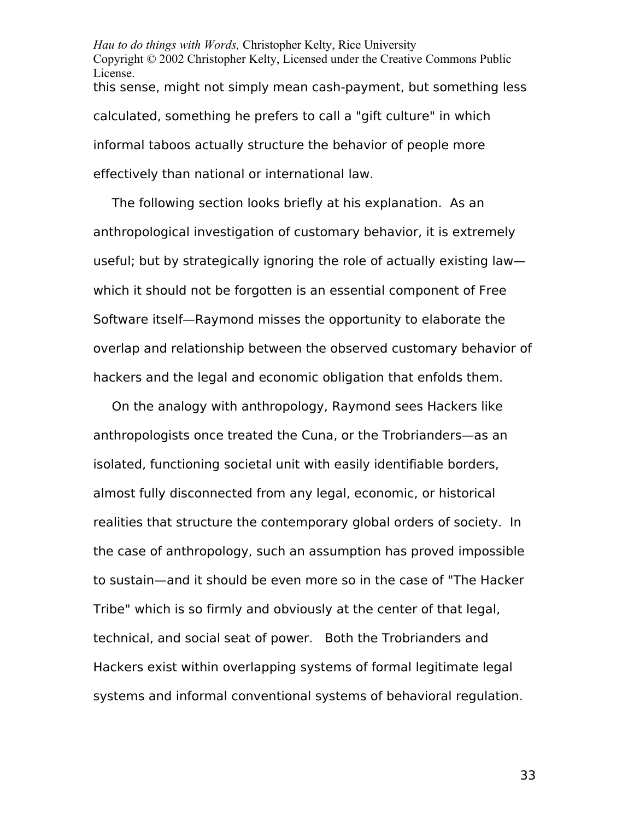*Hau to do things with Words,* Christopher Kelty, Rice University Copyright © 2002 Christopher Kelty, Licensed under the Creative Commons Public License. this sense, might not simply mean cash-payment, but something less calculated, something he prefers to call a "gift culture" in which informal taboos actually structure the behavior of people more effectively than national or international law.

The following section looks briefly at his explanation. As an anthropological investigation of customary behavior, it is extremely useful; but by strategically ignoring the role of actually existing law which it should not be forgotten is an essential component of Free Software itself—Raymond misses the opportunity to elaborate the overlap and relationship between the observed customary behavior of hackers and the legal and economic obligation that enfolds them.

On the analogy with anthropology, Raymond sees Hackers like anthropologists once treated the Cuna, or the Trobrianders—as an isolated, functioning societal unit with easily identifiable borders, almost fully disconnected from any legal, economic, or historical realities that structure the contemporary global orders of society. In the case of anthropology, such an assumption has proved impossible to sustain—and it should be even more so in the case of "The Hacker Tribe" which is so firmly and obviously at the center of that legal, technical, and social seat of power. Both the Trobrianders and Hackers exist within overlapping systems of formal legitimate legal systems and informal conventional systems of behavioral regulation.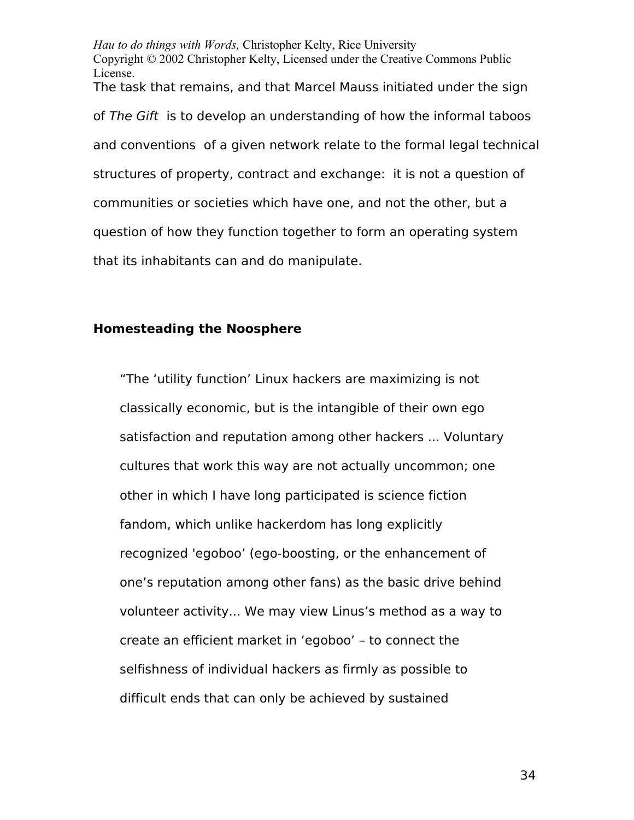*Hau to do things with Words,* Christopher Kelty, Rice University Copyright © 2002 Christopher Kelty, Licensed under the Creative Commons Public License. The task that remains, and that Marcel Mauss initiated under the sign of The Gift is to develop an understanding of how the informal taboos and conventions of a given network relate to the formal legal technical structures of property, contract and exchange: it is not a question of communities or societies which have one, and not the other, but a question of how they function together to form an operating system that its inhabitants can and do manipulate.

#### **Homesteading the Noosphere**

"The 'utility function' Linux hackers are maximizing is not classically economic, but is the intangible of their own ego satisfaction and reputation among other hackers ... Voluntary cultures that work this way are not actually uncommon; one other in which I have long participated is science fiction fandom, which unlike hackerdom has long explicitly recognized 'egoboo' (ego-boosting, or the enhancement of one's reputation among other fans) as the basic drive behind volunteer activity... We may view Linus's method as a way to create an efficient market in 'egoboo' – to connect the selfishness of individual hackers as firmly as possible to difficult ends that can only be achieved by sustained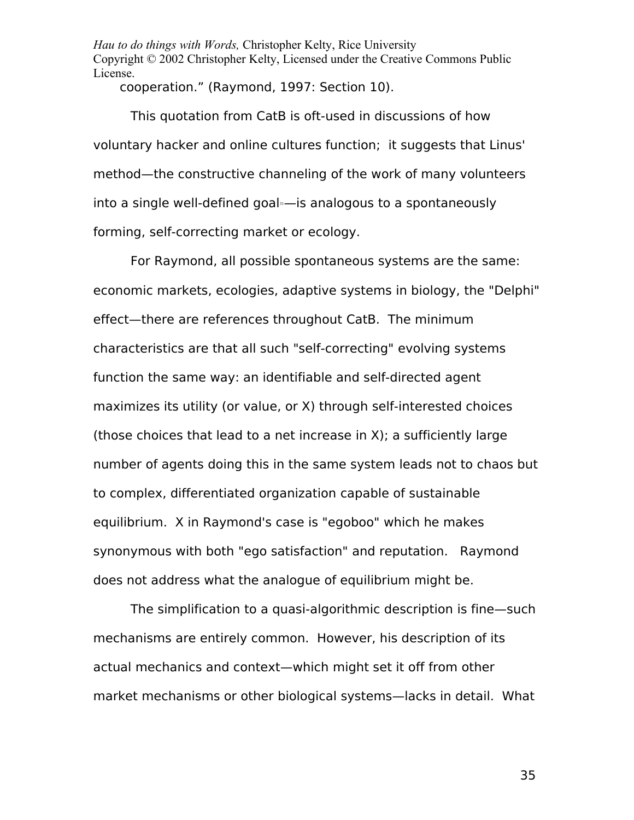*Hau to do things with Words,* Christopher Kelty, Rice University Copyright © 2002 Christopher Kelty, Licensed under the Creative Commons Public License.

cooperation." (Raymond, 1997: Section 10).

This quotation from CatB is oft-used in discussions of how voluntary hacker and online cultures function; it suggests that Linus' method—the constructive channeling of the work of many volunteers into a single well-defined goal  $-$  is analogous to a spontaneously forming, self-correcting market or ecology.

For Raymond, all possible spontaneous systems are the same: economic markets, ecologies, adaptive systems in biology, the "Delphi" effect—there are references throughout CatB. The minimum characteristics are that all such "self-correcting" evolving systems function the same way: an identifiable and self-directed agent maximizes its utility (or value, or X) through self-interested choices (those choices that lead to a net increase in X); a sufficiently large number of agents doing this in the same system leads not to chaos but to complex, differentiated organization capable of sustainable equilibrium. X in Raymond's case is "egoboo" which he makes synonymous with both "ego satisfaction" and reputation. Raymond does not address what the analogue of equilibrium might be.

The simplification to a quasi-algorithmic description is fine—such mechanisms are entirely common. However, his description of its actual mechanics and context—which might set it off from other market mechanisms or other biological systems—lacks in detail. What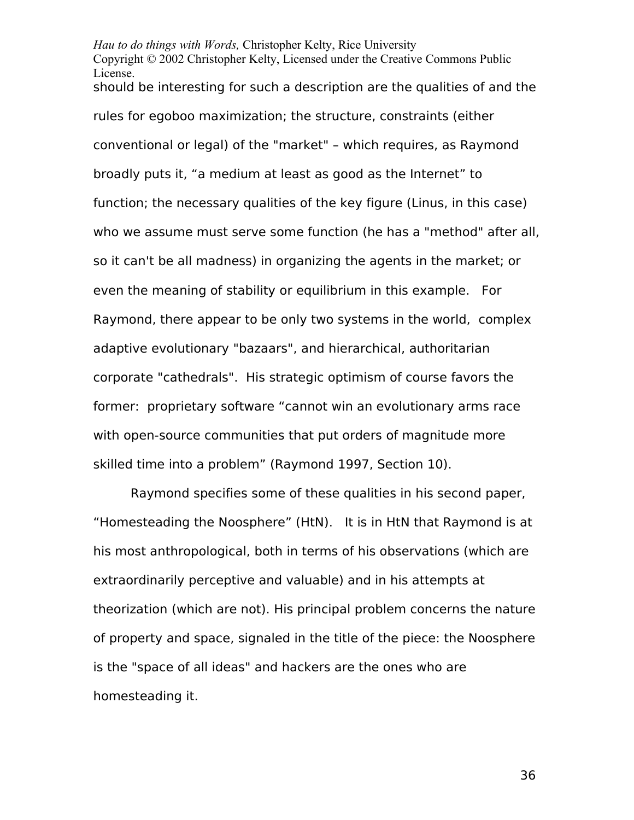*Hau to do things with Words,* Christopher Kelty, Rice University Copyright © 2002 Christopher Kelty, Licensed under the Creative Commons Public License. should be interesting for such a description are the qualities of and the rules for egoboo maximization; the structure, constraints (either conventional or legal) of the "market" – which requires, as Raymond broadly puts it, "a medium at least as good as the Internet" to function; the necessary qualities of the key figure (Linus, in this case) who we assume must serve some function (he has a "method" after all, so it can't be all madness) in organizing the agents in the market; or even the meaning of stability or equilibrium in this example. For Raymond, there appear to be only two systems in the world, complex adaptive evolutionary "bazaars", and hierarchical, authoritarian corporate "cathedrals". His strategic optimism of course favors the former: proprietary software "cannot win an evolutionary arms race with open-source communities that put orders of magnitude more skilled time into a problem" (Raymond 1997, Section 10).

Raymond specifies some of these qualities in his second paper, "Homesteading the Noosphere" (HtN). It is in HtN that Raymond is at his most anthropological, both in terms of his observations (which are extraordinarily perceptive and valuable) and in his attempts at theorization (which are not). His principal problem concerns the nature of property and space, signaled in the title of the piece: the Noosphere is the "space of all ideas" and hackers are the ones who are homesteading it.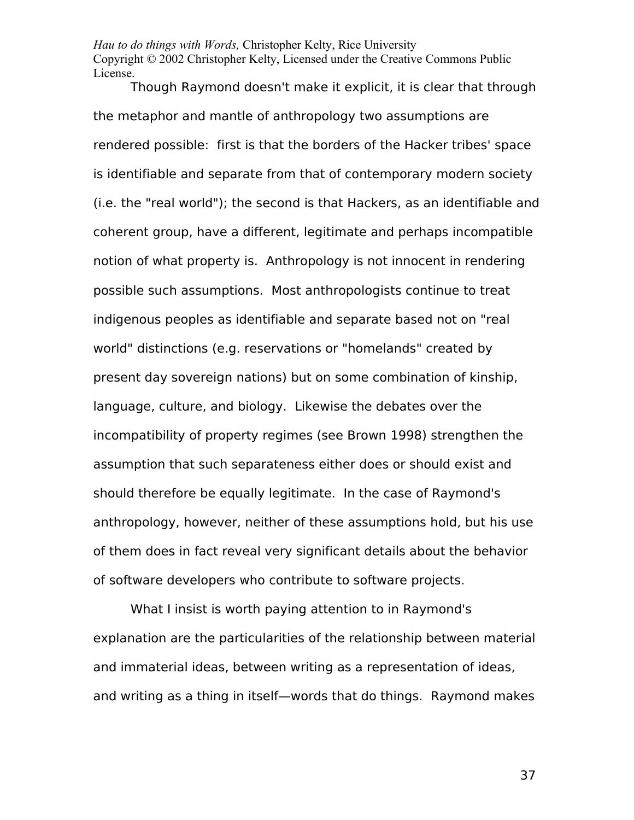Though Raymond doesn't make it explicit, it is clear that through the metaphor and mantle of anthropology two assumptions are rendered possible: first is that the borders of the Hacker tribes' space is identifiable and separate from that of contemporary modern society (i.e. the "real world"); the second is that Hackers, as an identifiable and coherent group, have a different, legitimate and perhaps incompatible notion of what property is. Anthropology is not innocent in rendering possible such assumptions. Most anthropologists continue to treat indigenous peoples as identifiable and separate based not on "real world" distinctions (e.g. reservations or "homelands" created by present day sovereign nations) but on some combination of kinship, language, culture, and biology. Likewise the debates over the incompatibility of property regimes (see Brown 1998) strengthen the assumption that such separateness either does or should exist and should therefore be equally legitimate. In the case of Raymond's anthropology, however, neither of these assumptions hold, but his use of them does in fact reveal very significant details about the behavior of software developers who contribute to software projects.

What I insist is worth paying attention to in Raymond's explanation are the particularities of the relationship between material and immaterial ideas, between writing as a representation of ideas, and writing as a thing in itself—words that do things. Raymond makes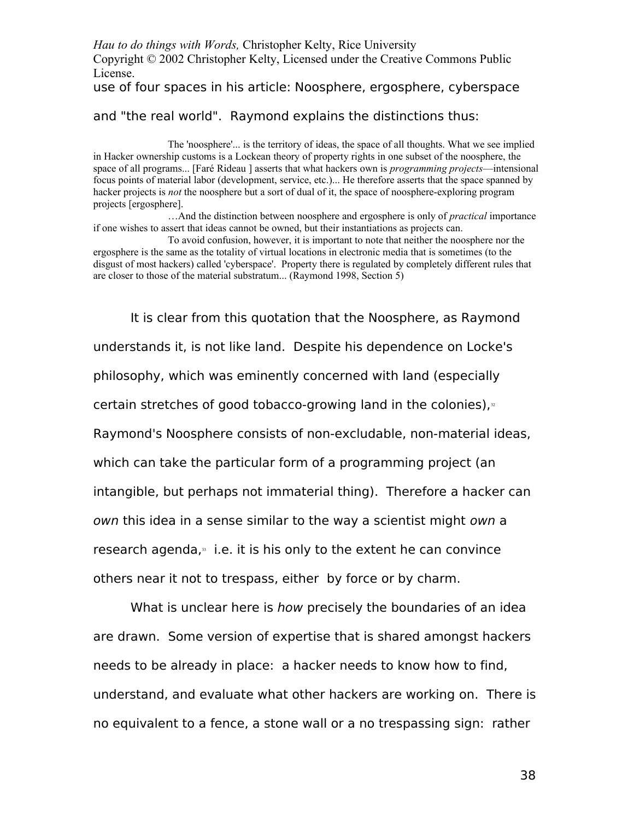## use of four spaces in his article: Noosphere, ergosphere, cyberspace

### and "the real world". Raymond explains the distinctions thus:

The 'noosphere'... is the territory of ideas, the space of all thoughts. What we see implied in Hacker ownership customs is a Lockean theory of property rights in one subset of the noosphere, the space of all programs... [Faré Rideau ] asserts that what hackers own is *programming projects*—intensional focus points of material labor (development, service, etc.)... He therefore asserts that the space spanned by hacker projects is *not* the noosphere but a sort of dual of it, the space of noosphere-exploring program projects [ergosphere].

…And the distinction between noosphere and ergosphere is only of *practical* importance if one wishes to assert that ideas cannot be owned, but their instantiations as projects can.

To avoid confusion, however, it is important to note that neither the noosphere nor the ergosphere is the same as the totality of virtual locations in electronic media that is sometimes (to the disgust of most hackers) called 'cyberspace'. Property there is regulated by completely different rules that are closer to those of the material substratum... (Raymond 1998, Section 5)

It is clear from this quotation that the Noosphere, as Raymond understands it, is not like land. Despite his dependence on Locke's philosophy, which was eminently concerned with land (especially certain stretches of good tobacco-growing land in the colonies), $\frac{3}{2}$ Raymond's Noosphere consists of non-excludable, non-material ideas, which can take the particular form of a programming project (an intangible, but perhaps not immaterial thing). Therefore a hacker can own this idea in a sense similar to the way a scientist might own a research agenda, $33$  i.e. it is his only to the extent he can convince others near it not to trespass, either by force or by charm.

What is unclear here is how precisely the boundaries of an idea are drawn. Some version of expertise that is shared amongst hackers needs to be already in place: a hacker needs to know how to find, understand, and evaluate what other hackers are working on. There is no equivalent to a fence, a stone wall or a no trespassing sign: rather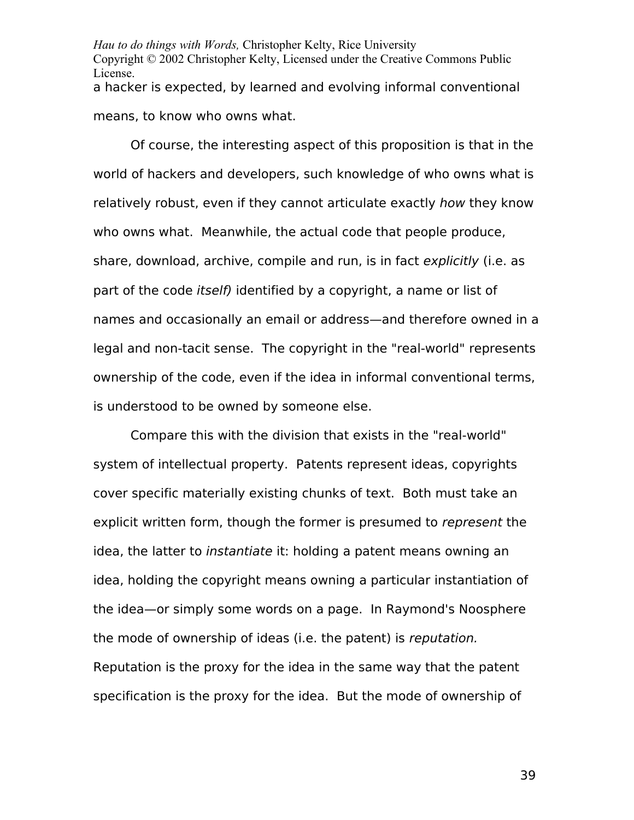*Hau to do things with Words,* Christopher Kelty, Rice University Copyright © 2002 Christopher Kelty, Licensed under the Creative Commons Public License. a hacker is expected, by learned and evolving informal conventional means, to know who owns what.

Of course, the interesting aspect of this proposition is that in the world of hackers and developers, such knowledge of who owns what is relatively robust, even if they cannot articulate exactly how they know who owns what. Meanwhile, the actual code that people produce, share, download, archive, compile and run, is in fact explicitly (i.e. as part of the code *itself*) identified by a copyright, a name or list of names and occasionally an email or address—and therefore owned in a legal and non-tacit sense. The copyright in the "real-world" represents ownership of the code, even if the idea in informal conventional terms, is understood to be owned by someone else.

Compare this with the division that exists in the "real-world" system of intellectual property. Patents represent ideas, copyrights cover specific materially existing chunks of text. Both must take an explicit written form, though the former is presumed to represent the idea, the latter to instantiate it: holding a patent means owning an idea, holding the copyright means owning a particular instantiation of the idea—or simply some words on a page. In Raymond's Noosphere the mode of ownership of ideas (i.e. the patent) is reputation. Reputation is the proxy for the idea in the same way that the patent specification is the proxy for the idea. But the mode of ownership of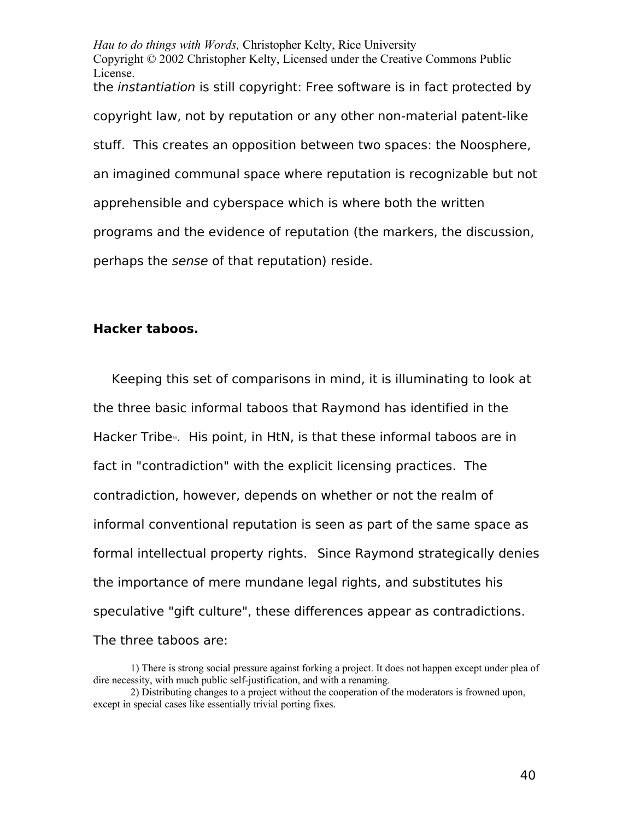*Hau to do things with Words,* Christopher Kelty, Rice University Copyright © 2002 Christopher Kelty, Licensed under the Creative Commons Public License. the instantiation is still copyright: Free software is in fact protected by copyright law, not by reputation or any other non-material patent-like stuff. This creates an opposition between two spaces: the Noosphere, an imagined communal space where reputation is recognizable but not apprehensible and cyberspace which is where both the written programs and the evidence of reputation (the markers, the discussion, perhaps the sense of that reputation) reside.

### **Hacker taboos.**

Keeping this set of comparisons in mind, it is illuminating to look at the three basic informal taboos that Raymond has identified in the Hacker Tribe<sup>[34](#page-84-0)</sup>. His point, in HtN, is that these informal taboos are in fact in "contradiction" with the explicit licensing practices. The contradiction, however, depends on whether or not the realm of informal conventional reputation is seen as part of the same space as formal intellectual property rights. Since Raymond strategically denies the importance of mere mundane legal rights, and substitutes his speculative "gift culture", these differences appear as contradictions. The three taboos are:

<sup>1)</sup> There is strong social pressure against forking a project. It does not happen except under plea of dire necessity, with much public self-justification, and with a renaming.

<sup>2)</sup> Distributing changes to a project without the cooperation of the moderators is frowned upon, except in special cases like essentially trivial porting fixes.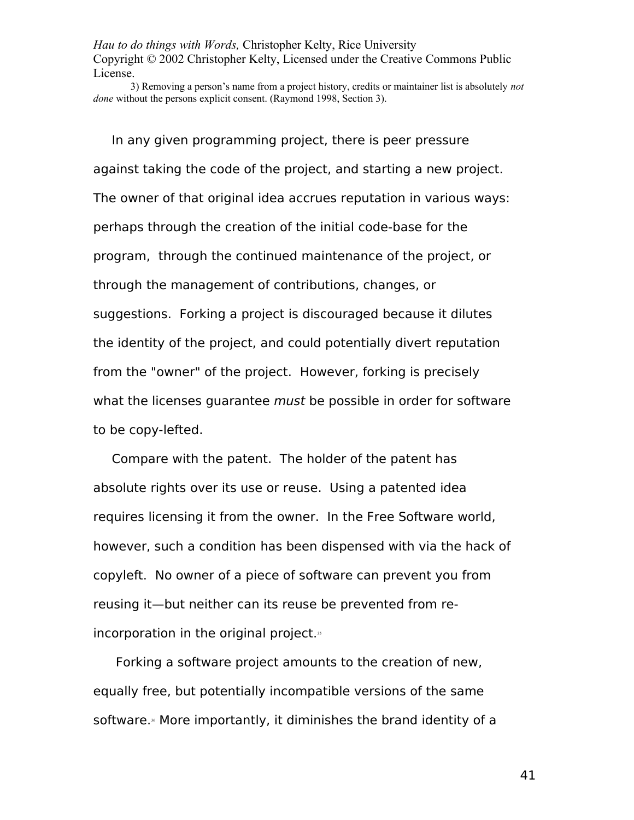3) Removing a person's name from a project history, credits or maintainer list is absolutely *not done* without the persons explicit consent. (Raymond 1998, Section 3).

In any given programming project, there is peer pressure against taking the code of the project, and starting a new project. The owner of that original idea accrues reputation in various ways: perhaps through the creation of the initial code-base for the program, through the continued maintenance of the project, or through the management of contributions, changes, or suggestions. Forking a project is discouraged because it dilutes the identity of the project, and could potentially divert reputation from the "owner" of the project. However, forking is precisely what the licenses quarantee *must* be possible in order for software to be copy-lefted.

Compare with the patent. The holder of the patent has absolute rights over its use or reuse. Using a patented idea requires licensing it from the owner. In the Free Software world, however, such a condition has been dispensed with via the hack of copyleft. No owner of a piece of software can prevent you from reusing it—but neither can its reuse be prevented from re-incorporation in the original project.<sup>[35](#page-84-1)</sup>

 Forking a software project amounts to the creation of new, equally free, but potentially incompatible versions of the same software.<sup>\*</sup> More importantly, it diminishes the brand identity of a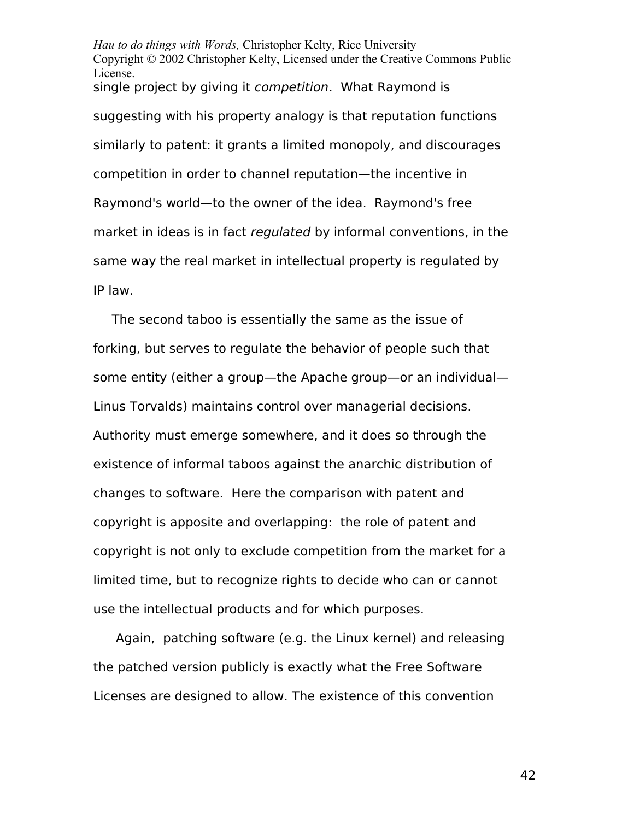*Hau to do things with Words,* Christopher Kelty, Rice University Copyright © 2002 Christopher Kelty, Licensed under the Creative Commons Public License. single project by giving it *competition*. What Raymond is suggesting with his property analogy is that reputation functions similarly to patent: it grants a limited monopoly, and discourages competition in order to channel reputation—the incentive in Raymond's world—to the owner of the idea. Raymond's free market in ideas is in fact regulated by informal conventions, in the same way the real market in intellectual property is regulated by IP law.

The second taboo is essentially the same as the issue of forking, but serves to regulate the behavior of people such that some entity (either a group—the Apache group—or an individual— Linus Torvalds) maintains control over managerial decisions. Authority must emerge somewhere, and it does so through the existence of informal taboos against the anarchic distribution of changes to software. Here the comparison with patent and copyright is apposite and overlapping: the role of patent and copyright is not only to exclude competition from the market for a limited time, but to recognize rights to decide who can or cannot use the intellectual products and for which purposes.

 Again, patching software (e.g. the Linux kernel) and releasing the patched version publicly is exactly what the Free Software Licenses are designed to allow. The existence of this convention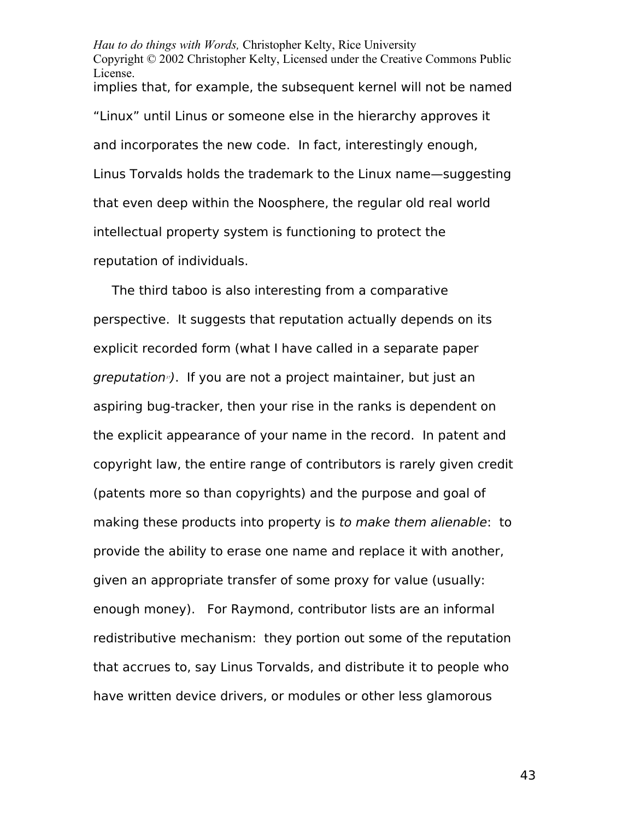*Hau to do things with Words,* Christopher Kelty, Rice University Copyright © 2002 Christopher Kelty, Licensed under the Creative Commons Public License. implies that, for example, the subsequent kernel will not be named "Linux" until Linus or someone else in the hierarchy approves it and incorporates the new code. In fact, interestingly enough, Linus Torvalds holds the trademark to the Linux name—suggesting that even deep within the Noosphere, the regular old real world intellectual property system is functioning to protect the reputation of individuals.

The third taboo is also interesting from a comparative perspective. It suggests that reputation actually depends on its explicit recorded form (what I have called in a separate paper greputation*[37](#page-84-3)*). If you are not a project maintainer, but just an aspiring bug-tracker, then your rise in the ranks is dependent on the explicit appearance of your name in the record. In patent and copyright law, the entire range of contributors is rarely given credit (patents more so than copyrights) and the purpose and goal of making these products into property is to make them alienable: to provide the ability to erase one name and replace it with another, given an appropriate transfer of some proxy for value (usually: enough money). For Raymond, contributor lists are an informal redistributive mechanism: they portion out some of the reputation that accrues to, say Linus Torvalds, and distribute it to people who have written device drivers, or modules or other less glamorous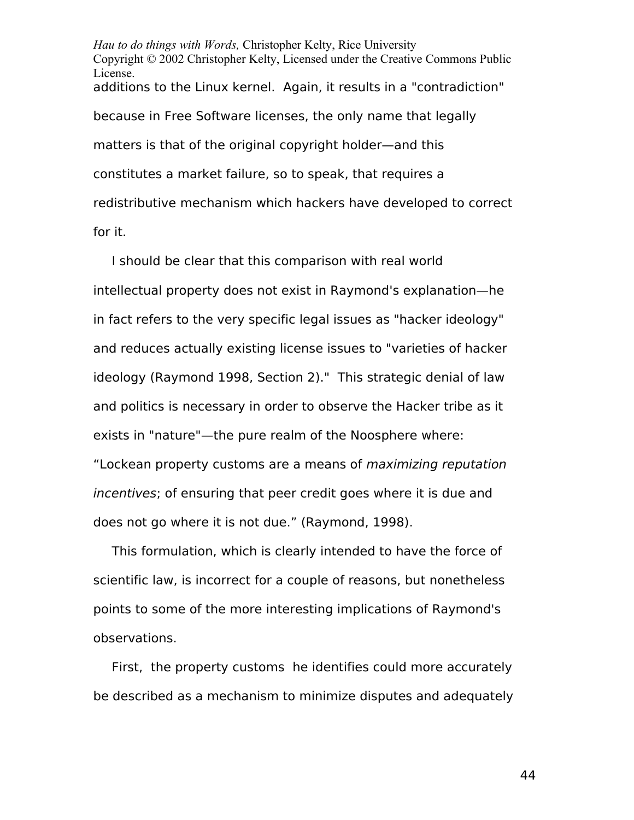*Hau to do things with Words,* Christopher Kelty, Rice University Copyright © 2002 Christopher Kelty, Licensed under the Creative Commons Public License. additions to the Linux kernel. Again, it results in a "contradiction" because in Free Software licenses, the only name that legally matters is that of the original copyright holder—and this constitutes a market failure, so to speak, that requires a redistributive mechanism which hackers have developed to correct for it.

I should be clear that this comparison with real world intellectual property does not exist in Raymond's explanation—he in fact refers to the very specific legal issues as "hacker ideology" and reduces actually existing license issues to "varieties of hacker ideology (Raymond 1998, Section 2)." This strategic denial of law and politics is necessary in order to observe the Hacker tribe as it exists in "nature"—the pure realm of the Noosphere where: "Lockean property customs are a means of maximizing reputation incentives; of ensuring that peer credit goes where it is due and does not go where it is not due." (Raymond, 1998).

This formulation, which is clearly intended to have the force of scientific law, is incorrect for a couple of reasons, but nonetheless points to some of the more interesting implications of Raymond's observations.

First, the property customs he identifies could more accurately be described as a mechanism to minimize disputes and adequately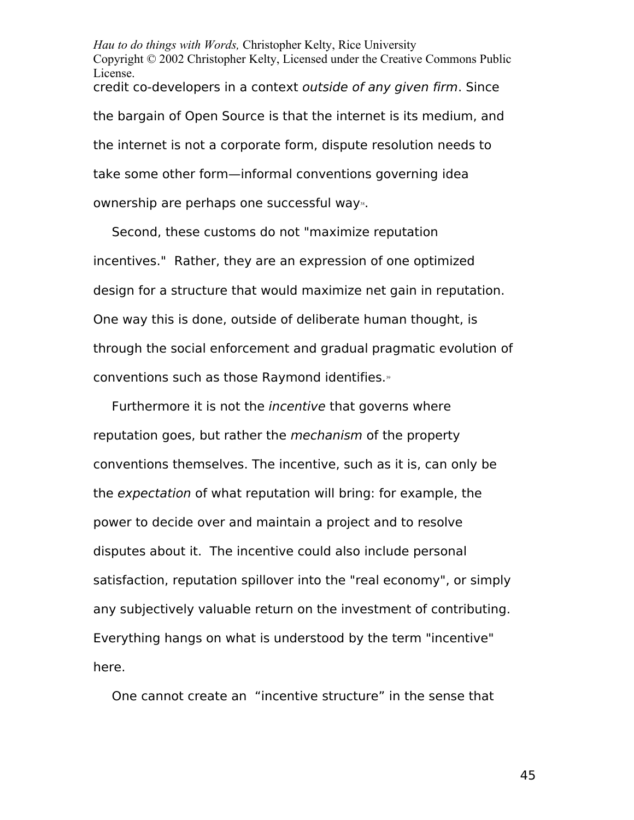*Hau to do things with Words,* Christopher Kelty, Rice University Copyright © 2002 Christopher Kelty, Licensed under the Creative Commons Public License. credit co-developers in a context outside of any given firm. Since the bargain of Open Source is that the internet is its medium, and the internet is not a corporate form, dispute resolution needs to take some other form—informal conventions governing idea ownership are perhaps one successful way».

Second, these customs do not "maximize reputation incentives." Rather, they are an expression of one optimized design for a structure that would maximize net gain in reputation. One way this is done, outside of deliberate human thought, is through the social enforcement and gradual pragmatic evolution of conventions such as those Raymond identifies. $<sup>9</sup>$ </sup>

Furthermore it is not the *incentive* that governs where reputation goes, but rather the *mechanism* of the property conventions themselves. The incentive, such as it is, can only be the expectation of what reputation will bring: for example, the power to decide over and maintain a project and to resolve disputes about it. The incentive could also include personal satisfaction, reputation spillover into the "real economy", or simply any subjectively valuable return on the investment of contributing. Everything hangs on what is understood by the term "incentive" here.

One cannot create an "incentive structure" in the sense that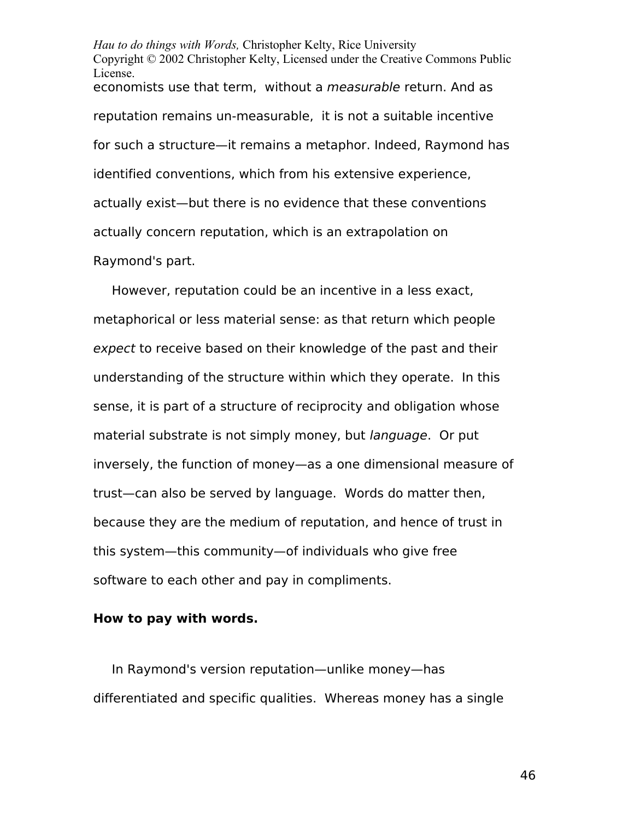*Hau to do things with Words,* Christopher Kelty, Rice University Copyright © 2002 Christopher Kelty, Licensed under the Creative Commons Public License. economists use that term, without a *measurable* return. And as reputation remains un-measurable, it is not a suitable incentive for such a structure—it remains a metaphor. Indeed, Raymond has identified conventions, which from his extensive experience, actually exist—but there is no evidence that these conventions actually concern reputation, which is an extrapolation on Raymond's part.

However, reputation could be an incentive in a less exact, metaphorical or less material sense: as that return which people expect to receive based on their knowledge of the past and their understanding of the structure within which they operate. In this sense, it is part of a structure of reciprocity and obligation whose material substrate is not simply money, but language. Or put inversely, the function of money—as a one dimensional measure of trust—can also be served by language. Words do matter then, because they are the medium of reputation, and hence of trust in this system—this community—of individuals who give free software to each other and pay in compliments.

### **How to pay with words.**

In Raymond's version reputation—unlike money—has differentiated and specific qualities. Whereas money has a single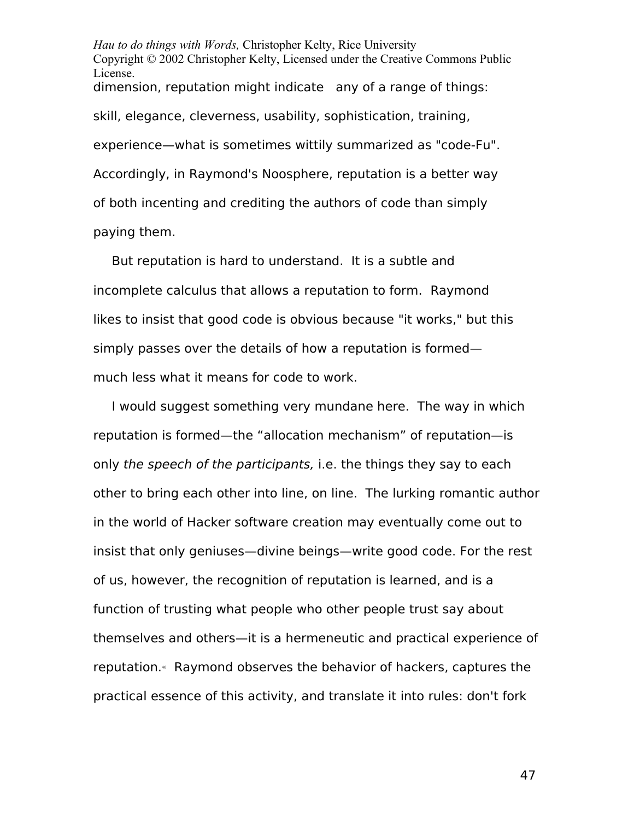*Hau to do things with Words,* Christopher Kelty, Rice University Copyright © 2002 Christopher Kelty, Licensed under the Creative Commons Public License. dimension, reputation might indicate any of a range of things: skill, elegance, cleverness, usability, sophistication, training, experience—what is sometimes wittily summarized as "code-Fu". Accordingly, in Raymond's Noosphere, reputation is a better way of both incenting and crediting the authors of code than simply paying them.

But reputation is hard to understand. It is a subtle and incomplete calculus that allows a reputation to form. Raymond likes to insist that good code is obvious because "it works," but this simply passes over the details of how a reputation is formed much less what it means for code to work.

I would suggest something very mundane here. The way in which reputation is formed—the "allocation mechanism" of reputation—is only the speech of the participants, i.e. the things they say to each other to bring each other into line, on line. The lurking romantic author in the world of Hacker software creation may eventually come out to insist that only geniuses—divine beings—write good code. For the rest of us, however, the recognition of reputation is learned, and is a function of trusting what people who other people trust say about themselves and others—it is a hermeneutic and practical experience of reputation.<sup>4</sup> Raymond observes the behavior of hackers, captures the practical essence of this activity, and translate it into rules: don't fork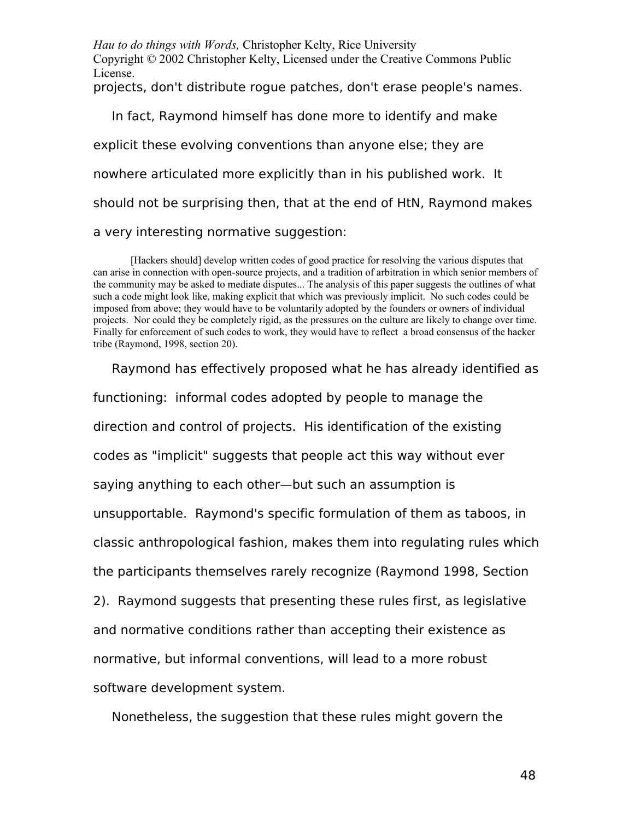*Hau to do things with Words,* Christopher Kelty, Rice University Copyright © 2002 Christopher Kelty, Licensed under the Creative Commons Public License. projects, don't distribute rogue patches, don't erase people's names.

In fact, Raymond himself has done more to identify and make explicit these evolving conventions than anyone else; they are nowhere articulated more explicitly than in his published work. It should not be surprising then, that at the end of HtN, Raymond makes a very interesting normative suggestion:

[Hackers should] develop written codes of good practice for resolving the various disputes that can arise in connection with open-source projects, and a tradition of arbitration in which senior members of the community may be asked to mediate disputes... The analysis of this paper suggests the outlines of what such a code might look like, making explicit that which was previously implicit. No such codes could be imposed from above; they would have to be voluntarily adopted by the founders or owners of individual projects. Nor could they be completely rigid, as the pressures on the culture are likely to change over time. Finally for enforcement of such codes to work, they would have to reflect a broad consensus of the hacker tribe (Raymond, 1998, section 20).

Raymond has effectively proposed what he has already identified as functioning: informal codes adopted by people to manage the direction and control of projects. His identification of the existing codes as "implicit" suggests that people act this way without ever saying anything to each other—but such an assumption is unsupportable. Raymond's specific formulation of them as taboos, in classic anthropological fashion, makes them into regulating rules which the participants themselves rarely recognize (Raymond 1998, Section 2). Raymond suggests that presenting these rules first, as legislative and normative conditions rather than accepting their existence as normative, but informal conventions, will lead to a more robust software development system.

Nonetheless, the suggestion that these rules might govern the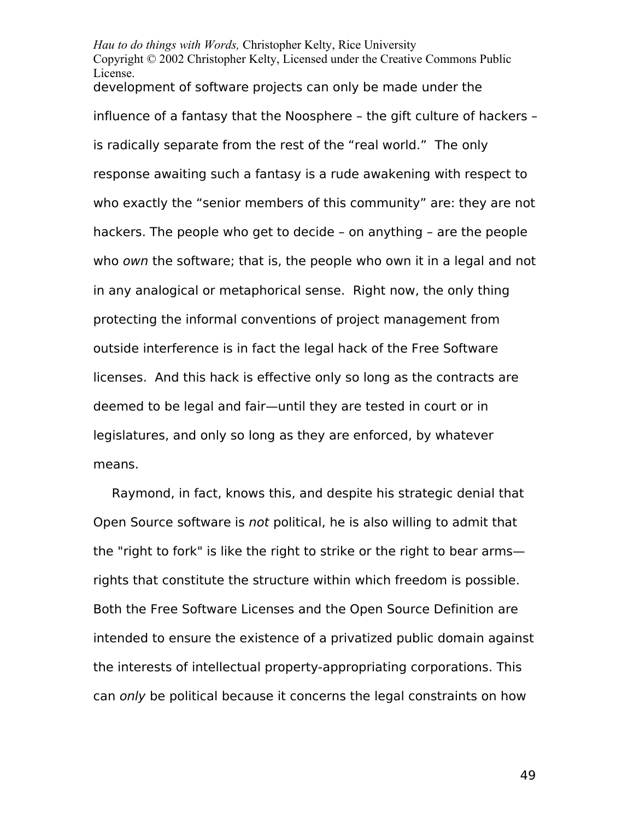*Hau to do things with Words,* Christopher Kelty, Rice University Copyright © 2002 Christopher Kelty, Licensed under the Creative Commons Public License. development of software projects can only be made under the influence of a fantasy that the Noosphere – the gift culture of hackers – is radically separate from the rest of the "real world." The only response awaiting such a fantasy is a rude awakening with respect to who exactly the "senior members of this community" are: they are not hackers. The people who get to decide – on anything – are the people who own the software; that is, the people who own it in a legal and not in any analogical or metaphorical sense. Right now, the only thing protecting the informal conventions of project management from outside interference is in fact the legal hack of the Free Software licenses. And this hack is effective only so long as the contracts are deemed to be legal and fair—until they are tested in court or in legislatures, and only so long as they are enforced, by whatever means.

Raymond, in fact, knows this, and despite his strategic denial that Open Source software is not political, he is also willing to admit that the "right to fork" is like the right to strike or the right to bear arms rights that constitute the structure within which freedom is possible. Both the Free Software Licenses and the Open Source Definition are intended to ensure the existence of a privatized public domain against the interests of intellectual property-appropriating corporations. This can only be political because it concerns the legal constraints on how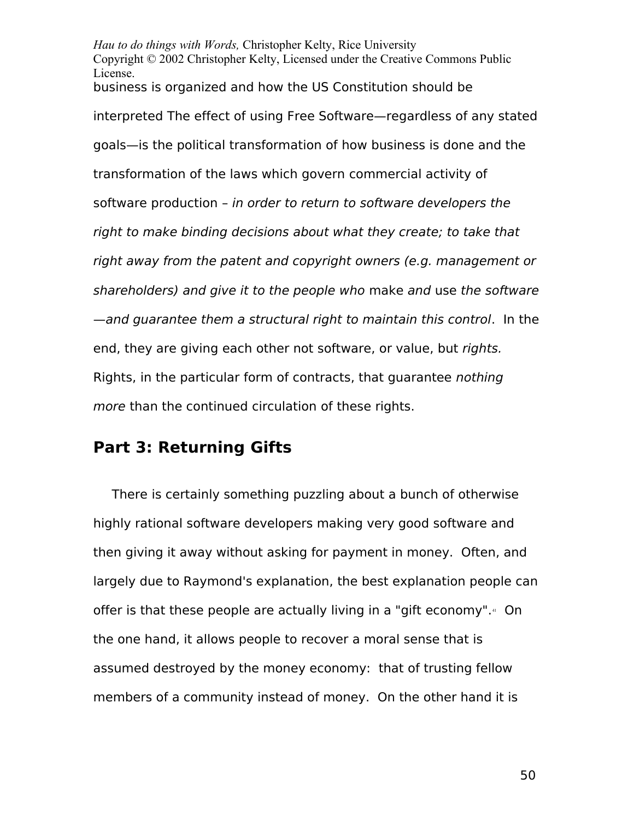*Hau to do things with Words,* Christopher Kelty, Rice University Copyright © 2002 Christopher Kelty, Licensed under the Creative Commons Public License. business is organized and how the US Constitution should be interpreted The effect of using Free Software—regardless of any stated goals—is the political transformation of how business is done and the transformation of the laws which govern commercial activity of software production – in order to return to software developers the right to make binding decisions about what they create; to take that right away from the patent and copyright owners (e.g. management or shareholders) and give it to the people who make and use the software —and guarantee them a structural right to maintain this control. In the end, they are giving each other not software, or value, but rights. Rights, in the particular form of contracts, that guarantee nothing more than the continued circulation of these rights.

# **Part 3: Returning Gifts**

There is certainly something puzzling about a bunch of otherwise highly rational software developers making very good software and then giving it away without asking for payment in money. Often, and largely due to Raymond's explanation, the best explanation people can offer is that these people are actually living in a "gift economy".<sup>[41](#page-85-0)</sup> On the one hand, it allows people to recover a moral sense that is assumed destroyed by the money economy: that of trusting fellow members of a community instead of money. On the other hand it is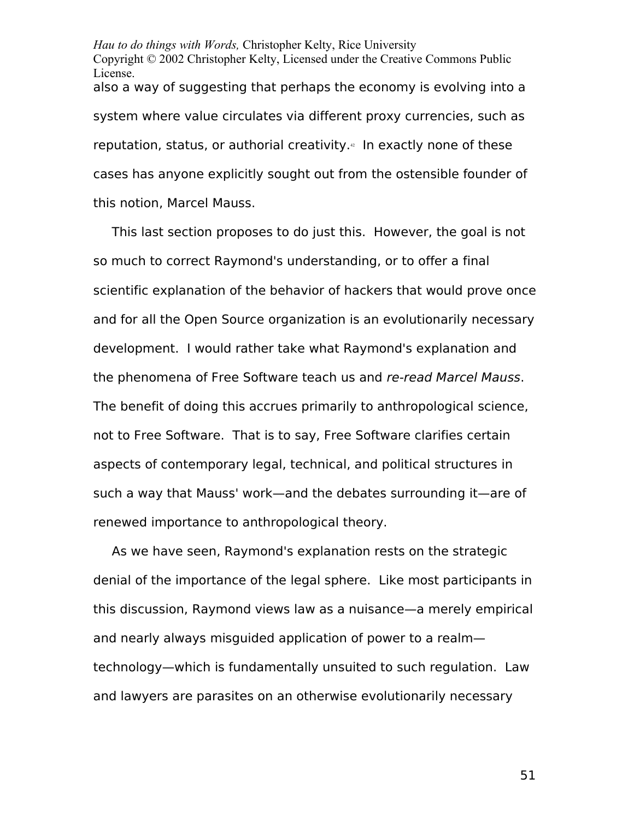*Hau to do things with Words,* Christopher Kelty, Rice University Copyright © 2002 Christopher Kelty, Licensed under the Creative Commons Public License. also a way of suggesting that perhaps the economy is evolving into a system where value circulates via different proxy currencies, such as reputation, status, or authorial creativity.<sup>4</sup> In exactly none of these cases has anyone explicitly sought out from the ostensible founder of this notion, Marcel Mauss.

This last section proposes to do just this. However, the goal is not so much to correct Raymond's understanding, or to offer a final scientific explanation of the behavior of hackers that would prove once and for all the Open Source organization is an evolutionarily necessary development. I would rather take what Raymond's explanation and the phenomena of Free Software teach us and re-read Marcel Mauss. The benefit of doing this accrues primarily to anthropological science, not to Free Software. That is to say, Free Software clarifies certain aspects of contemporary legal, technical, and political structures in such a way that Mauss' work—and the debates surrounding it—are of renewed importance to anthropological theory.

As we have seen, Raymond's explanation rests on the strategic denial of the importance of the legal sphere. Like most participants in this discussion, Raymond views law as a nuisance—a merely empirical and nearly always misguided application of power to a realm technology—which is fundamentally unsuited to such regulation. Law and lawyers are parasites on an otherwise evolutionarily necessary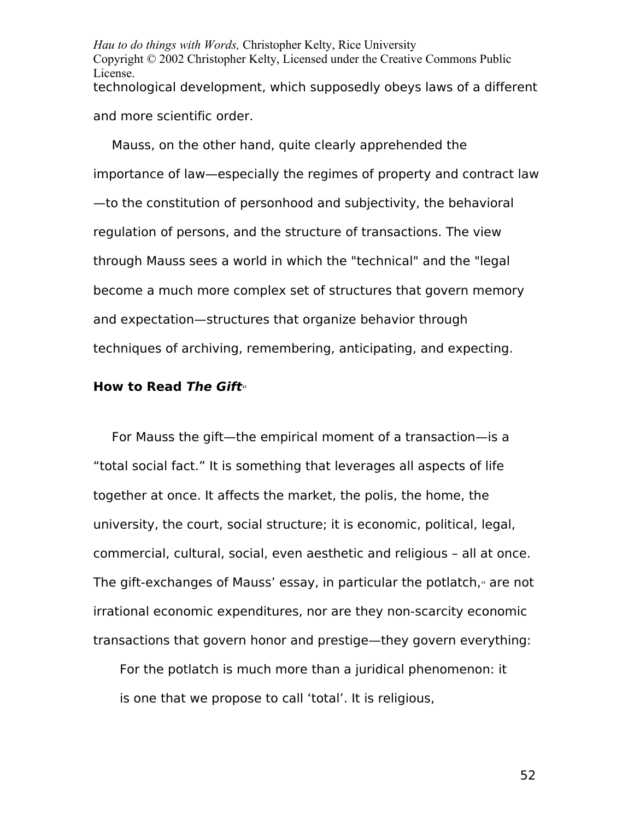*Hau to do things with Words,* Christopher Kelty, Rice University Copyright © 2002 Christopher Kelty, Licensed under the Creative Commons Public License. technological development, which supposedly obeys laws of a different and more scientific order.

Mauss, on the other hand, quite clearly apprehended the importance of law—especially the regimes of property and contract law —to the constitution of personhood and subjectivity, the behavioral regulation of persons, and the structure of transactions. The view through Mauss sees a world in which the "technical" and the "legal become a much more complex set of structures that govern memory and expectation—structures that organize behavior through techniques of archiving, remembering, anticipating, and expecting.

### **How to Read The Gift***[43](#page-85-2)*

For Mauss the gift—the empirical moment of a transaction—is a "total social fact." It is something that leverages all aspects of life together at once. It affects the market, the polis, the home, the university, the court, social structure; it is economic, political, legal, commercial, cultural, social, even aesthetic and religious – all at once. The gift-exchanges of Mauss' essay, in particular the potlatch, $4$  are not irrational economic expenditures, nor are they non-scarcity economic transactions that govern honor and prestige—they govern everything:

For the potlatch is much more than a juridical phenomenon: it is one that we propose to call 'total'. It is religious,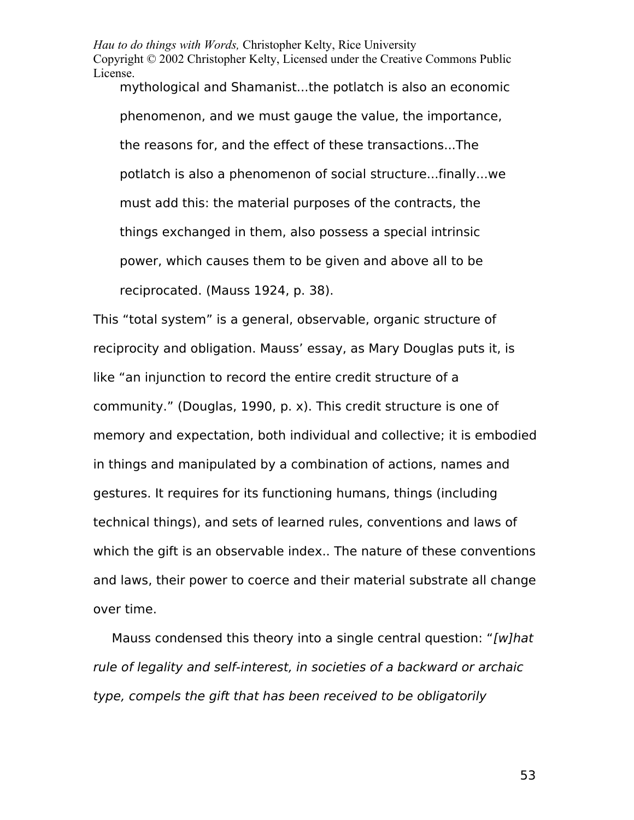mythological and Shamanist...the potlatch is also an economic phenomenon, and we must gauge the value, the importance, the reasons for, and the effect of these transactions...The potlatch is also a phenomenon of social structure...finally...we must add this: the material purposes of the contracts, the things exchanged in them, also possess a special intrinsic power, which causes them to be given and above all to be reciprocated. (Mauss 1924, p. 38).

This "total system" is a general, observable, organic structure of reciprocity and obligation. Mauss' essay, as Mary Douglas puts it, is like "an injunction to record the entire credit structure of a community." (Douglas, 1990, p. x). This credit structure is one of memory and expectation, both individual and collective; it is embodied in things and manipulated by a combination of actions, names and gestures. It requires for its functioning humans, things (including technical things), and sets of learned rules, conventions and laws of which the gift is an observable index.. The nature of these conventions and laws, their power to coerce and their material substrate all change over time.

Mauss condensed this theory into a single central question: "[w]hat rule of legality and self-interest, in societies of a backward or archaic type, compels the gift that has been received to be obligatorily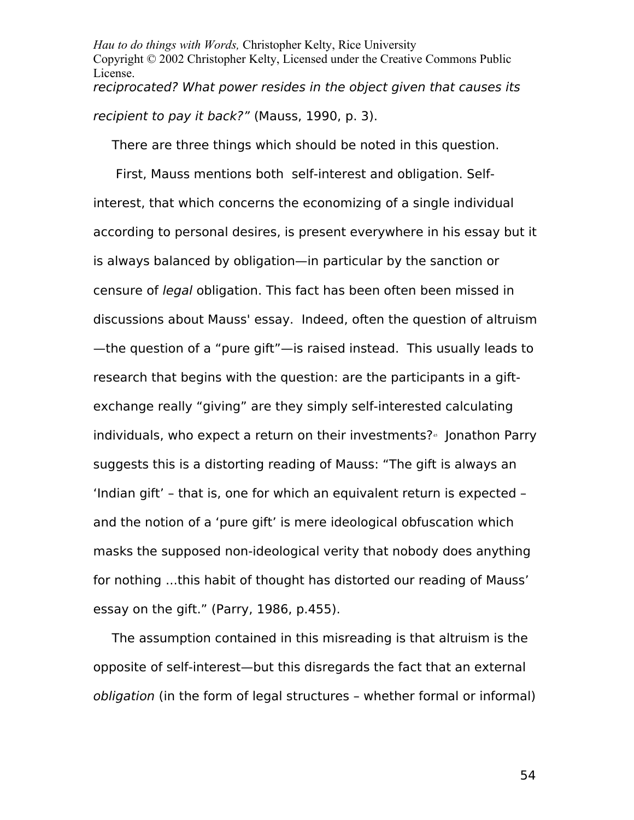*Hau to do things with Words,* Christopher Kelty, Rice University Copyright © 2002 Christopher Kelty, Licensed under the Creative Commons Public License. reciprocated? What power resides in the object given that causes its recipient to pay it back?" (Mauss, 1990, p. 3).

There are three things which should be noted in this question.

 First, Mauss mentions both self-interest and obligation. Selfinterest, that which concerns the economizing of a single individual according to personal desires, is present everywhere in his essay but it is always balanced by obligation—in particular by the sanction or censure of legal obligation. This fact has been often been missed in discussions about Mauss' essay. Indeed, often the question of altruism —the question of a "pure gift"—is raised instead. This usually leads to research that begins with the question: are the participants in a giftexchange really "giving" are they simply self-interested calculating individuals, who expect a return on their investments?<sup>46</sup> Jonathon Parry suggests this is a distorting reading of Mauss: "The gift is always an 'Indian gift' – that is, one for which an equivalent return is expected – and the notion of a 'pure gift' is mere ideological obfuscation which masks the supposed non-ideological verity that nobody does anything for nothing ...this habit of thought has distorted our reading of Mauss' essay on the gift." (Parry, 1986, p.455).

The assumption contained in this misreading is that altruism is the opposite of self-interest—but this disregards the fact that an external obligation (in the form of legal structures – whether formal or informal)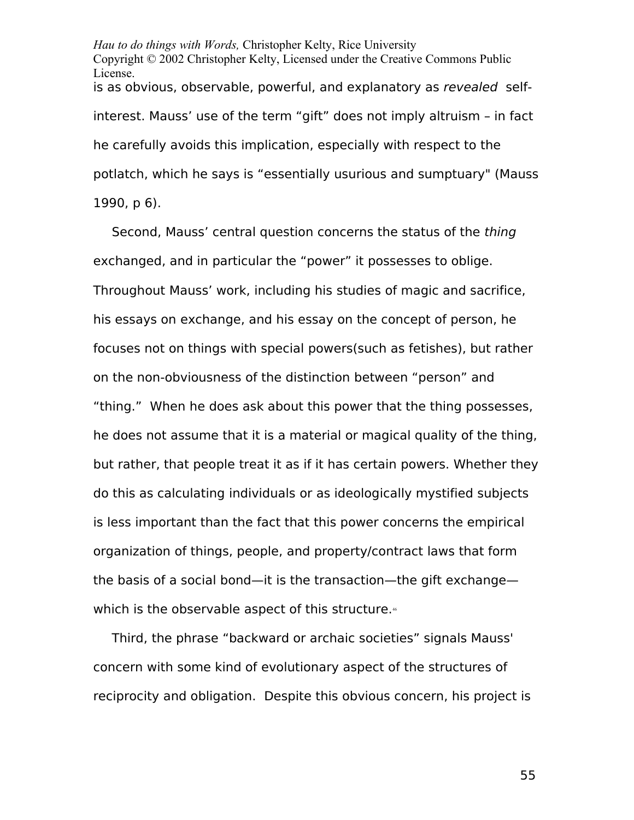*Hau to do things with Words,* Christopher Kelty, Rice University Copyright © 2002 Christopher Kelty, Licensed under the Creative Commons Public License. is as obvious, observable, powerful, and explanatory as revealed selfinterest. Mauss' use of the term "gift" does not imply altruism – in fact he carefully avoids this implication, especially with respect to the potlatch, which he says is "essentially usurious and sumptuary" (Mauss 1990, p 6).

Second, Mauss' central question concerns the status of the thing exchanged, and in particular the "power" it possesses to oblige. Throughout Mauss' work, including his studies of magic and sacrifice, his essays on exchange, and his essay on the concept of person, he focuses not on things with special powers(such as fetishes), but rather on the non-obviousness of the distinction between "person" and "thing." When he does ask about this power that the thing possesses, he does not assume that it is a material or magical quality of the thing, but rather, that people treat it as if it has certain powers. Whether they do this as calculating individuals or as ideologically mystified subjects is less important than the fact that this power concerns the empirical organization of things, people, and property/contract laws that form the basis of a social bond—it is the transaction—the gift exchange— which is the observable aspect of this structure.<sup>[46](#page-85-5)</sup>

Third, the phrase "backward or archaic societies" signals Mauss' concern with some kind of evolutionary aspect of the structures of reciprocity and obligation. Despite this obvious concern, his project is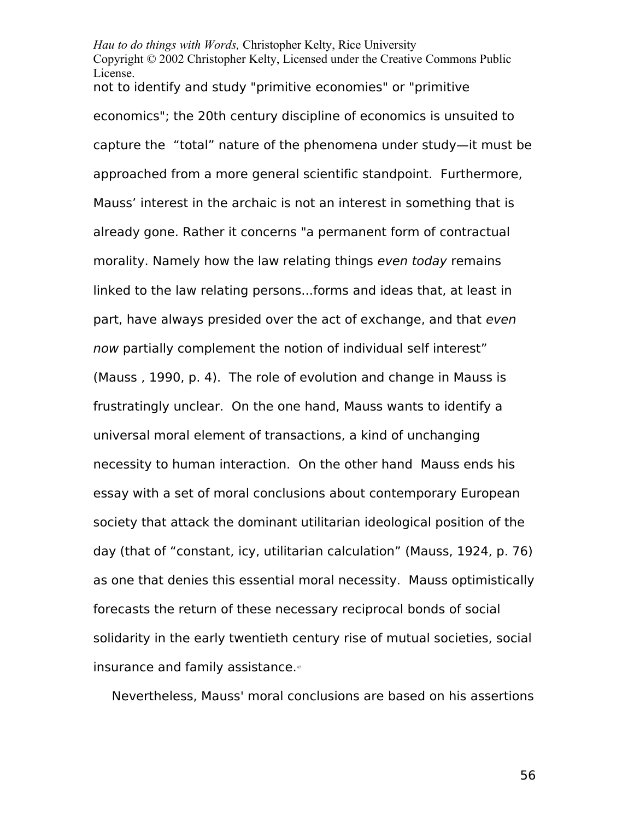not to identify and study "primitive economies" or "primitive economics"; the 20th century discipline of economics is unsuited to capture the "total" nature of the phenomena under study—it must be approached from a more general scientific standpoint. Furthermore, Mauss' interest in the archaic is not an interest in something that is already gone. Rather it concerns "a permanent form of contractual morality. Namely how the law relating things even today remains linked to the law relating persons...forms and ideas that, at least in part, have always presided over the act of exchange, and that even now partially complement the notion of individual self interest" (Mauss , 1990, p. 4). The role of evolution and change in Mauss is frustratingly unclear. On the one hand, Mauss wants to identify a universal moral element of transactions, a kind of unchanging necessity to human interaction. On the other hand Mauss ends his essay with a set of moral conclusions about contemporary European society that attack the dominant utilitarian ideological position of the day (that of "constant, icy, utilitarian calculation" (Mauss, 1924, p. 76) as one that denies this essential moral necessity. Mauss optimistically forecasts the return of these necessary reciprocal bonds of social solidarity in the early twentieth century rise of mutual societies, social insurance and family assistance.<sup>[47](#page-85-6)</sup>

Nevertheless, Mauss' moral conclusions are based on his assertions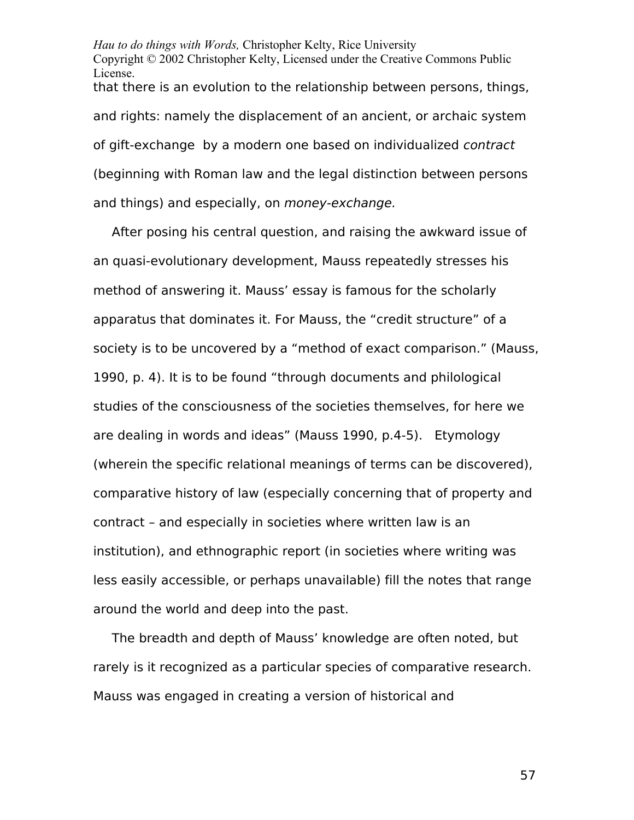*Hau to do things with Words,* Christopher Kelty, Rice University Copyright © 2002 Christopher Kelty, Licensed under the Creative Commons Public License. that there is an evolution to the relationship between persons, things, and rights: namely the displacement of an ancient, or archaic system of gift-exchange by a modern one based on individualized contract (beginning with Roman law and the legal distinction between persons and things) and especially, on money-exchange.

After posing his central question, and raising the awkward issue of an quasi-evolutionary development, Mauss repeatedly stresses his method of answering it. Mauss' essay is famous for the scholarly apparatus that dominates it. For Mauss, the "credit structure" of a society is to be uncovered by a "method of exact comparison." (Mauss, 1990, p. 4). It is to be found "through documents and philological studies of the consciousness of the societies themselves, for here we are dealing in words and ideas" (Mauss 1990, p.4-5). Etymology (wherein the specific relational meanings of terms can be discovered), comparative history of law (especially concerning that of property and contract – and especially in societies where written law is an institution), and ethnographic report (in societies where writing was less easily accessible, or perhaps unavailable) fill the notes that range around the world and deep into the past.

The breadth and depth of Mauss' knowledge are often noted, but rarely is it recognized as a particular species of comparative research. Mauss was engaged in creating a version of historical and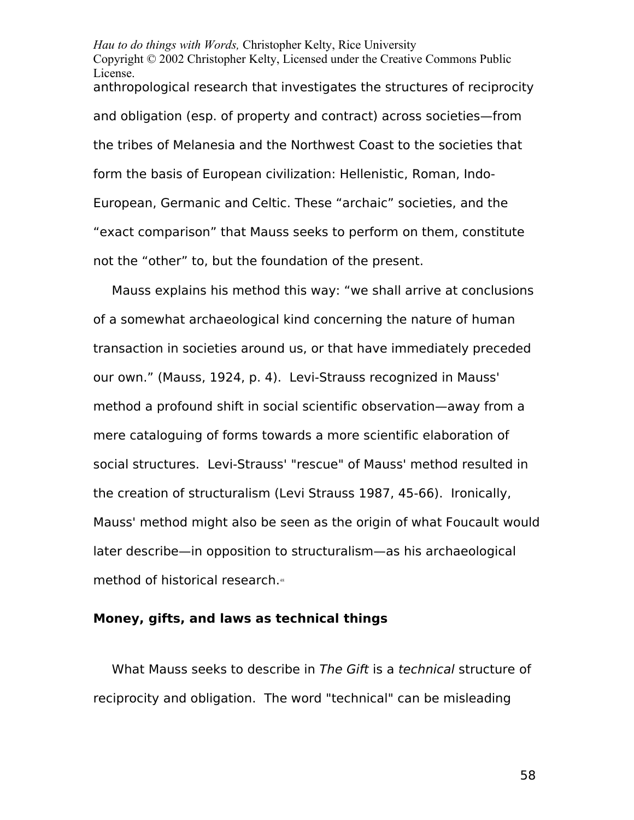*Hau to do things with Words,* Christopher Kelty, Rice University Copyright © 2002 Christopher Kelty, Licensed under the Creative Commons Public License. anthropological research that investigates the structures of reciprocity and obligation (esp. of property and contract) across societies—from the tribes of Melanesia and the Northwest Coast to the societies that form the basis of European civilization: Hellenistic, Roman, Indo-European, Germanic and Celtic. These "archaic" societies, and the "exact comparison" that Mauss seeks to perform on them, constitute not the "other" to, but the foundation of the present.

Mauss explains his method this way: "we shall arrive at conclusions of a somewhat archaeological kind concerning the nature of human transaction in societies around us, or that have immediately preceded our own." (Mauss, 1924, p. 4). Levi-Strauss recognized in Mauss' method a profound shift in social scientific observation—away from a mere cataloguing of forms towards a more scientific elaboration of social structures. Levi-Strauss' "rescue" of Mauss' method resulted in the creation of structuralism (Levi Strauss 1987, 45-66). Ironically, Mauss' method might also be seen as the origin of what Foucault would later describe—in opposition to structuralism—as his archaeological method of historical research.<sup>[48](#page-85-7)</sup>

## **Money, gifts, and laws as technical things**

What Mauss seeks to describe in The Gift is a technical structure of reciprocity and obligation. The word "technical" can be misleading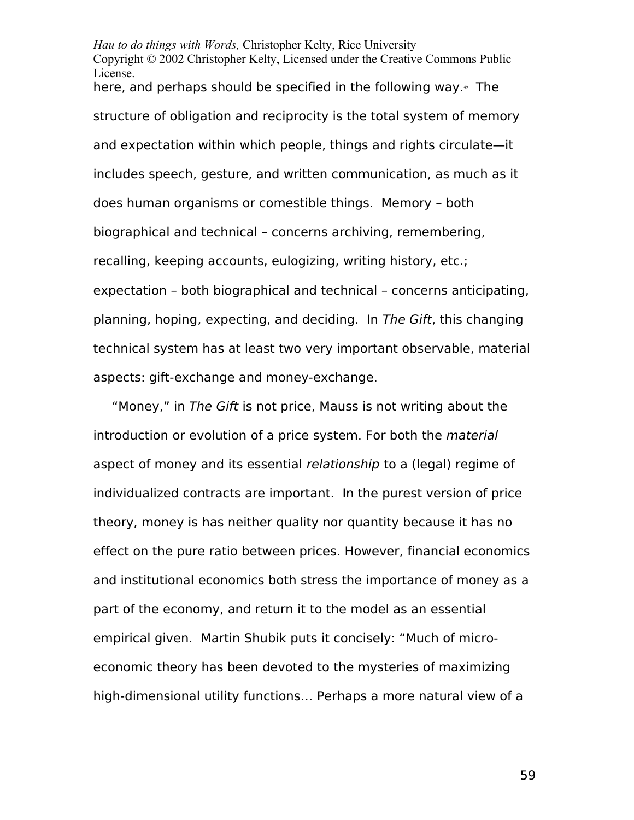*Hau to do things with Words,* Christopher Kelty, Rice University Copyright © 2002 Christopher Kelty, Licensed under the Creative Commons Public License. here, and perhaps should be specified in the following way.<sup>[49](#page-85-8)</sup> The structure of obligation and reciprocity is the total system of memory and expectation within which people, things and rights circulate—it includes speech, gesture, and written communication, as much as it does human organisms or comestible things. Memory – both biographical and technical – concerns archiving, remembering, recalling, keeping accounts, eulogizing, writing history, etc.; expectation – both biographical and technical – concerns anticipating, planning, hoping, expecting, and deciding. In The Gift, this changing technical system has at least two very important observable, material aspects: gift-exchange and money-exchange.

"Money," in The Gift is not price, Mauss is not writing about the introduction or evolution of a price system. For both the material aspect of money and its essential relationship to a (legal) regime of individualized contracts are important. In the purest version of price theory, money is has neither quality nor quantity because it has no effect on the pure ratio between prices. However, financial economics and institutional economics both stress the importance of money as a part of the economy, and return it to the model as an essential empirical given. Martin Shubik puts it concisely: "Much of microeconomic theory has been devoted to the mysteries of maximizing high-dimensional utility functions… Perhaps a more natural view of a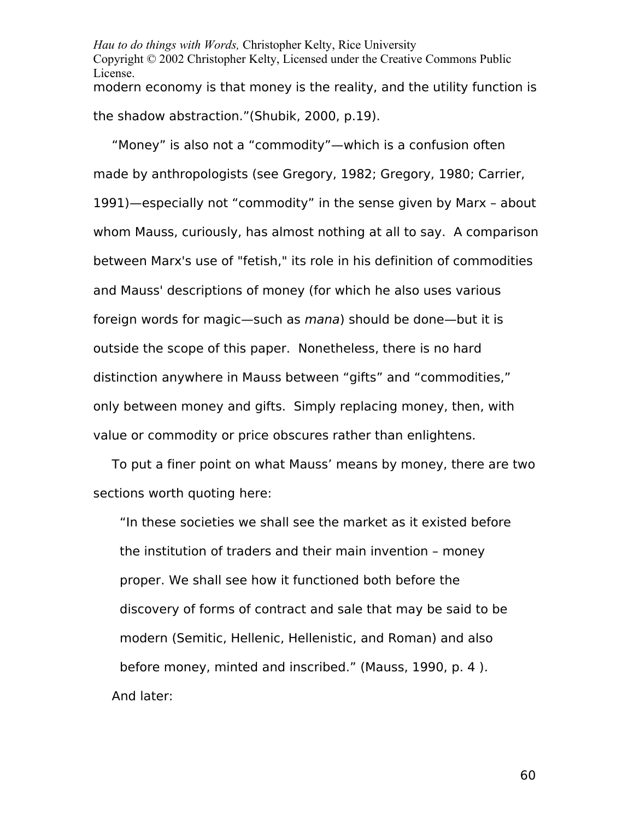*Hau to do things with Words,* Christopher Kelty, Rice University Copyright © 2002 Christopher Kelty, Licensed under the Creative Commons Public License. modern economy is that money is the reality, and the utility function is the shadow abstraction."(Shubik, 2000, p.19).

"Money" is also not a "commodity"—which is a confusion often made by anthropologists (see Gregory, 1982; Gregory, 1980; Carrier, 1991)—especially not "commodity" in the sense given by Marx – about whom Mauss, curiously, has almost nothing at all to say. A comparison between Marx's use of "fetish," its role in his definition of commodities and Mauss' descriptions of money (for which he also uses various foreign words for magic—such as mana) should be done—but it is outside the scope of this paper. Nonetheless, there is no hard distinction anywhere in Mauss between "gifts" and "commodities," only between money and gifts. Simply replacing money, then, with value or commodity or price obscures rather than enlightens.

To put a finer point on what Mauss' means by money, there are two sections worth quoting here:

"In these societies we shall see the market as it existed before the institution of traders and their main invention – money proper. We shall see how it functioned both before the discovery of forms of contract and sale that may be said to be modern (Semitic, Hellenic, Hellenistic, and Roman) and also before money, minted and inscribed." (Mauss, 1990, p. 4 ). And later: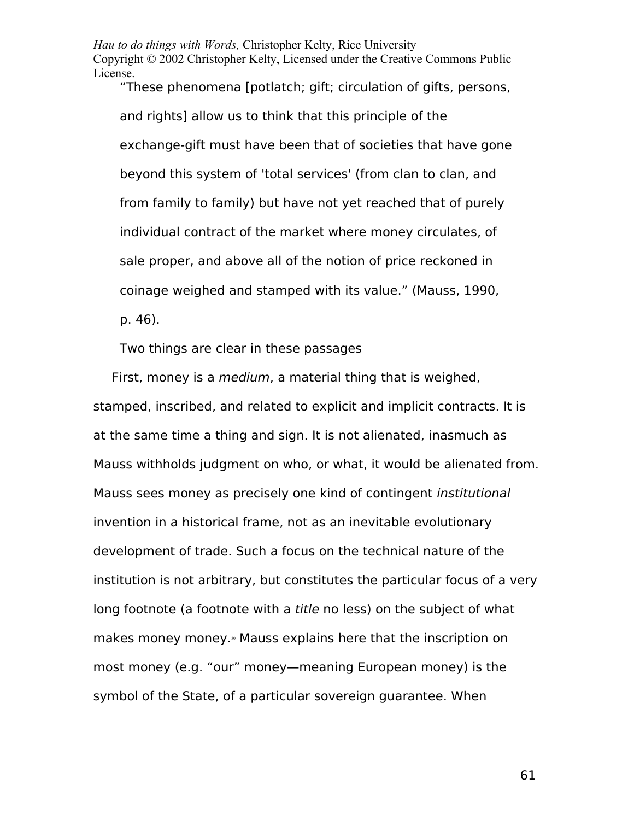"These phenomena [potlatch; gift; circulation of gifts, persons, and rights] allow us to think that this principle of the exchange-gift must have been that of societies that have gone beyond this system of 'total services' (from clan to clan, and from family to family) but have not yet reached that of purely individual contract of the market where money circulates, of sale proper, and above all of the notion of price reckoned in coinage weighed and stamped with its value." (Mauss, 1990, p. 46).

Two things are clear in these passages

First, money is a medium, a material thing that is weighed, stamped, inscribed, and related to explicit and implicit contracts. It is at the same time a thing and sign. It is not alienated, inasmuch as Mauss withholds judgment on who, or what, it would be alienated from. Mauss sees money as precisely one kind of contingent institutional invention in a historical frame, not as an inevitable evolutionary development of trade. Such a focus on the technical nature of the institution is not arbitrary, but constitutes the particular focus of a very long footnote (a footnote with a title no less) on the subject of what makes money money.<sup>®</sup> Mauss explains here that the inscription on most money (e.g. "our" money—meaning European money) is the symbol of the State, of a particular sovereign guarantee. When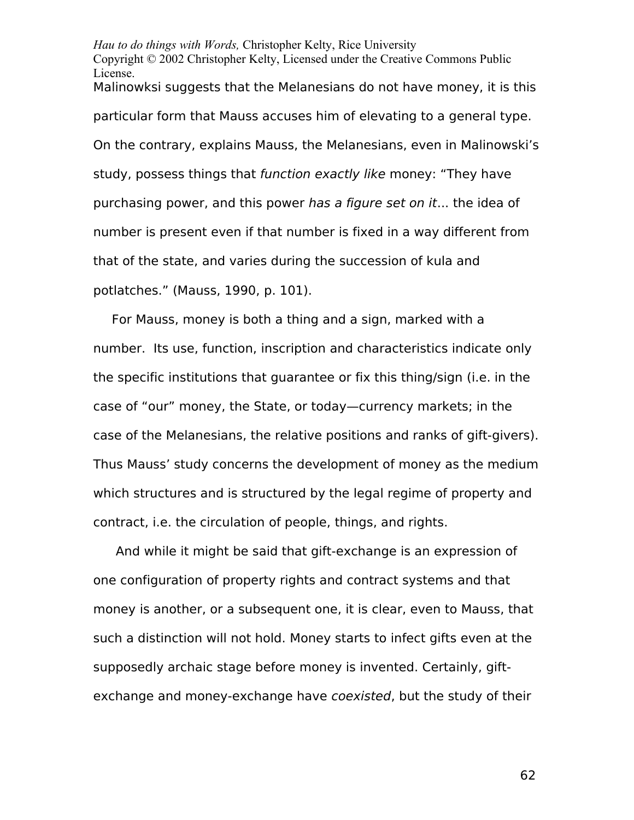*Hau to do things with Words,* Christopher Kelty, Rice University Copyright © 2002 Christopher Kelty, Licensed under the Creative Commons Public License. Malinowksi suggests that the Melanesians do not have money, it is this particular form that Mauss accuses him of elevating to a general type. On the contrary, explains Mauss, the Melanesians, even in Malinowski's study, possess things that function exactly like money: "They have purchasing power, and this power has a figure set on it... the idea of number is present even if that number is fixed in a way different from that of the state, and varies during the succession of kula and potlatches." (Mauss, 1990, p. 101).

For Mauss, money is both a thing and a sign, marked with a number. Its use, function, inscription and characteristics indicate only the specific institutions that guarantee or fix this thing/sign (i.e. in the case of "our" money, the State, or today—currency markets; in the case of the Melanesians, the relative positions and ranks of gift-givers). Thus Mauss' study concerns the development of money as the medium which structures and is structured by the legal regime of property and contract, i.e. the circulation of people, things, and rights.

 And while it might be said that gift-exchange is an expression of one configuration of property rights and contract systems and that money is another, or a subsequent one, it is clear, even to Mauss, that such a distinction will not hold. Money starts to infect gifts even at the supposedly archaic stage before money is invented. Certainly, giftexchange and money-exchange have *coexisted*, but the study of their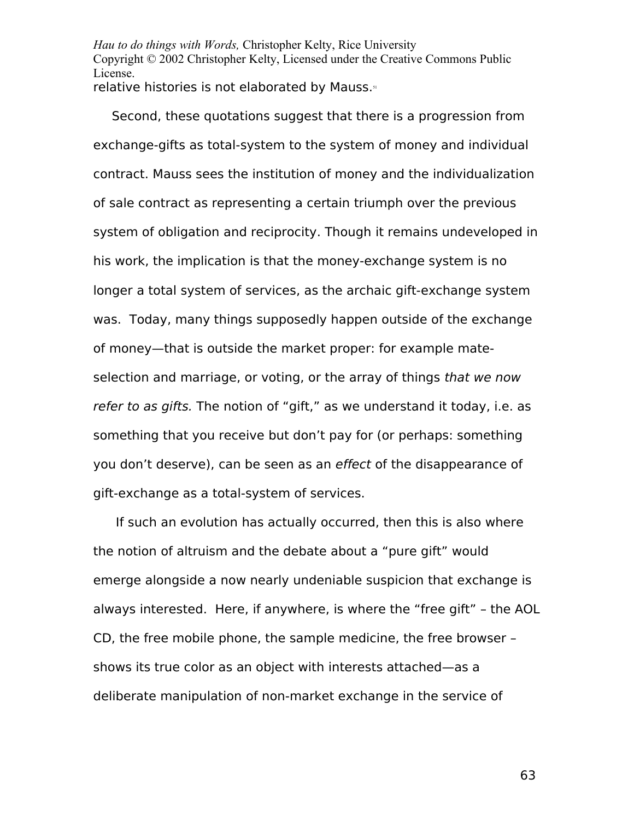Second, these quotations suggest that there is a progression from exchange-gifts as total-system to the system of money and individual contract. Mauss sees the institution of money and the individualization of sale contract as representing a certain triumph over the previous system of obligation and reciprocity. Though it remains undeveloped in his work, the implication is that the money-exchange system is no longer a total system of services, as the archaic gift-exchange system was. Today, many things supposedly happen outside of the exchange of money—that is outside the market proper: for example mateselection and marriage, or voting, or the array of things that we now refer to as gifts. The notion of "gift," as we understand it today, i.e. as something that you receive but don't pay for (or perhaps: something you don't deserve), can be seen as an effect of the disappearance of gift-exchange as a total-system of services.

 If such an evolution has actually occurred, then this is also where the notion of altruism and the debate about a "pure gift" would emerge alongside a now nearly undeniable suspicion that exchange is always interested. Here, if anywhere, is where the "free gift" – the AOL CD, the free mobile phone, the sample medicine, the free browser – shows its true color as an object with interests attached—as a deliberate manipulation of non-market exchange in the service of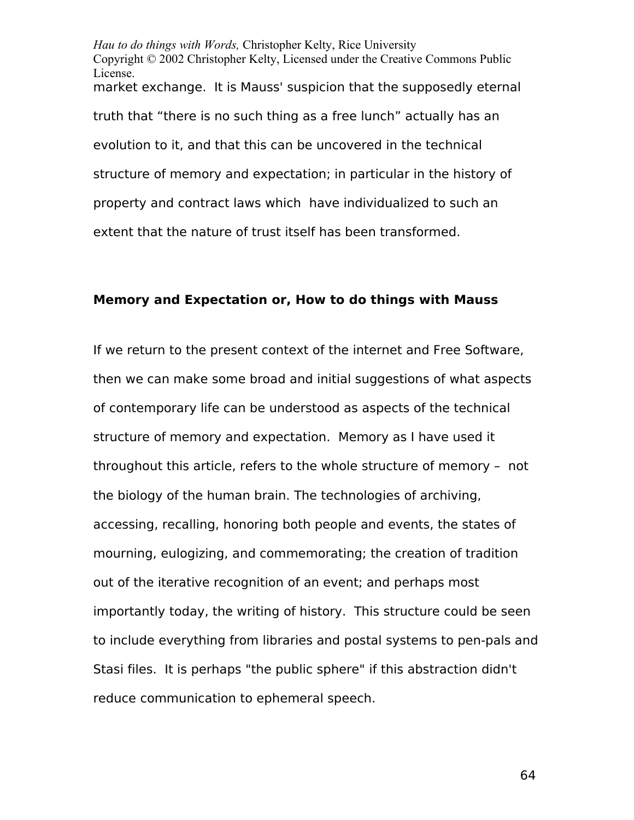*Hau to do things with Words,* Christopher Kelty, Rice University Copyright © 2002 Christopher Kelty, Licensed under the Creative Commons Public License. market exchange. It is Mauss' suspicion that the supposedly eternal truth that "there is no such thing as a free lunch" actually has an evolution to it, and that this can be uncovered in the technical structure of memory and expectation; in particular in the history of property and contract laws which have individualized to such an extent that the nature of trust itself has been transformed.

# **Memory and Expectation or, How to do things with Mauss**

If we return to the present context of the internet and Free Software, then we can make some broad and initial suggestions of what aspects of contemporary life can be understood as aspects of the technical structure of memory and expectation. Memory as I have used it throughout this article, refers to the whole structure of memory – not the biology of the human brain. The technologies of archiving, accessing, recalling, honoring both people and events, the states of mourning, eulogizing, and commemorating; the creation of tradition out of the iterative recognition of an event; and perhaps most importantly today, the writing of history. This structure could be seen to include everything from libraries and postal systems to pen-pals and Stasi files. It is perhaps "the public sphere" if this abstraction didn't reduce communication to ephemeral speech.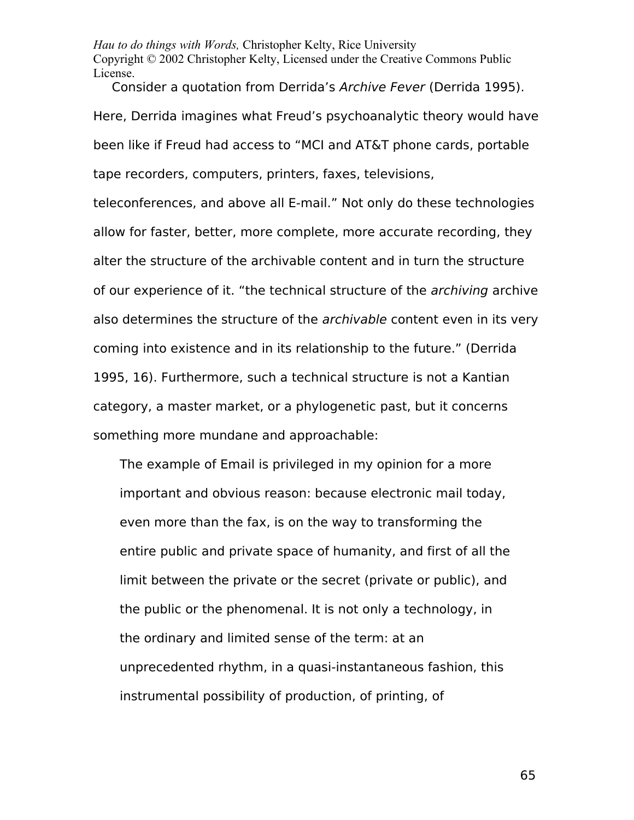Consider a quotation from Derrida's Archive Fever (Derrida 1995). Here, Derrida imagines what Freud's psychoanalytic theory would have been like if Freud had access to "MCI and AT&T phone cards, portable tape recorders, computers, printers, faxes, televisions,

teleconferences, and above all E-mail." Not only do these technologies allow for faster, better, more complete, more accurate recording, they alter the structure of the archivable content and in turn the structure of our experience of it. "the technical structure of the *archiving* archive also determines the structure of the *archivable* content even in its very coming into existence and in its relationship to the future." (Derrida 1995, 16). Furthermore, such a technical structure is not a Kantian category, a master market, or a phylogenetic past, but it concerns something more mundane and approachable:

The example of Email is privileged in my opinion for a more important and obvious reason: because electronic mail today, even more than the fax, is on the way to transforming the entire public and private space of humanity, and first of all the limit between the private or the secret (private or public), and the public or the phenomenal. It is not only a technology, in the ordinary and limited sense of the term: at an unprecedented rhythm, in a quasi-instantaneous fashion, this instrumental possibility of production, of printing, of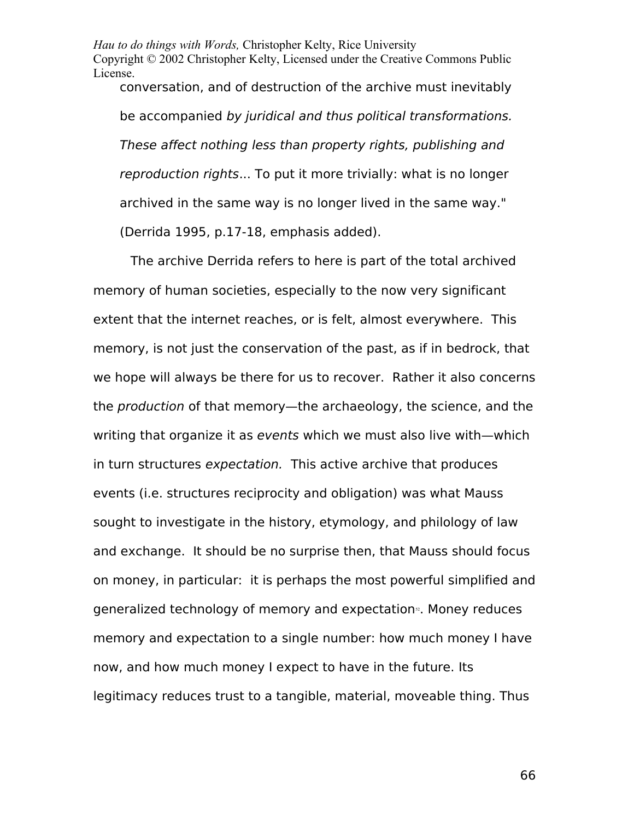conversation, and of destruction of the archive must inevitably be accompanied by juridical and thus political transformations. These affect nothing less than property rights, publishing and reproduction rights... To put it more trivially: what is no longer archived in the same way is no longer lived in the same way." (Derrida 1995, p.17-18, emphasis added).

The archive Derrida refers to here is part of the total archived memory of human societies, especially to the now very significant extent that the internet reaches, or is felt, almost everywhere. This memory, is not just the conservation of the past, as if in bedrock, that we hope will always be there for us to recover. Rather it also concerns the production of that memory—the archaeology, the science, and the writing that organize it as events which we must also live with—which in turn structures expectation. This active archive that produces events (i.e. structures reciprocity and obligation) was what Mauss sought to investigate in the history, etymology, and philology of law and exchange. It should be no surprise then, that Mauss should focus on money, in particular: it is perhaps the most powerful simplified and generalized technology of memory and expectation<sup>®</sup>. Money reduces memory and expectation to a single number: how much money I have now, and how much money I expect to have in the future. Its legitimacy reduces trust to a tangible, material, moveable thing. Thus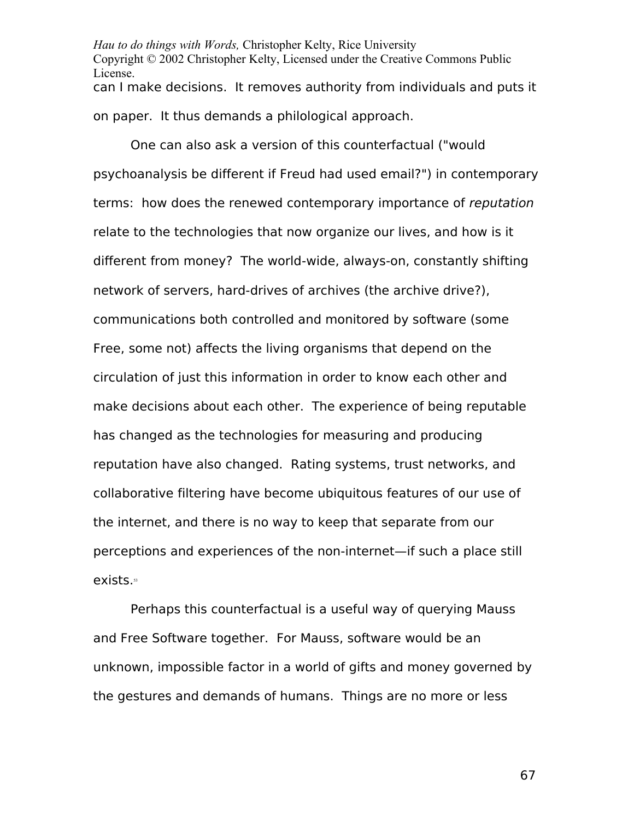*Hau to do things with Words,* Christopher Kelty, Rice University Copyright © 2002 Christopher Kelty, Licensed under the Creative Commons Public License. can I make decisions. It removes authority from individuals and puts it on paper. It thus demands a philological approach.

One can also ask a version of this counterfactual ("would psychoanalysis be different if Freud had used email?") in contemporary terms: how does the renewed contemporary importance of reputation relate to the technologies that now organize our lives, and how is it different from money? The world-wide, always-on, constantly shifting network of servers, hard-drives of archives (the archive drive?), communications both controlled and monitored by software (some Free, some not) affects the living organisms that depend on the circulation of just this information in order to know each other and make decisions about each other. The experience of being reputable has changed as the technologies for measuring and producing reputation have also changed. Rating systems, trust networks, and collaborative filtering have become ubiquitous features of our use of the internet, and there is no way to keep that separate from our perceptions and experiences of the non-internet—if such a place still exists.<sup>[53](#page-86-3)</sup>

Perhaps this counterfactual is a useful way of querying Mauss and Free Software together. For Mauss, software would be an unknown, impossible factor in a world of gifts and money governed by the gestures and demands of humans. Things are no more or less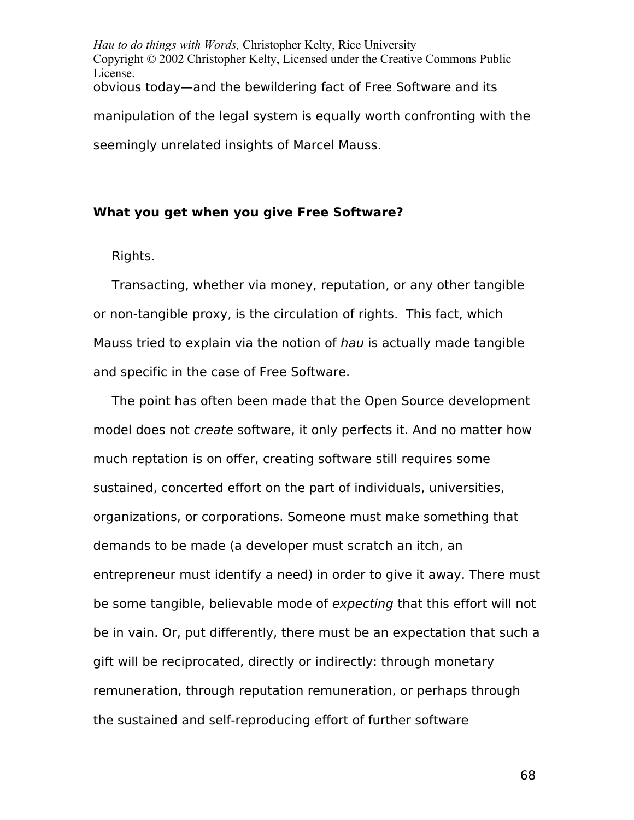*Hau to do things with Words,* Christopher Kelty, Rice University Copyright © 2002 Christopher Kelty, Licensed under the Creative Commons Public License. obvious today—and the bewildering fact of Free Software and its manipulation of the legal system is equally worth confronting with the seemingly unrelated insights of Marcel Mauss.

# **What you get when you give Free Software?**

Rights.

Transacting, whether via money, reputation, or any other tangible or non-tangible proxy, is the circulation of rights. This fact, which Mauss tried to explain via the notion of hau is actually made tangible and specific in the case of Free Software.

The point has often been made that the Open Source development model does not create software, it only perfects it. And no matter how much reptation is on offer, creating software still requires some sustained, concerted effort on the part of individuals, universities, organizations, or corporations. Someone must make something that demands to be made (a developer must scratch an itch, an entrepreneur must identify a need) in order to give it away. There must be some tangible, believable mode of expecting that this effort will not be in vain. Or, put differently, there must be an expectation that such a gift will be reciprocated, directly or indirectly: through monetary remuneration, through reputation remuneration, or perhaps through the sustained and self-reproducing effort of further software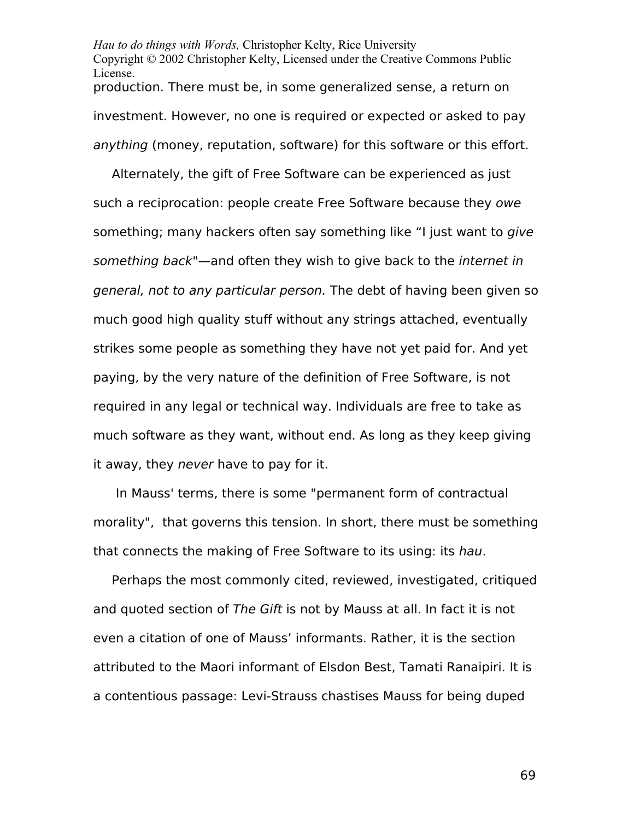*Hau to do things with Words,* Christopher Kelty, Rice University Copyright © 2002 Christopher Kelty, Licensed under the Creative Commons Public License. production. There must be, in some generalized sense, a return on investment. However, no one is required or expected or asked to pay anything (money, reputation, software) for this software or this effort.

Alternately, the gift of Free Software can be experienced as just such a reciprocation: people create Free Software because they owe something; many hackers often say something like "I just want to give something back"—and often they wish to give back to the internet in general, not to any particular person. The debt of having been given so much good high quality stuff without any strings attached, eventually strikes some people as something they have not yet paid for. And yet paying, by the very nature of the definition of Free Software, is not required in any legal or technical way. Individuals are free to take as much software as they want, without end. As long as they keep giving it away, they never have to pay for it.

 In Mauss' terms, there is some "permanent form of contractual morality", that governs this tension. In short, there must be something that connects the making of Free Software to its using: its hau.

Perhaps the most commonly cited, reviewed, investigated, critiqued and quoted section of The Gift is not by Mauss at all. In fact it is not even a citation of one of Mauss' informants. Rather, it is the section attributed to the Maori informant of Elsdon Best, Tamati Ranaipiri. It is a contentious passage: Levi-Strauss chastises Mauss for being duped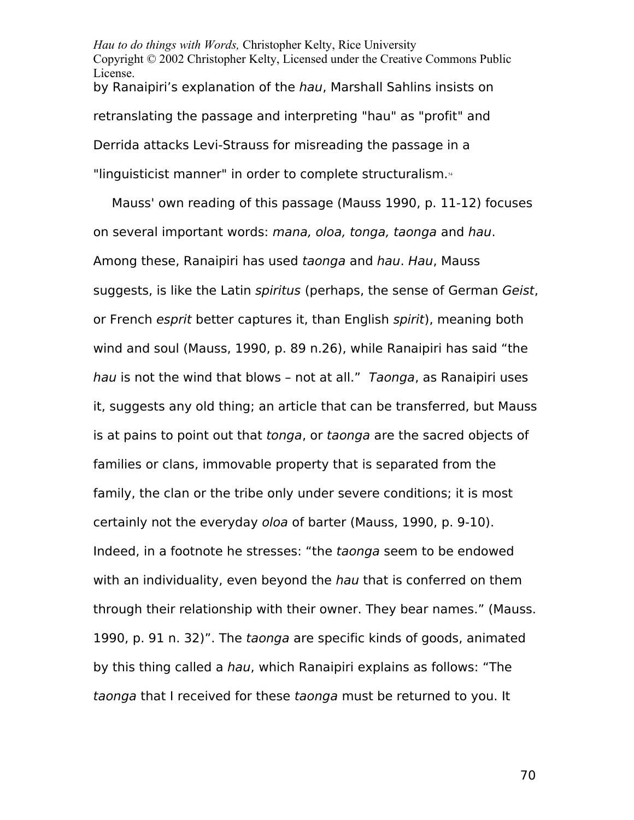*Hau to do things with Words,* Christopher Kelty, Rice University Copyright © 2002 Christopher Kelty, Licensed under the Creative Commons Public License. by Ranaipiri's explanation of the hau, Marshall Sahlins insists on retranslating the passage and interpreting "hau" as "profit" and Derrida attacks Levi-Strauss for misreading the passage in a "linguisticist manner" in order to complete structuralism.<sup>44</sup>

Mauss' own reading of this passage (Mauss 1990, p. 11-12) focuses on several important words: mana, oloa, tonga, taonga and hau. Among these, Ranaipiri has used taonga and hau. Hau, Mauss suggests, is like the Latin *spiritus* (perhaps, the sense of German Geist, or French esprit better captures it, than English spirit), meaning both wind and soul (Mauss, 1990, p. 89 n.26), while Ranaipiri has said "the hau is not the wind that blows - not at all." Taonga, as Ranaipiri uses it, suggests any old thing; an article that can be transferred, but Mauss is at pains to point out that tonga, or taonga are the sacred objects of families or clans, immovable property that is separated from the family, the clan or the tribe only under severe conditions; it is most certainly not the everyday oloa of barter (Mauss, 1990, p. 9-10). Indeed, in a footnote he stresses: "the taonga seem to be endowed with an individuality, even beyond the hau that is conferred on them through their relationship with their owner. They bear names." (Mauss. 1990, p. 91 n. 32)". The taonga are specific kinds of goods, animated by this thing called a hau, which Ranaipiri explains as follows: "The taonga that I received for these taonga must be returned to you. It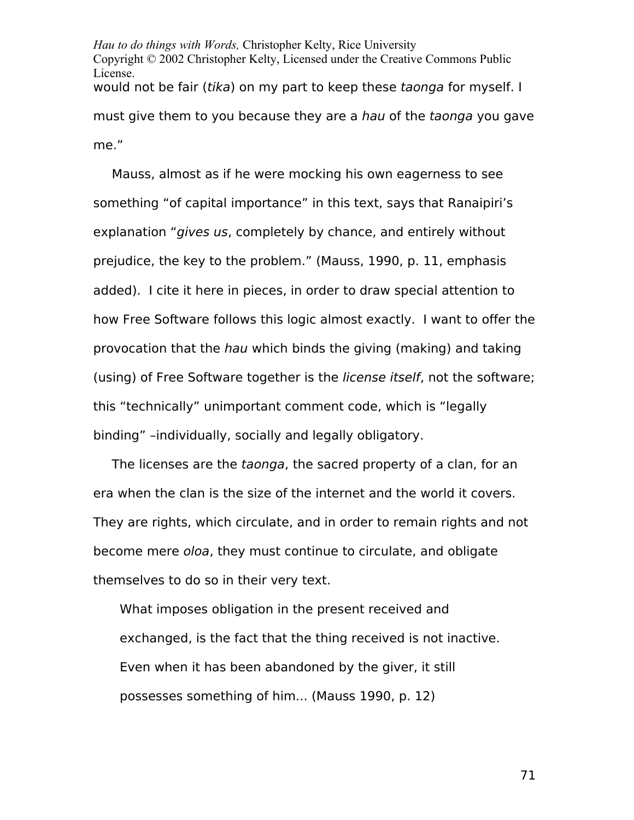*Hau to do things with Words,* Christopher Kelty, Rice University Copyright © 2002 Christopher Kelty, Licensed under the Creative Commons Public License. would not be fair (tika) on my part to keep these taonga for myself. I must give them to you because they are a hau of the taonga you gave me."

Mauss, almost as if he were mocking his own eagerness to see something "of capital importance" in this text, says that Ranaipiri's explanation "gives us, completely by chance, and entirely without prejudice, the key to the problem." (Mauss, 1990, p. 11, emphasis added). I cite it here in pieces, in order to draw special attention to how Free Software follows this logic almost exactly. I want to offer the provocation that the hau which binds the giving (making) and taking (using) of Free Software together is the license itself, not the software; this "technically" unimportant comment code, which is "legally binding" –individually, socially and legally obligatory.

The licenses are the taonga, the sacred property of a clan, for an era when the clan is the size of the internet and the world it covers. They are rights, which circulate, and in order to remain rights and not become mere oloa, they must continue to circulate, and obligate themselves to do so in their very text.

What imposes obligation in the present received and exchanged, is the fact that the thing received is not inactive. Even when it has been abandoned by the giver, it still possesses something of him... (Mauss 1990, p. 12)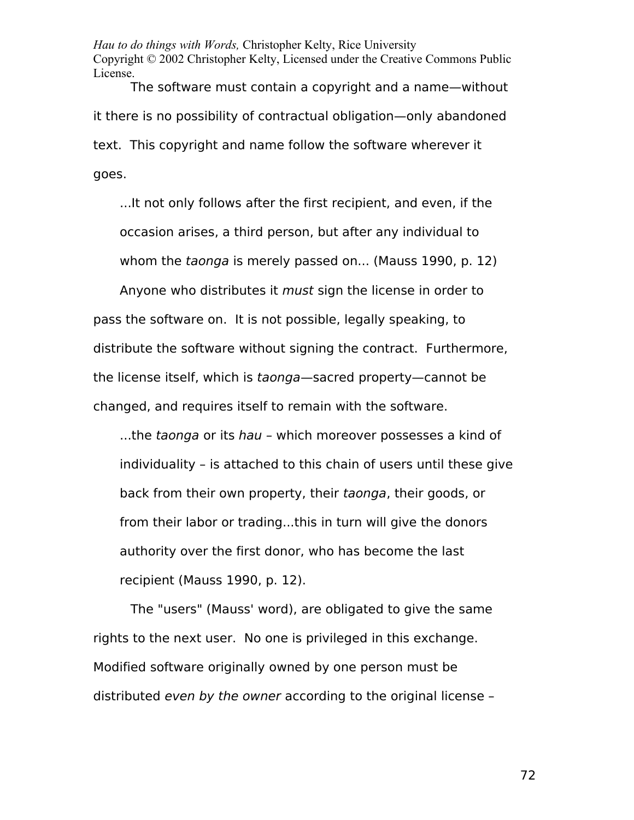The software must contain a copyright and a name—without it there is no possibility of contractual obligation—only abandoned text. This copyright and name follow the software wherever it goes.

...It not only follows after the first recipient, and even, if the occasion arises, a third person, but after any individual to whom the taonga is merely passed on... (Mauss 1990, p. 12)

Anyone who distributes it *must* sign the license in order to pass the software on. It is not possible, legally speaking, to distribute the software without signing the contract. Furthermore, the license itself, which is taonga—sacred property—cannot be changed, and requires itself to remain with the software.

...the taonga or its hau – which moreover possesses a kind of individuality – is attached to this chain of users until these give back from their own property, their taonga, their goods, or from their labor or trading...this in turn will give the donors authority over the first donor, who has become the last recipient (Mauss 1990, p. 12).

The "users" (Mauss' word), are obligated to give the same rights to the next user. No one is privileged in this exchange. Modified software originally owned by one person must be distributed even by the owner according to the original license –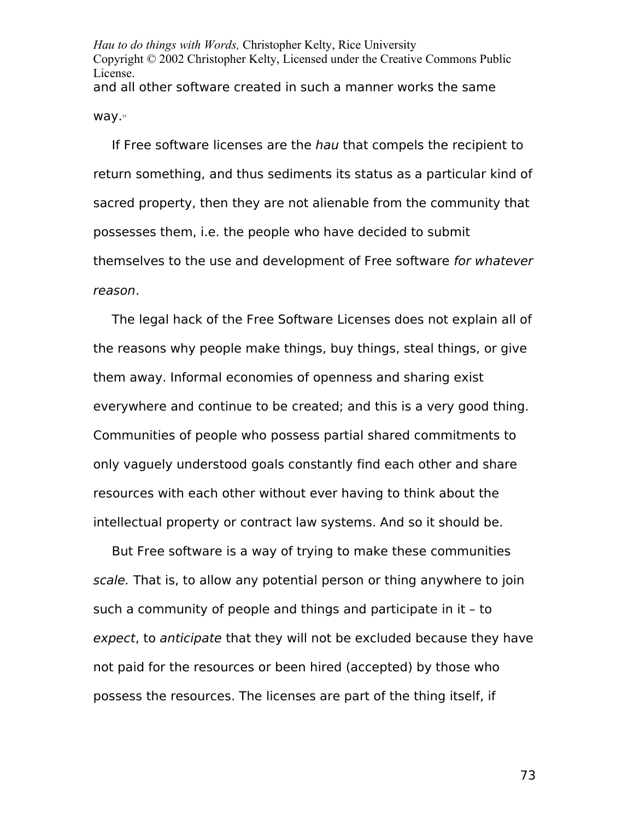*Hau to do things with Words,* Christopher Kelty, Rice University Copyright © 2002 Christopher Kelty, Licensed under the Creative Commons Public License. and all other software created in such a manner works the same way.<sup>[55](#page-86-0)</sup>

If Free software licenses are the hau that compels the recipient to return something, and thus sediments its status as a particular kind of sacred property, then they are not alienable from the community that possesses them, i.e. the people who have decided to submit themselves to the use and development of Free software for whatever reason.

The legal hack of the Free Software Licenses does not explain all of the reasons why people make things, buy things, steal things, or give them away. Informal economies of openness and sharing exist everywhere and continue to be created; and this is a very good thing. Communities of people who possess partial shared commitments to only vaguely understood goals constantly find each other and share resources with each other without ever having to think about the intellectual property or contract law systems. And so it should be.

But Free software is a way of trying to make these communities scale. That is, to allow any potential person or thing anywhere to join such a community of people and things and participate in it – to expect, to anticipate that they will not be excluded because they have not paid for the resources or been hired (accepted) by those who possess the resources. The licenses are part of the thing itself, if

73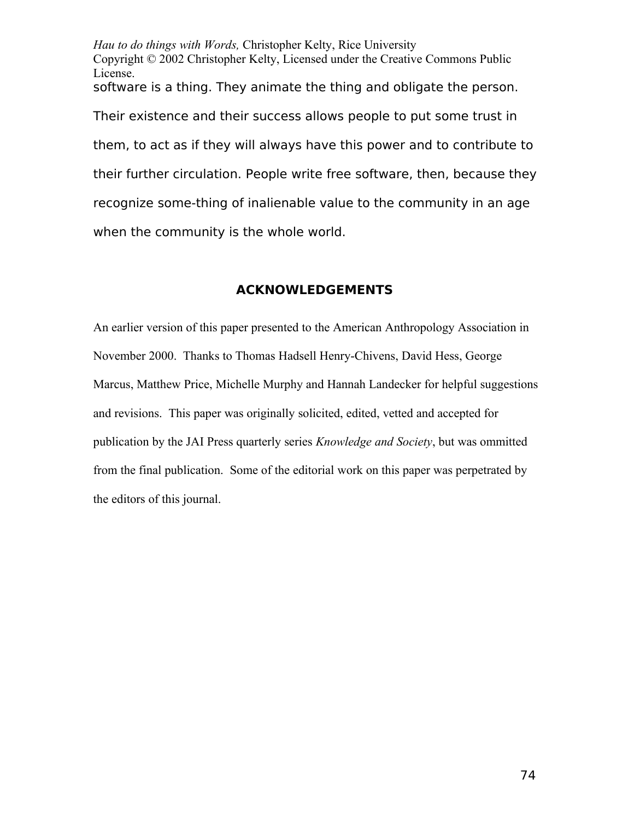*Hau to do things with Words,* Christopher Kelty, Rice University Copyright © 2002 Christopher Kelty, Licensed under the Creative Commons Public License. software is a thing. They animate the thing and obligate the person. Their existence and their success allows people to put some trust in them, to act as if they will always have this power and to contribute to their further circulation. People write free software, then, because they recognize some-thing of inalienable value to the community in an age when the community is the whole world.

## **ACKNOWLEDGEMENTS**

An earlier version of this paper presented to the American Anthropology Association in November 2000. Thanks to Thomas Hadsell Henry-Chivens, David Hess, George Marcus, Matthew Price, Michelle Murphy and Hannah Landecker for helpful suggestions and revisions. This paper was originally solicited, edited, vetted and accepted for publication by the JAI Press quarterly series *Knowledge and Society*, but was ommitted from the final publication. Some of the editorial work on this paper was perpetrated by the editors of this journal.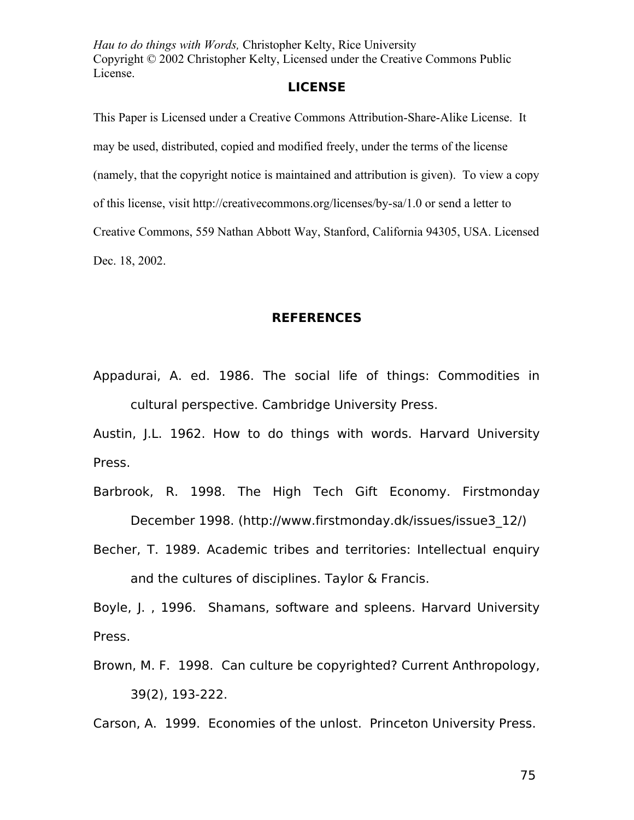## **LICENSE**

This Paper is Licensed under a Creative Commons Attribution-Share-Alike License. It may be used, distributed, copied and modified freely, under the terms of the license (namely, that the copyright notice is maintained and attribution is given). To view a copy of this license, visit http://creativecommons.org/licenses/by-sa/1.0 or send a letter to Creative Commons, 559 Nathan Abbott Way, Stanford, California 94305, USA. Licensed Dec. 18, 2002.

## **REFERENCES**

Appadurai, A. ed. 1986. The social life of things: Commodities in cultural perspective. Cambridge University Press.

Austin, J.L. 1962. How to do things with words. Harvard University Press.

- Barbrook, R. 1998. The High Tech Gift Economy. Firstmonday December 1998. (http://www.firstmonday.dk/issues/issue3\_12/)
- Becher, T. 1989. Academic tribes and territories: Intellectual enquiry and the cultures of disciplines. Taylor & Francis.

Boyle, J. , 1996. Shamans, software and spleens. Harvard University Press.

Brown, M. F. 1998. Can culture be copyrighted? Current Anthropology, 39(2), 193-222.

Carson, A. 1999. Economies of the unlost. Princeton University Press.

75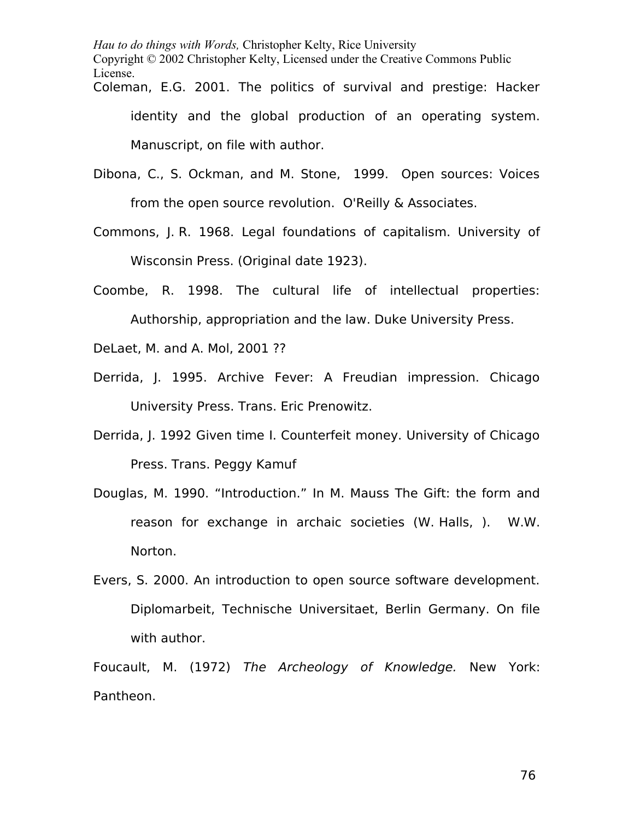Coleman, E.G. 2001. The politics of survival and prestige: Hacker identity and the global production of an operating system. Manuscript, on file with author.

- Dibona, C., S. Ockman, and M. Stone, 1999. Open sources: Voices from the open source revolution. O'Reilly & Associates.
- Commons, J. R. 1968. Legal foundations of capitalism. University of Wisconsin Press. (Original date 1923).
- Coombe, R. 1998. The cultural life of intellectual properties: Authorship, appropriation and the law. Duke University Press.

DeLaet, M. and A. Mol, 2001 ??

- Derrida, J. 1995. Archive Fever: A Freudian impression. Chicago University Press. Trans. Eric Prenowitz.
- Derrida, J. 1992 Given time I. Counterfeit money. University of Chicago Press. Trans. Peggy Kamuf
- Douglas, M. 1990. "Introduction." In M. Mauss The Gift: the form and reason for exchange in archaic societies (W. Halls, ). W.W. Norton.
- Evers, S. 2000. An introduction to open source software development. Diplomarbeit, Technische Universitaet, Berlin Germany. On file with author.

Foucault, M. (1972) The Archeology of Knowledge. New York: Pantheon.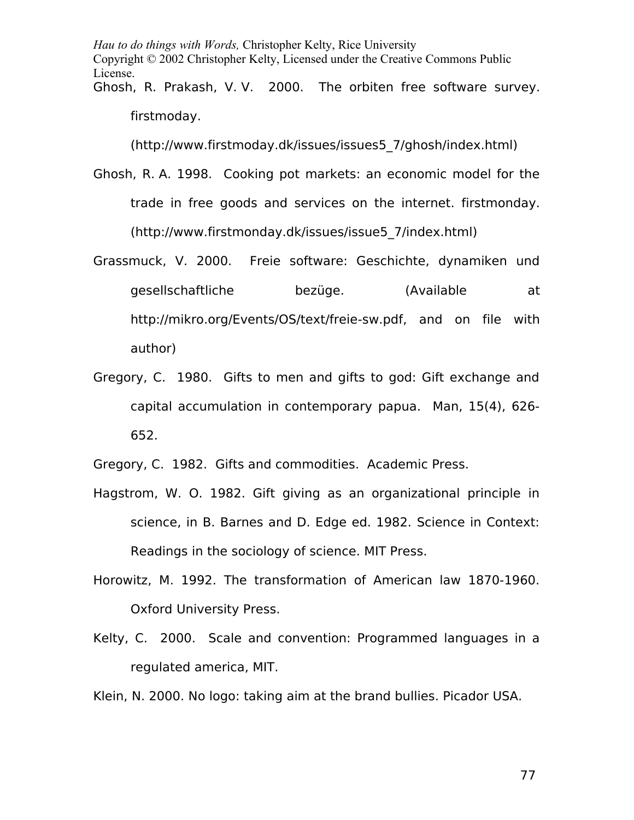*Hau to do things with Words,* Christopher Kelty, Rice University Copyright © 2002 Christopher Kelty, Licensed under the Creative Commons Public License. Ghosh, R. Prakash, V. V. 2000. The orbiten free software survey. firstmoday.

(http://www.firstmoday.dk/issues/issues5\_7/ghosh/index.html)

- Ghosh, R. A. 1998. Cooking pot markets: an economic model for the trade in free goods and services on the internet. firstmonday. (http://www.firstmonday.dk/issues/issue5\_7/index.html)
- Grassmuck, V. 2000. Freie software: Geschichte, dynamiken und gesellschaftliche bezüge. (Available at http://mikro.org/Events/OS/text/freie-sw.pdf, and on file with author)
- Gregory, C. 1980. Gifts to men and gifts to god: Gift exchange and capital accumulation in contemporary papua. Man, 15(4), 626- 652.

Gregory, C. 1982. Gifts and commodities. Academic Press.

- Hagstrom, W. O. 1982. Gift giving as an organizational principle in science, in B. Barnes and D. Edge ed. 1982. Science in Context: Readings in the sociology of science. MIT Press.
- Horowitz, M. 1992. The transformation of American law 1870-1960. Oxford University Press.
- Kelty, C. 2000. Scale and convention: Programmed languages in a regulated america, MIT.

Klein, N. 2000. No logo: taking aim at the brand bullies. Picador USA.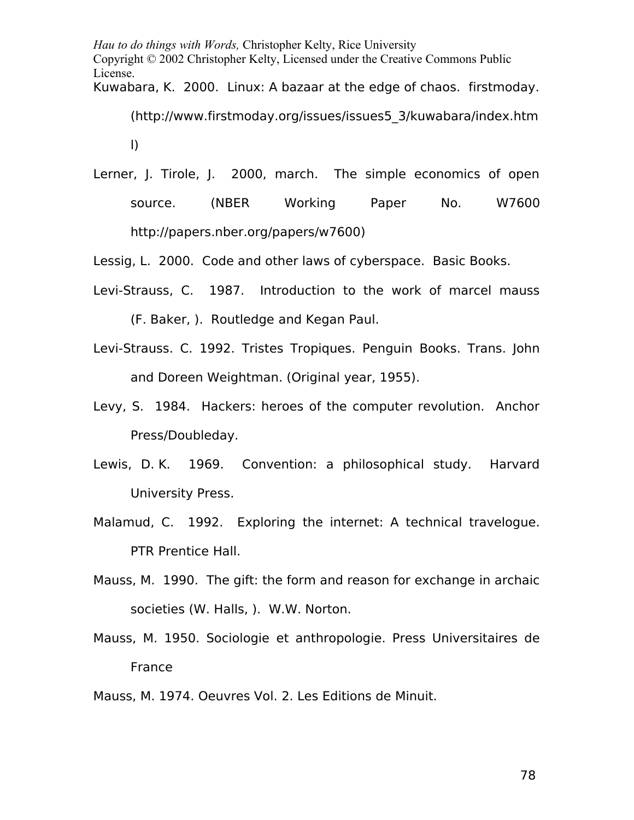Kuwabara, K. 2000. Linux: A bazaar at the edge of chaos. firstmoday.

(http://www.firstmoday.org/issues/issues5\_3/kuwabara/index.htm

l)

Lerner, J. Tirole, J. 2000, march. The simple economics of open source. (NBER Working Paper No. W7600 http://papers.nber.org/papers/w7600)

Lessig, L. 2000. Code and other laws of cyberspace. Basic Books.

- Levi-Strauss, C. 1987. Introduction to the work of marcel mauss (F. Baker, ). Routledge and Kegan Paul.
- Levi-Strauss. C. 1992. Tristes Tropiques. Penguin Books. Trans. John and Doreen Weightman. (Original year, 1955).
- Levy, S. 1984. Hackers: heroes of the computer revolution. Anchor Press/Doubleday.
- Lewis, D. K. 1969. Convention: a philosophical study. Harvard University Press.
- Malamud, C. 1992. Exploring the internet: A technical travelogue. PTR Prentice Hall.
- Mauss, M. 1990. The gift: the form and reason for exchange in archaic societies (W. Halls, ). W.W. Norton.
- Mauss, M. 1950. Sociologie et anthropologie. Press Universitaires de France

Mauss, M. 1974. Oeuvres Vol. 2. Les Editions de Minuit.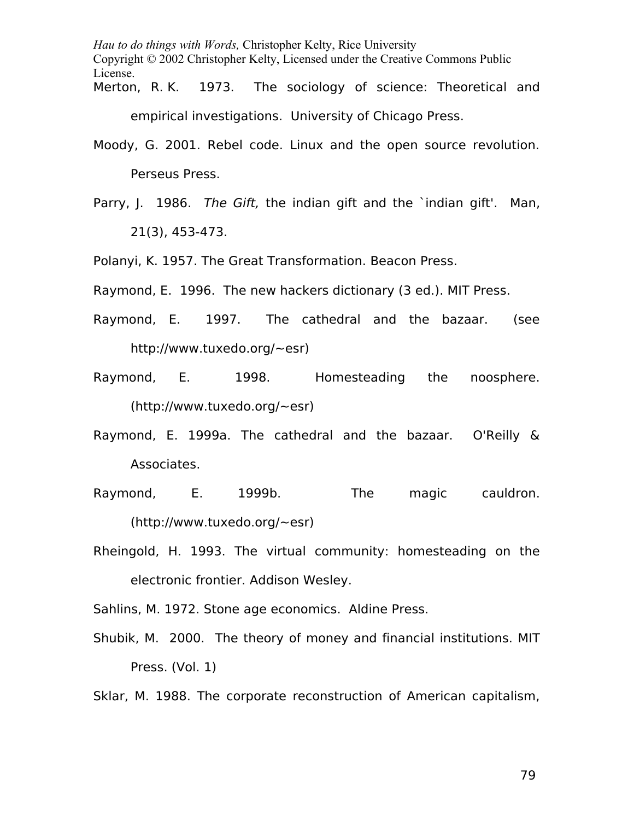*Hau to do things with Words,* Christopher Kelty, Rice University Copyright © 2002 Christopher Kelty, Licensed under the Creative Commons Public License. Merton, R.K. 1973. The sociology of science: Theoretical and

empirical investigations. University of Chicago Press.

- Moody, G. 2001. Rebel code. Linux and the open source revolution. Perseus Press.
- Parry, J. 1986. The Gift, the indian gift and the `indian gift'. Man, 21(3), 453-473.

Polanyi, K. 1957. The Great Transformation. Beacon Press.

Raymond, E. 1996. The new hackers dictionary (3 ed.). MIT Press.

- Raymond, E. 1997. The cathedral and the bazaar. (see http://www.tuxedo.org/~esr)
- Raymond, E. 1998. Homesteading the noosphere. (http://www.tuxedo.org/~esr)
- Raymond, E. 1999a. The cathedral and the bazaar. O'Reilly & Associates.
- Raymond, E. 1999b. The magic cauldron. (http://www.tuxedo.org/~esr)
- Rheingold, H. 1993. The virtual community: homesteading on the electronic frontier. Addison Wesley.

Sahlins, M. 1972. Stone age economics. Aldine Press.

Shubik, M. 2000. The theory of money and financial institutions. MIT Press. (Vol. 1)

Sklar, M. 1988. The corporate reconstruction of American capitalism,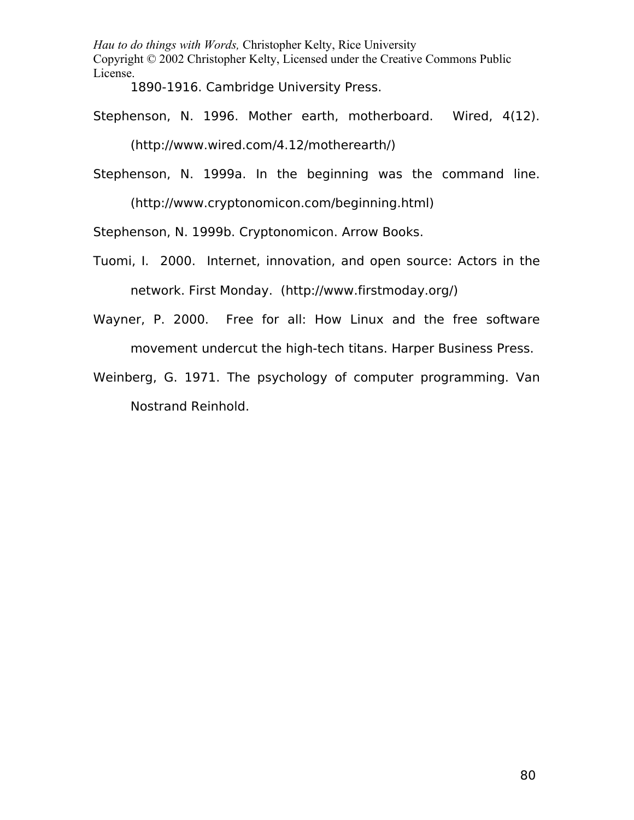1890-1916. Cambridge University Press.

Stephenson, N. 1996. Mother earth, motherboard. Wired, 4(12).

(http://www.wired.com/4.12/motherearth/)

Stephenson, N. 1999a. In the beginning was the command line.

(http://www.cryptonomicon.com/beginning.html)

Stephenson, N. 1999b. Cryptonomicon. Arrow Books.

- Tuomi, I. 2000. Internet, innovation, and open source: Actors in the network. First Monday. (http://www.firstmoday.org/)
- Wayner, P. 2000. Free for all: How Linux and the free software movement undercut the high-tech titans. Harper Business Press.
- Weinberg, G. 1971. The psychology of computer programming. Van Nostrand Reinhold.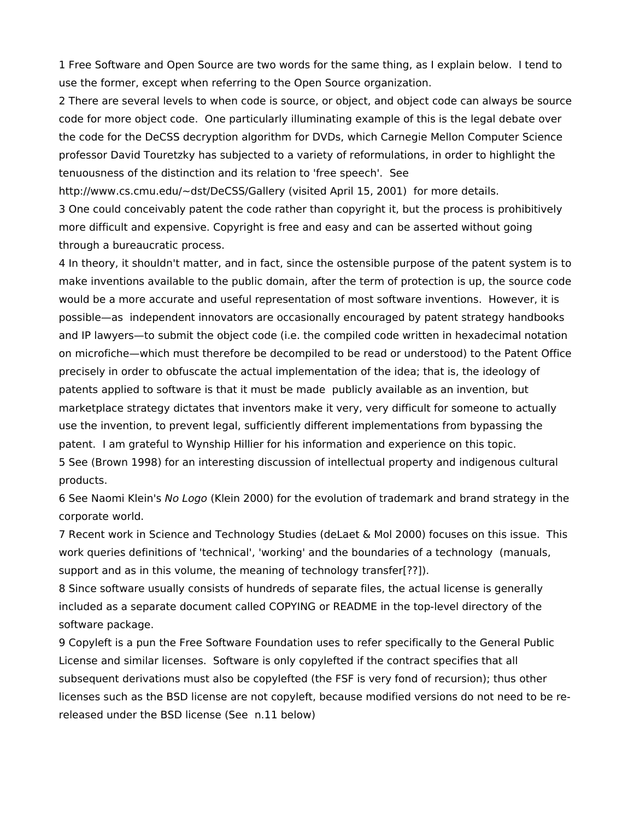1 Free Software and Open Source are two words for the same thing, as I explain below. I tend to use the former, except when referring to the Open Source organization.

2 There are several levels to when code is source, or object, and object code can always be source code for more object code. One particularly illuminating example of this is the legal debate over the code for the DeCSS decryption algorithm for DVDs, which Carnegie Mellon Computer Science professor David Touretzky has subjected to a variety of reformulations, in order to highlight the tenuousness of the distinction and its relation to 'free speech'. See

http://www.cs.cmu.edu/~dst/DeCSS/Gallery (visited April 15, 2001) for more details.

3 One could conceivably patent the code rather than copyright it, but the process is prohibitively more difficult and expensive. Copyright is free and easy and can be asserted without going through a bureaucratic process.

4 In theory, it shouldn't matter, and in fact, since the ostensible purpose of the patent system is to make inventions available to the public domain, after the term of protection is up, the source code would be a more accurate and useful representation of most software inventions. However, it is possible—as independent innovators are occasionally encouraged by patent strategy handbooks and IP lawyers—to submit the object code (i.e. the compiled code written in hexadecimal notation on microfiche—which must therefore be decompiled to be read or understood) to the Patent Office precisely in order to obfuscate the actual implementation of the idea; that is, the ideology of patents applied to software is that it must be made publicly available as an invention, but marketplace strategy dictates that inventors make it very, very difficult for someone to actually use the invention, to prevent legal, sufficiently different implementations from bypassing the patent. I am grateful to Wynship Hillier for his information and experience on this topic. 5 See (Brown 1998) for an interesting discussion of intellectual property and indigenous cultural products.

6 See Naomi Klein's No Logo (Klein 2000) for the evolution of trademark and brand strategy in the corporate world.

7 Recent work in Science and Technology Studies (deLaet & Mol 2000) focuses on this issue. This work queries definitions of 'technical', 'working' and the boundaries of a technology (manuals, support and as in this volume, the meaning of technology transfer[??]).

8 Since software usually consists of hundreds of separate files, the actual license is generally included as a separate document called COPYING or README in the top-level directory of the software package.

9 Copyleft is a pun the Free Software Foundation uses to refer specifically to the General Public License and similar licenses. Software is only copylefted if the contract specifies that all subsequent derivations must also be copylefted (the FSF is very fond of recursion); thus other licenses such as the BSD license are not copyleft, because modified versions do not need to be rereleased under the BSD license (See n.11 below)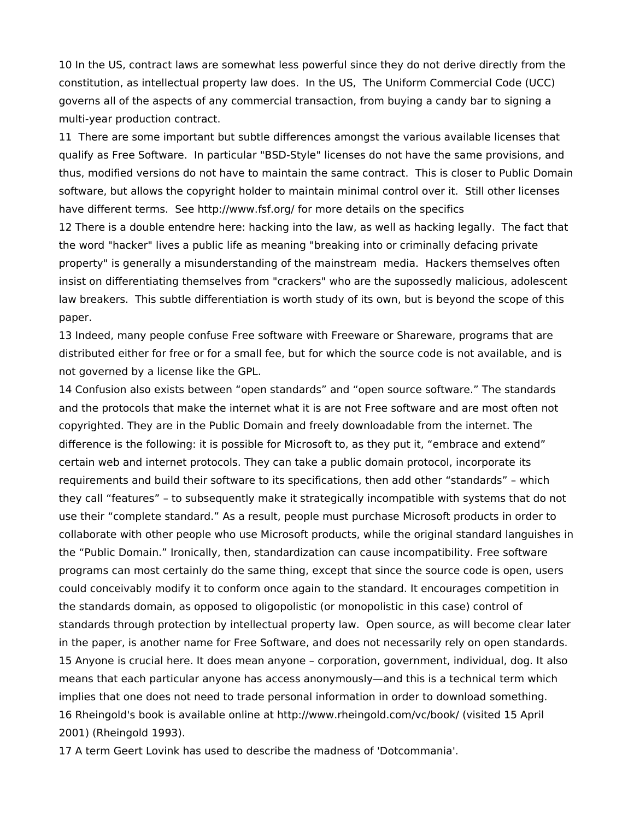10 In the US, contract laws are somewhat less powerful since they do not derive directly from the constitution, as intellectual property law does. In the US, The Uniform Commercial Code (UCC) governs all of the aspects of any commercial transaction, from buying a candy bar to signing a multi-year production contract.

11 There are some important but subtle differences amongst the various available licenses that qualify as Free Software. In particular "BSD-Style" licenses do not have the same provisions, and thus, modified versions do not have to maintain the same contract. This is closer to Public Domain software, but allows the copyright holder to maintain minimal control over it. Still other licenses have different terms. See http://www.fsf.org/ for more details on the specifics

12 There is a double entendre here: hacking into the law, as well as hacking legally. The fact that the word "hacker" lives a public life as meaning "breaking into or criminally defacing private property" is generally a misunderstanding of the mainstream media. Hackers themselves often insist on differentiating themselves from "crackers" who are the supossedly malicious, adolescent law breakers. This subtle differentiation is worth study of its own, but is beyond the scope of this paper.

13 Indeed, many people confuse Free software with Freeware or Shareware, programs that are distributed either for free or for a small fee, but for which the source code is not available, and is not governed by a license like the GPL.

14 Confusion also exists between "open standards" and "open source software." The standards and the protocols that make the internet what it is are not Free software and are most often not copyrighted. They are in the Public Domain and freely downloadable from the internet. The difference is the following: it is possible for Microsoft to, as they put it, "embrace and extend" certain web and internet protocols. They can take a public domain protocol, incorporate its requirements and build their software to its specifications, then add other "standards" – which they call "features" – to subsequently make it strategically incompatible with systems that do not use their "complete standard." As a result, people must purchase Microsoft products in order to collaborate with other people who use Microsoft products, while the original standard languishes in the "Public Domain." Ironically, then, standardization can cause incompatibility. Free software programs can most certainly do the same thing, except that since the source code is open, users could conceivably modify it to conform once again to the standard. It encourages competition in the standards domain, as opposed to oligopolistic (or monopolistic in this case) control of standards through protection by intellectual property law. Open source, as will become clear later in the paper, is another name for Free Software, and does not necessarily rely on open standards. 15 Anyone is crucial here. It does mean anyone – corporation, government, individual, dog. It also means that each particular anyone has access anonymously—and this is a technical term which implies that one does not need to trade personal information in order to download something. 16 Rheingold's book is available online at http://www.rheingold.com/vc/book/ (visited 15 April 2001) (Rheingold 1993).

17 A term Geert Lovink has used to describe the madness of 'Dotcommania'.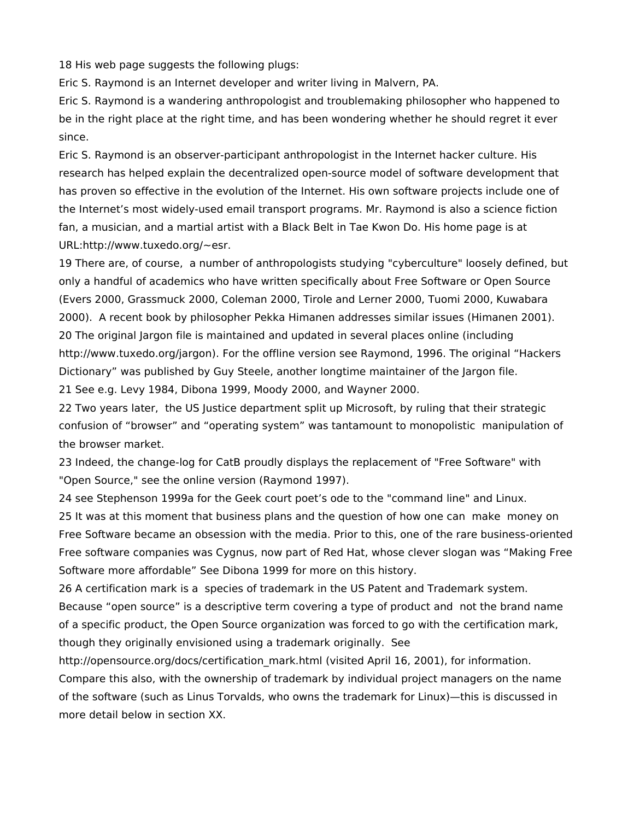18 His web page suggests the following plugs:

Eric S. Raymond is an Internet developer and writer living in Malvern, PA.

Eric S. Raymond is a wandering anthropologist and troublemaking philosopher who happened to be in the right place at the right time, and has been wondering whether he should regret it ever since.

Eric S. Raymond is an observer-participant anthropologist in the Internet hacker culture. His research has helped explain the decentralized open-source model of software development that has proven so effective in the evolution of the Internet. His own software projects include one of the Internet's most widely-used email transport programs. Mr. Raymond is also a science fiction fan, a musician, and a martial artist with a Black Belt in Tae Kwon Do. His home page is at URL:http://www.tuxedo.org/~esr.

19 There are, of course, a number of anthropologists studying "cyberculture" loosely defined, but only a handful of academics who have written specifically about Free Software or Open Source (Evers 2000, Grassmuck 2000, Coleman 2000, Tirole and Lerner 2000, Tuomi 2000, Kuwabara 2000). A recent book by philosopher Pekka Himanen addresses similar issues (Himanen 2001). 20 The original Jargon file is maintained and updated in several places online (including http://www.tuxedo.org/jargon). For the offline version see Raymond, 1996. The original "Hackers Dictionary" was published by Guy Steele, another longtime maintainer of the Jargon file. 21 See e.g. Levy 1984, Dibona 1999, Moody 2000, and Wayner 2000.

22 Two years later, the US Justice department split up Microsoft, by ruling that their strategic confusion of "browser" and "operating system" was tantamount to monopolistic manipulation of the browser market.

23 Indeed, the change-log for CatB proudly displays the replacement of "Free Software" with "Open Source," see the online version (Raymond 1997).

24 see Stephenson 1999a for the Geek court poet's ode to the "command line" and Linux.

25 It was at this moment that business plans and the question of how one can make money on Free Software became an obsession with the media. Prior to this, one of the rare business-oriented Free software companies was Cygnus, now part of Red Hat, whose clever slogan was "Making Free Software more affordable" See Dibona 1999 for more on this history.

26 A certification mark is a species of trademark in the US Patent and Trademark system. Because "open source" is a descriptive term covering a type of product and not the brand name of a specific product, the Open Source organization was forced to go with the certification mark, though they originally envisioned using a trademark originally. See

http://opensource.org/docs/certification\_mark.html (visited April 16, 2001), for information. Compare this also, with the ownership of trademark by individual project managers on the name of the software (such as Linus Torvalds, who owns the trademark for Linux)—this is discussed in more detail below in section XX.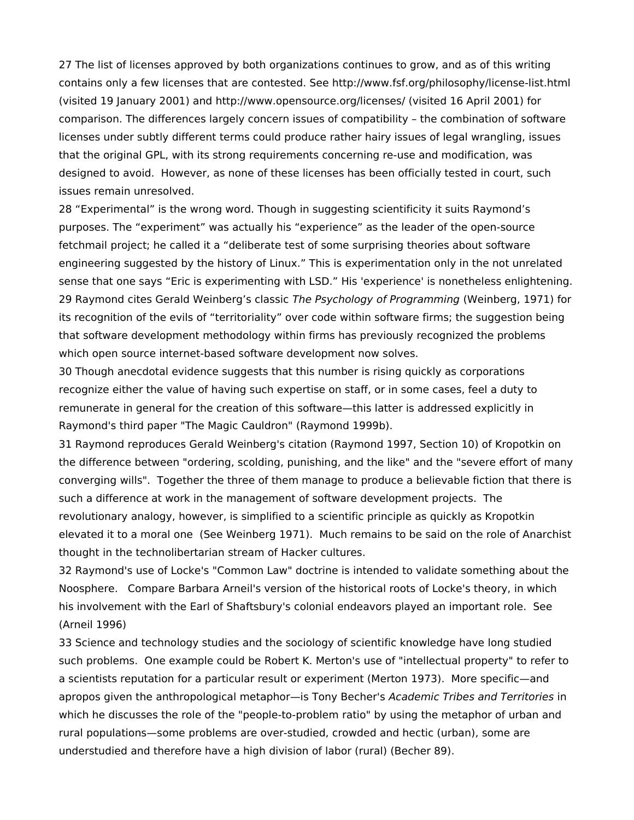27 The list of licenses approved by both organizations continues to grow, and as of this writing contains only a few licenses that are contested. See http://www.fsf.org/philosophy/license-list.html (visited 19 January 2001) and http://www.opensource.org/licenses/ (visited 16 April 2001) for comparison. The differences largely concern issues of compatibility – the combination of software licenses under subtly different terms could produce rather hairy issues of legal wrangling, issues that the original GPL, with its strong requirements concerning re-use and modification, was designed to avoid. However, as none of these licenses has been officially tested in court, such issues remain unresolved.

28 "Experimental" is the wrong word. Though in suggesting scientificity it suits Raymond's purposes. The "experiment" was actually his "experience" as the leader of the open-source fetchmail project; he called it a "deliberate test of some surprising theories about software engineering suggested by the history of Linux." This is experimentation only in the not unrelated sense that one says "Eric is experimenting with LSD." His 'experience' is nonetheless enlightening. 29 Raymond cites Gerald Weinberg's classic The Psychology of Programming (Weinberg, 1971) for its recognition of the evils of "territoriality" over code within software firms; the suggestion being that software development methodology within firms has previously recognized the problems which open source internet-based software development now solves.

30 Though anecdotal evidence suggests that this number is rising quickly as corporations recognize either the value of having such expertise on staff, or in some cases, feel a duty to remunerate in general for the creation of this software—this latter is addressed explicitly in Raymond's third paper "The Magic Cauldron" (Raymond 1999b).

31 Raymond reproduces Gerald Weinberg's citation (Raymond 1997, Section 10) of Kropotkin on the difference between "ordering, scolding, punishing, and the like" and the "severe effort of many converging wills". Together the three of them manage to produce a believable fiction that there is such a difference at work in the management of software development projects. The revolutionary analogy, however, is simplified to a scientific principle as quickly as Kropotkin elevated it to a moral one (See Weinberg 1971). Much remains to be said on the role of Anarchist thought in the technolibertarian stream of Hacker cultures.

32 Raymond's use of Locke's "Common Law" doctrine is intended to validate something about the Noosphere. Compare Barbara Arneil's version of the historical roots of Locke's theory, in which his involvement with the Earl of Shaftsbury's colonial endeavors played an important role. See (Arneil 1996)

33 Science and technology studies and the sociology of scientific knowledge have long studied such problems. One example could be Robert K. Merton's use of "intellectual property" to refer to a scientists reputation for a particular result or experiment (Merton 1973). More specific—and apropos given the anthropological metaphor—is Tony Becher's Academic Tribes and Territories in which he discusses the role of the "people-to-problem ratio" by using the metaphor of urban and rural populations—some problems are over-studied, crowded and hectic (urban), some are understudied and therefore have a high division of labor (rural) (Becher 89).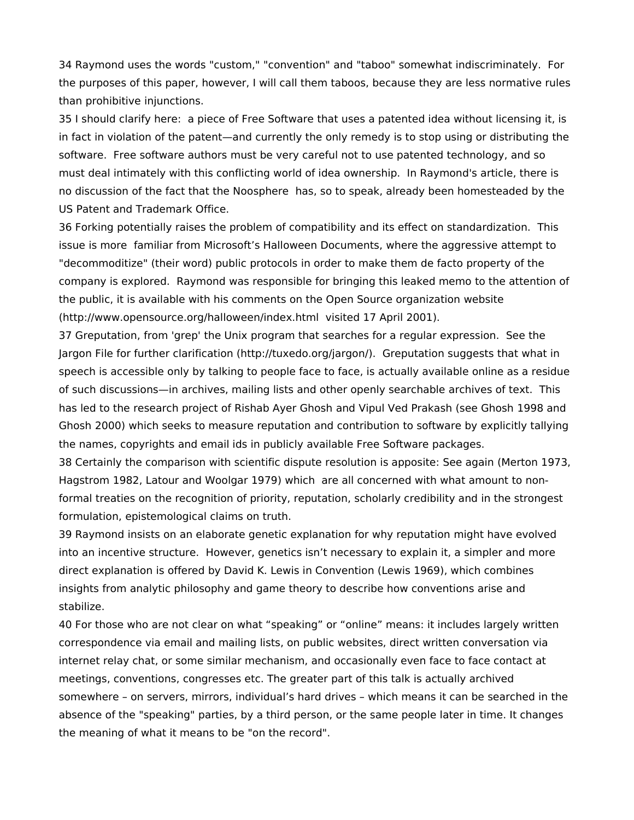34 Raymond uses the words "custom," "convention" and "taboo" somewhat indiscriminately. For the purposes of this paper, however, I will call them taboos, because they are less normative rules than prohibitive injunctions.

35 I should clarify here: a piece of Free Software that uses a patented idea without licensing it, is in fact in violation of the patent—and currently the only remedy is to stop using or distributing the software. Free software authors must be very careful not to use patented technology, and so must deal intimately with this conflicting world of idea ownership. In Raymond's article, there is no discussion of the fact that the Noosphere has, so to speak, already been homesteaded by the US Patent and Trademark Office.

36 Forking potentially raises the problem of compatibility and its effect on standardization. This issue is more familiar from Microsoft's Halloween Documents, where the aggressive attempt to "decommoditize" (their word) public protocols in order to make them de facto property of the company is explored. Raymond was responsible for bringing this leaked memo to the attention of the public, it is available with his comments on the Open Source organization website (http://www.opensource.org/halloween/index.html visited 17 April 2001).

37 Greputation, from 'grep' the Unix program that searches for a regular expression. See the Jargon File for further clarification (http://tuxedo.org/jargon/). Greputation suggests that what in speech is accessible only by talking to people face to face, is actually available online as a residue of such discussions—in archives, mailing lists and other openly searchable archives of text. This has led to the research project of Rishab Ayer Ghosh and Vipul Ved Prakash (see Ghosh 1998 and Ghosh 2000) which seeks to measure reputation and contribution to software by explicitly tallying the names, copyrights and email ids in publicly available Free Software packages.

38 Certainly the comparison with scientific dispute resolution is apposite: See again (Merton 1973, Hagstrom 1982, Latour and Woolgar 1979) which are all concerned with what amount to nonformal treaties on the recognition of priority, reputation, scholarly credibility and in the strongest formulation, epistemological claims on truth.

39 Raymond insists on an elaborate genetic explanation for why reputation might have evolved into an incentive structure. However, genetics isn't necessary to explain it, a simpler and more direct explanation is offered by David K. Lewis in Convention (Lewis 1969), which combines insights from analytic philosophy and game theory to describe how conventions arise and stabilize.

40 For those who are not clear on what "speaking" or "online" means: it includes largely written correspondence via email and mailing lists, on public websites, direct written conversation via internet relay chat, or some similar mechanism, and occasionally even face to face contact at meetings, conventions, congresses etc. The greater part of this talk is actually archived somewhere – on servers, mirrors, individual's hard drives – which means it can be searched in the absence of the "speaking" parties, by a third person, or the same people later in time. It changes the meaning of what it means to be "on the record".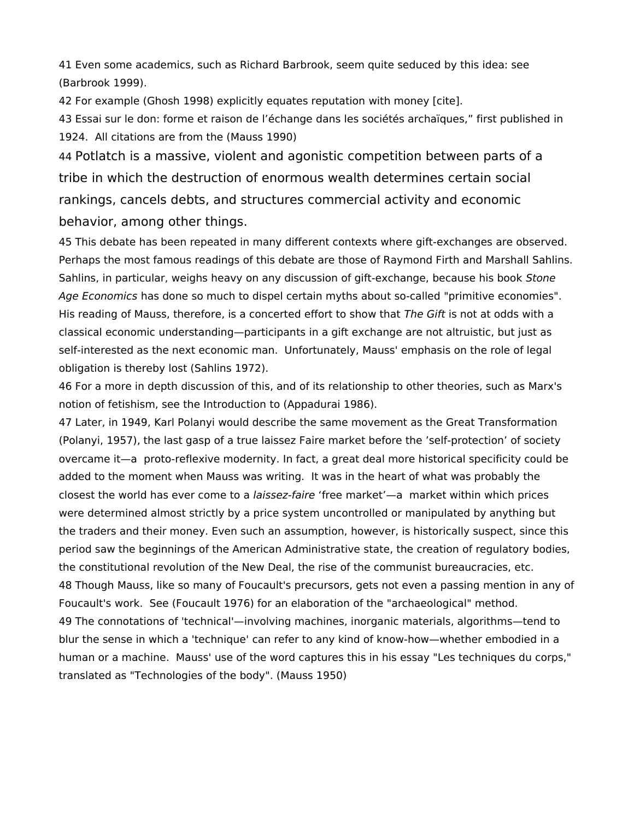41 Even some academics, such as Richard Barbrook, seem quite seduced by this idea: see (Barbrook 1999).

42 For example (Ghosh 1998) explicitly equates reputation with money [cite].

43 Essai sur le don: forme et raison de l'échange dans les sociétés archaïques," first published in 1924. All citations are from the (Mauss 1990)

44 Potlatch is a massive, violent and agonistic competition between parts of a tribe in which the destruction of enormous wealth determines certain social rankings, cancels debts, and structures commercial activity and economic behavior, among other things.

45 This debate has been repeated in many different contexts where gift-exchanges are observed. Perhaps the most famous readings of this debate are those of Raymond Firth and Marshall Sahlins. Sahlins, in particular, weighs heavy on any discussion of gift-exchange, because his book Stone Age Economics has done so much to dispel certain myths about so-called "primitive economies". His reading of Mauss, therefore, is a concerted effort to show that The Gift is not at odds with a classical economic understanding—participants in a gift exchange are not altruistic, but just as self-interested as the next economic man. Unfortunately, Mauss' emphasis on the role of legal obligation is thereby lost (Sahlins 1972).

46 For a more in depth discussion of this, and of its relationship to other theories, such as Marx's notion of fetishism, see the Introduction to (Appadurai 1986).

47 Later, in 1949, Karl Polanyi would describe the same movement as the Great Transformation (Polanyi, 1957), the last gasp of a true laissez Faire market before the 'self-protection' of society overcame it—a proto-reflexive modernity. In fact, a great deal more historical specificity could be added to the moment when Mauss was writing. It was in the heart of what was probably the closest the world has ever come to a laissez-faire 'free market'—a market within which prices were determined almost strictly by a price system uncontrolled or manipulated by anything but the traders and their money. Even such an assumption, however, is historically suspect, since this period saw the beginnings of the American Administrative state, the creation of regulatory bodies, the constitutional revolution of the New Deal, the rise of the communist bureaucracies, etc. 48 Though Mauss, like so many of Foucault's precursors, gets not even a passing mention in any of Foucault's work. See (Foucault 1976) for an elaboration of the "archaeological" method. 49 The connotations of 'technical'—involving machines, inorganic materials, algorithms—tend to blur the sense in which a 'technique' can refer to any kind of know-how—whether embodied in a human or a machine. Mauss' use of the word captures this in his essay "Les techniques du corps," translated as "Technologies of the body". (Mauss 1950)